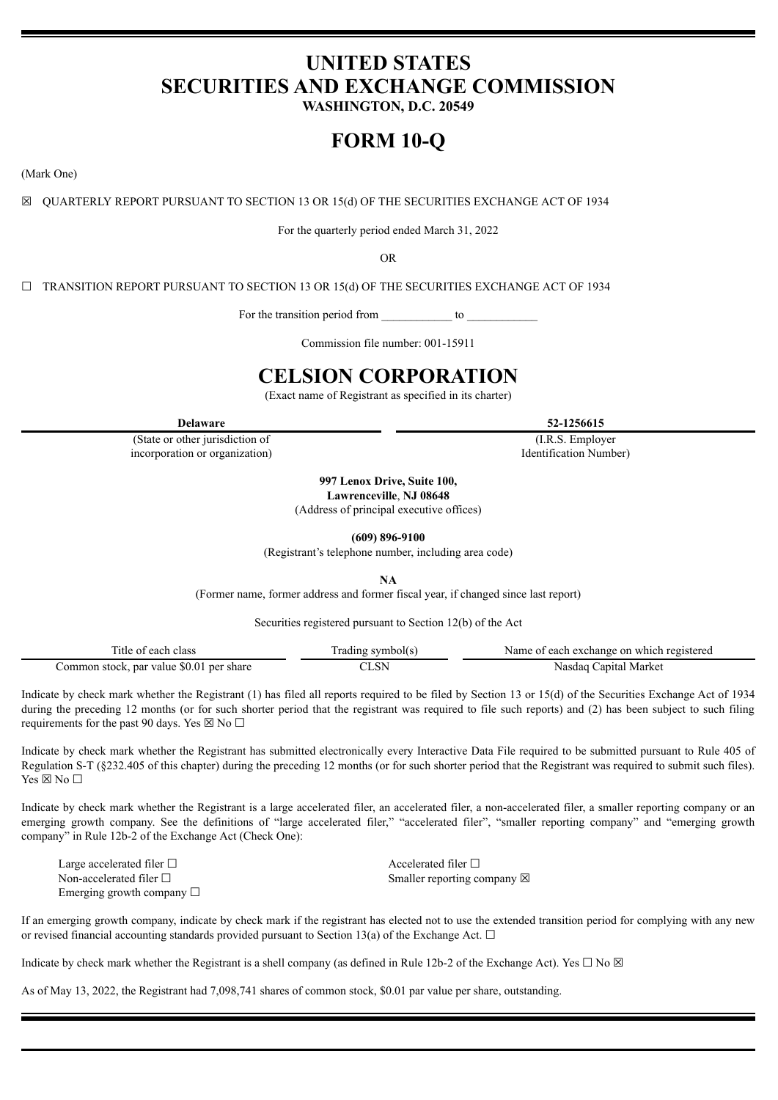# **UNITED STATES SECURITIES AND EXCHANGE COMMISSION**

**WASHINGTON, D.C. 20549**

# **FORM 10-Q**

(Mark One)

☒ QUARTERLY REPORT PURSUANT TO SECTION 13 OR 15(d) OF THE SECURITIES EXCHANGE ACT OF 1934

For the quarterly period ended March 31, 2022

OR

 $\Box$  TRANSITION REPORT PURSUANT TO SECTION 13 OR 15(d) OF THE SECURITIES EXCHANGE ACT OF 1934

For the transition period from to

Commission file number: 001-15911

# **CELSION CORPORATION**

(Exact name of Registrant as specified in its charter)

(State or other jurisdiction of incorporation or organization)

**997 Lenox Drive, Suite 100, Lawrenceville**, **NJ 08648**

(Address of principal executive offices)

**(609) 896-9100**

(Registrant's telephone number, including area code)

**NA**

(Former name, former address and former fiscal year, if changed since last report)

Securities registered pursuant to Section 12(b) of the Act

| itle of<br>. class<br>each               | symbol(s. | Name of each exchange on which registered |
|------------------------------------------|-----------|-------------------------------------------|
| Common stock, par value \$0.01 per share |           | Market<br>apıtal.<br>Nasdaq               |

Indicate by check mark whether the Registrant (1) has filed all reports required to be filed by Section 13 or 15(d) of the Securities Exchange Act of 1934 during the preceding 12 months (or for such shorter period that the registrant was required to file such reports) and (2) has been subject to such filing requirements for the past 90 days. Yes  $\boxtimes$  No  $\Box$ 

Indicate by check mark whether the Registrant has submitted electronically every Interactive Data File required to be submitted pursuant to Rule 405 of Regulation S-T (§232.405 of this chapter) during the preceding 12 months (or for such shorter period that the Registrant was required to submit such files). Yes  $\boxtimes$  No  $\square$ 

Indicate by check mark whether the Registrant is a large accelerated filer, an accelerated filer, a non-accelerated filer, a smaller reporting company or an emerging growth company. See the definitions of "large accelerated filer," "accelerated filer", "smaller reporting company" and "emerging growth company" in Rule 12b-2 of the Exchange Act (Check One):

Large accelerated filer □ accelerated filer □ Emerging growth company  $\Box$ 

Non-accelerated filer □ Smaller reporting company ⊠

If an emerging growth company, indicate by check mark if the registrant has elected not to use the extended transition period for complying with any new or revised financial accounting standards provided pursuant to Section 13(a) of the Exchange Act.  $\Box$ 

Indicate by check mark whether the Registrant is a shell company (as defined in Rule 12b-2 of the Exchange Act). Yes  $\Box$  No  $\boxtimes$ 

As of May 13, 2022, the Registrant had 7,098,741 shares of common stock, \$0.01 par value per share, outstanding.

**Delaware 52-1256615**

(I.R.S. Employer Identification Number)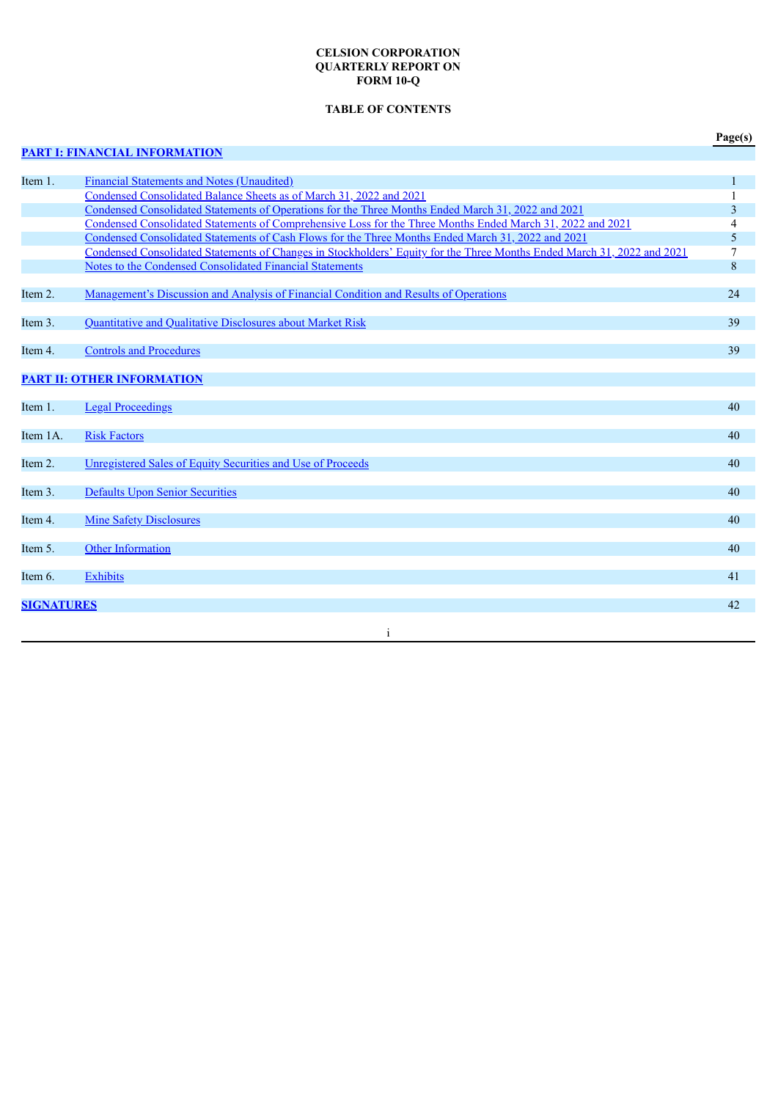# **CELSION CORPORATION QUARTERLY REPORT ON FORM 10-Q**

# **TABLE OF CONTENTS**

# **PART I: FINANCIAL [INFORMATION](#page-3-0)**

|--|

| Item 1.           | <b>Financial Statements and Notes (Unaudited)</b>                                                                       | 1                |
|-------------------|-------------------------------------------------------------------------------------------------------------------------|------------------|
|                   | Condensed Consolidated Balance Sheets as of March 31, 2022 and 2021                                                     |                  |
|                   | Condensed Consolidated Statements of Operations for the Three Months Ended March 31, 2022 and 2021                      | 3                |
|                   | Condensed Consolidated Statements of Comprehensive Loss for the Three Months Ended March 31, 2022 and 2021              | 4                |
|                   | Condensed Consolidated Statements of Cash Flows for the Three Months Ended March 31, 2022 and 2021                      | 5                |
|                   | Condensed Consolidated Statements of Changes in Stockholders' Equity for the Three Months Ended March 31, 2022 and 2021 | 7                |
|                   | Notes to the Condensed Consolidated Financial Statements                                                                | $\boldsymbol{8}$ |
| Item 2.           | Management's Discussion and Analysis of Financial Condition and Results of Operations                                   | 24               |
| Item 3.           | Quantitative and Qualitative Disclosures about Market Risk                                                              | 39               |
| Item 4.           | <b>Controls and Procedures</b>                                                                                          | 39               |
|                   | <b>PART II: OTHER INFORMATION</b>                                                                                       |                  |
| Item 1.           | <b>Legal Proceedings</b>                                                                                                | 40               |
| Item 1A.          | <b>Risk Factors</b>                                                                                                     | 40               |
| Item 2.           | Unregistered Sales of Equity Securities and Use of Proceeds                                                             | 40               |
| Item 3.           | <b>Defaults Upon Senior Securities</b>                                                                                  | 40               |
| Item 4.           | <b>Mine Safety Disclosures</b>                                                                                          | 40               |
| Item 5.           | Other Information                                                                                                       | 40               |
| Item 6.           | <b>Exhibits</b>                                                                                                         | 41               |
| <b>SIGNATURES</b> |                                                                                                                         | 42               |
|                   | $\mathbf{1}$                                                                                                            |                  |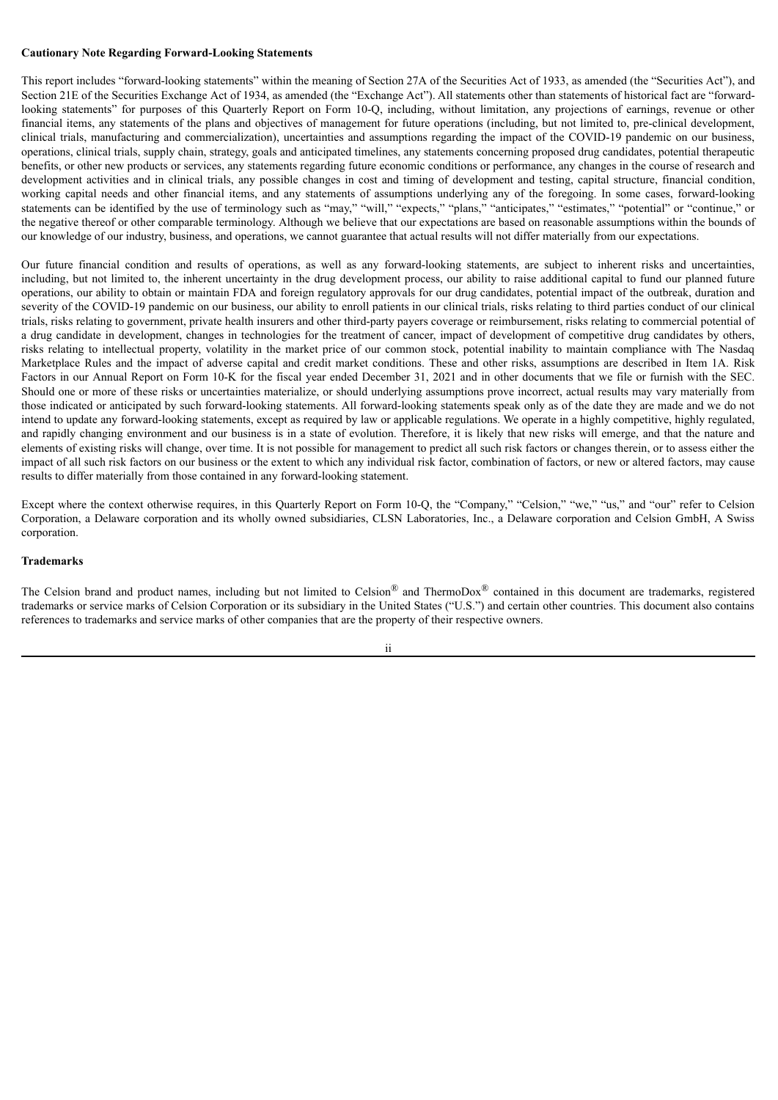#### **Cautionary Note Regarding Forward-Looking Statements**

This report includes "forward-looking statements" within the meaning of Section 27A of the Securities Act of 1933, as amended (the "Securities Act"), and Section 21E of the Securities Exchange Act of 1934, as amended (the "Exchange Act"). All statements other than statements of historical fact are "forwardlooking statements" for purposes of this Quarterly Report on Form 10-Q, including, without limitation, any projections of earnings, revenue or other financial items, any statements of the plans and objectives of management for future operations (including, but not limited to, pre-clinical development, clinical trials, manufacturing and commercialization), uncertainties and assumptions regarding the impact of the COVID-19 pandemic on our business, operations, clinical trials, supply chain, strategy, goals and anticipated timelines, any statements concerning proposed drug candidates, potential therapeutic benefits, or other new products or services, any statements regarding future economic conditions or performance, any changes in the course of research and development activities and in clinical trials, any possible changes in cost and timing of development and testing, capital structure, financial condition, working capital needs and other financial items, and any statements of assumptions underlying any of the foregoing. In some cases, forward-looking statements can be identified by the use of terminology such as "may," "will," "expects," "plans," "anticipates," "estimates," "potential" or "continue," or the negative thereof or other comparable terminology. Although we believe that our expectations are based on reasonable assumptions within the bounds of our knowledge of our industry, business, and operations, we cannot guarantee that actual results will not differ materially from our expectations.

Our future financial condition and results of operations, as well as any forward-looking statements, are subject to inherent risks and uncertainties, including, but not limited to, the inherent uncertainty in the drug development process, our ability to raise additional capital to fund our planned future operations, our ability to obtain or maintain FDA and foreign regulatory approvals for our drug candidates, potential impact of the outbreak, duration and severity of the COVID-19 pandemic on our business, our ability to enroll patients in our clinical trials, risks relating to third parties conduct of our clinical trials, risks relating to government, private health insurers and other third-party payers coverage or reimbursement, risks relating to commercial potential of a drug candidate in development, changes in technologies for the treatment of cancer, impact of development of competitive drug candidates by others, risks relating to intellectual property, volatility in the market price of our common stock, potential inability to maintain compliance with The Nasdaq Marketplace Rules and the impact of adverse capital and credit market conditions. These and other risks, assumptions are described in Item 1A. Risk Factors in our Annual Report on Form 10-K for the fiscal year ended December 31, 2021 and in other documents that we file or furnish with the SEC. Should one or more of these risks or uncertainties materialize, or should underlying assumptions prove incorrect, actual results may vary materially from those indicated or anticipated by such forward-looking statements. All forward-looking statements speak only as of the date they are made and we do not intend to update any forward-looking statements, except as required by law or applicable regulations. We operate in a highly competitive, highly regulated, and rapidly changing environment and our business is in a state of evolution. Therefore, it is likely that new risks will emerge, and that the nature and elements of existing risks will change, over time. It is not possible for management to predict all such risk factors or changes therein, or to assess either the impact of all such risk factors on our business or the extent to which any individual risk factor, combination of factors, or new or altered factors, may cause results to differ materially from those contained in any forward-looking statement.

Except where the context otherwise requires, in this Quarterly Report on Form 10-Q, the "Company," "Celsion," "we," "us," and "our" refer to Celsion Corporation, a Delaware corporation and its wholly owned subsidiaries, CLSN Laboratories, Inc., a Delaware corporation and Celsion GmbH, A Swiss corporation.

#### **Trademarks**

The Celsion brand and product names, including but not limited to Celsion<sup>®</sup> and ThermoDox<sup>®</sup> contained in this document are trademarks, registered trademarks or service marks of Celsion Corporation or its subsidiary in the United States ("U.S.") and certain other countries. This document also contains references to trademarks and service marks of other companies that are the property of their respective owners.

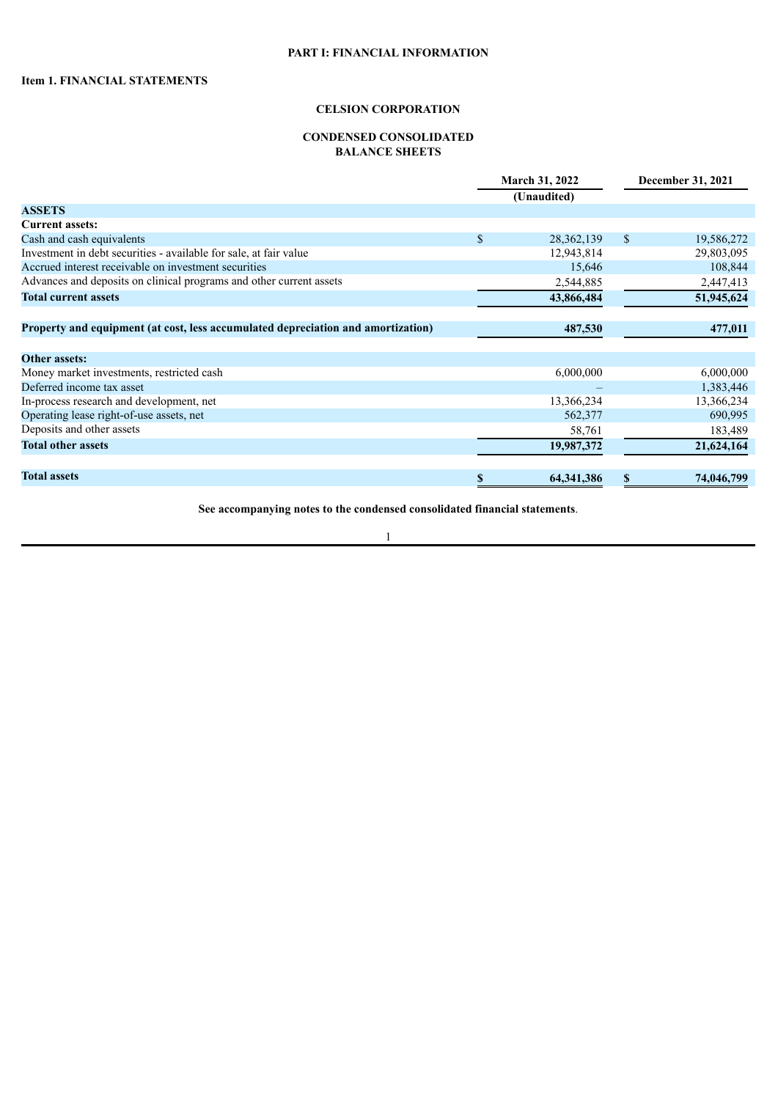# **PART I: FINANCIAL INFORMATION**

# **CELSION CORPORATION**

# **CONDENSED CONSOLIDATED BALANCE SHEETS**

<span id="page-3-2"></span><span id="page-3-1"></span><span id="page-3-0"></span>

|                                                                                  | <b>March 31, 2022</b> |              |               | December 31, 2021 |  |  |
|----------------------------------------------------------------------------------|-----------------------|--------------|---------------|-------------------|--|--|
|                                                                                  |                       | (Unaudited)  |               |                   |  |  |
| <b>ASSETS</b>                                                                    |                       |              |               |                   |  |  |
| <b>Current assets:</b>                                                           |                       |              |               |                   |  |  |
| Cash and cash equivalents                                                        | \$                    | 28, 362, 139 | <sup>\$</sup> | 19,586,272        |  |  |
| Investment in debt securities - available for sale, at fair value                |                       | 12,943,814   |               | 29,803,095        |  |  |
| Accrued interest receivable on investment securities                             |                       | 15,646       |               | 108,844           |  |  |
| Advances and deposits on clinical programs and other current assets              |                       | 2,544,885    |               | 2,447,413         |  |  |
| <b>Total current assets</b>                                                      |                       | 43,866,484   |               | 51,945,624        |  |  |
| Property and equipment (at cost, less accumulated depreciation and amortization) |                       | 487,530      |               | 477,011           |  |  |
|                                                                                  |                       |              |               |                   |  |  |
| <b>Other assets:</b>                                                             |                       |              |               |                   |  |  |
| Money market investments, restricted cash                                        |                       | 6,000,000    |               | 6,000,000         |  |  |
| Deferred income tax asset                                                        |                       |              |               | 1,383,446         |  |  |
| In-process research and development, net                                         |                       | 13,366,234   |               | 13,366,234        |  |  |
| Operating lease right-of-use assets, net                                         |                       | 562,377      |               | 690,995           |  |  |
| Deposits and other assets                                                        |                       | 58,761       |               | 183,489           |  |  |
| <b>Total other assets</b>                                                        |                       | 19,987,372   |               | 21,624,164        |  |  |
| <b>Total assets</b>                                                              | S                     | 64,341,386   | S             | 74,046,799        |  |  |

**See accompanying notes to the condensed consolidated financial statements**.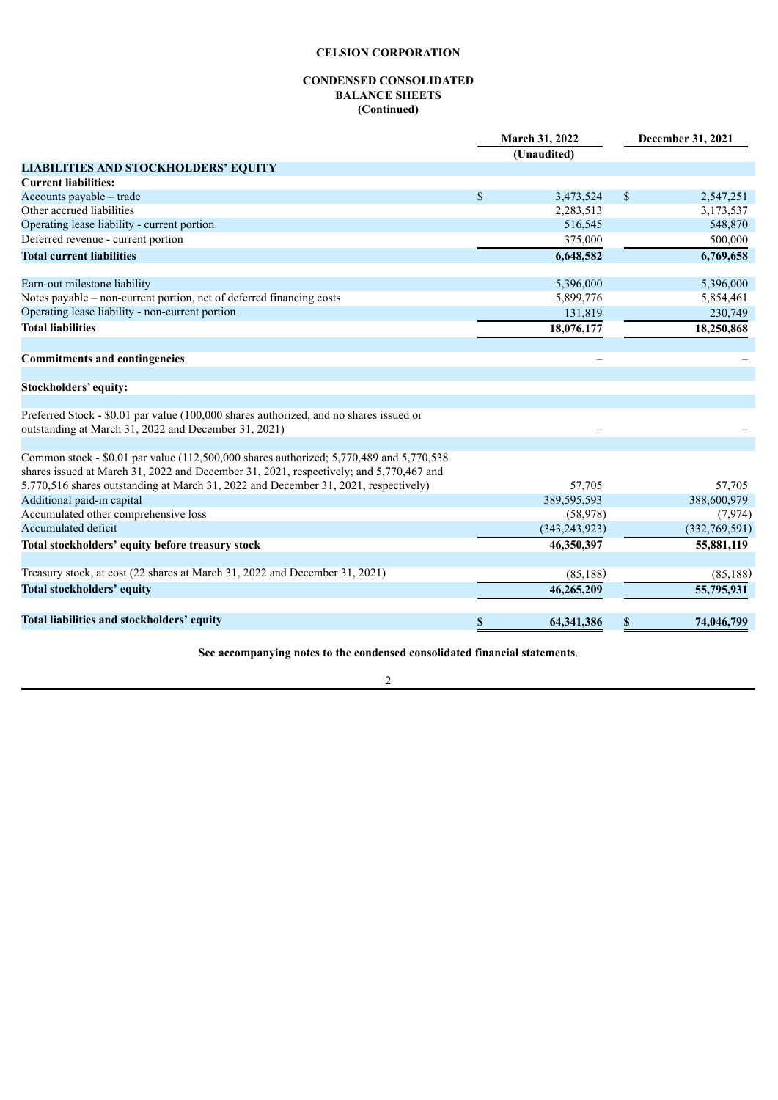# **CONDENSED CONSOLIDATED BALANCE SHEETS (Continued)**

|                                                                                                                                                                                   |               | March 31, 2022  | December 31, 2021 |               |  |
|-----------------------------------------------------------------------------------------------------------------------------------------------------------------------------------|---------------|-----------------|-------------------|---------------|--|
|                                                                                                                                                                                   |               | (Unaudited)     |                   |               |  |
| <b>LIABILITIES AND STOCKHOLDERS' EQUITY</b>                                                                                                                                       |               |                 |                   |               |  |
| <b>Current liabilities:</b>                                                                                                                                                       |               |                 |                   |               |  |
| Accounts payable – trade                                                                                                                                                          | $\mathbf S$   | 3,473,524       | $\mathbb{S}$      | 2,547,251     |  |
| Other accrued liabilities                                                                                                                                                         |               | 2,283,513       |                   | 3,173,537     |  |
| Operating lease liability - current portion                                                                                                                                       |               | 516,545         |                   | 548,870       |  |
| Deferred revenue - current portion                                                                                                                                                |               | 375,000         |                   | 500,000       |  |
| <b>Total current liabilities</b>                                                                                                                                                  |               | 6,648,582       |                   | 6,769,658     |  |
| Earn-out milestone liability                                                                                                                                                      |               | 5,396,000       |                   | 5,396,000     |  |
| Notes payable - non-current portion, net of deferred financing costs                                                                                                              |               | 5,899,776       |                   | 5,854,461     |  |
| Operating lease liability - non-current portion                                                                                                                                   |               | 131,819         |                   | 230,749       |  |
| <b>Total liabilities</b>                                                                                                                                                          |               | 18,076,177      |                   | 18,250,868    |  |
| <b>Commitments and contingencies</b>                                                                                                                                              |               |                 |                   |               |  |
| Stockholders' equity:                                                                                                                                                             |               |                 |                   |               |  |
|                                                                                                                                                                                   |               |                 |                   |               |  |
| Preferred Stock - \$0.01 par value (100,000 shares authorized, and no shares issued or<br>outstanding at March 31, 2022 and December 31, 2021)                                    |               |                 |                   |               |  |
|                                                                                                                                                                                   |               |                 |                   |               |  |
| Common stock - \$0.01 par value (112,500,000 shares authorized; 5,770,489 and 5,770,538<br>shares issued at March 31, 2022 and December 31, 2021, respectively; and 5,770,467 and |               |                 |                   |               |  |
| 5,770,516 shares outstanding at March 31, 2022 and December 31, 2021, respectively)                                                                                               |               | 57,705          |                   | 57,705        |  |
| Additional paid-in capital                                                                                                                                                        |               | 389,595,593     |                   | 388,600,979   |  |
| Accumulated other comprehensive loss                                                                                                                                              |               | (58, 978)       |                   | (7, 974)      |  |
| Accumulated deficit                                                                                                                                                               |               | (343, 243, 923) |                   | (332,769,591) |  |
| Total stockholders' equity before treasury stock                                                                                                                                  |               | 46,350,397      |                   | 55,881,119    |  |
| Treasury stock, at cost (22 shares at March 31, 2022 and December 31, 2021)                                                                                                       |               | (85, 188)       |                   | (85, 188)     |  |
| <b>Total stockholders' equity</b>                                                                                                                                                 |               | 46,265,209      |                   | 55,795,931    |  |
| Total liabilities and stockholders' equity                                                                                                                                        | <sup>\$</sup> | 64,341,386      | S                 | 74,046,799    |  |
|                                                                                                                                                                                   |               |                 |                   |               |  |

**See accompanying notes to the condensed consolidated financial statements**.

2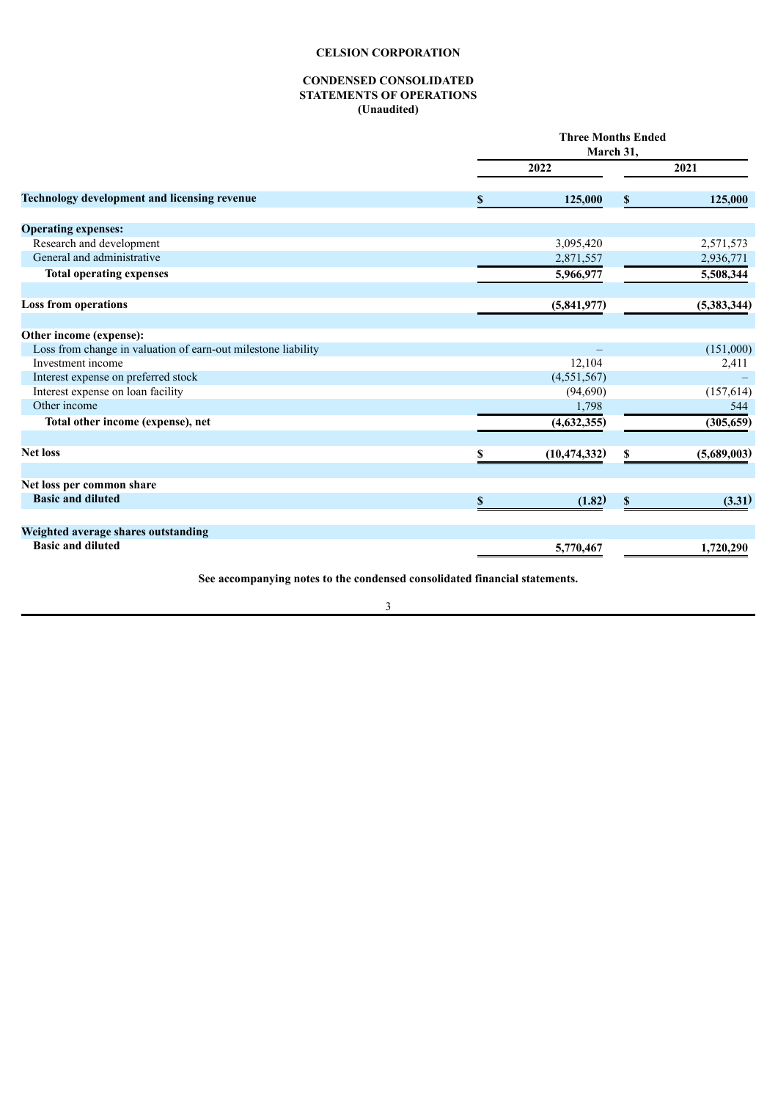## **CONDENSED CONSOLIDATED STATEMENTS OF OPERATIONS (Unaudited)**

<span id="page-5-0"></span>

|                                                               |    | <b>Three Months Ended</b><br>March 31, |              |             |  |  |
|---------------------------------------------------------------|----|----------------------------------------|--------------|-------------|--|--|
|                                                               |    | 2022                                   | 2021         |             |  |  |
| Technology development and licensing revenue                  | \$ | 125,000                                | \$           | 125,000     |  |  |
| <b>Operating expenses:</b>                                    |    |                                        |              |             |  |  |
| Research and development                                      |    | 3,095,420                              |              | 2,571,573   |  |  |
| General and administrative                                    |    | 2,871,557                              |              | 2,936,771   |  |  |
| <b>Total operating expenses</b>                               |    | 5,966,977                              |              | 5,508,344   |  |  |
| <b>Loss from operations</b>                                   |    | (5,841,977)                            |              | (5,383,344) |  |  |
| Other income (expense):                                       |    |                                        |              |             |  |  |
| Loss from change in valuation of earn-out milestone liability |    |                                        |              | (151,000)   |  |  |
| Investment income                                             |    | 12,104                                 |              | 2,411       |  |  |
| Interest expense on preferred stock                           |    | (4,551,567)                            |              |             |  |  |
| Interest expense on loan facility                             |    | (94,690)                               |              | (157, 614)  |  |  |
| Other income                                                  |    | 1,798                                  |              | 544         |  |  |
| Total other income (expense), net                             |    | (4,632,355)                            |              | (305, 659)  |  |  |
| <b>Net loss</b>                                               | S. | (10, 474, 332)                         | \$           | (5,689,003) |  |  |
| Net loss per common share                                     |    |                                        |              |             |  |  |
| <b>Basic and diluted</b>                                      | \$ | (1.82)                                 | $\mathbf{s}$ | (3.31)      |  |  |
| Weighted average shares outstanding                           |    |                                        |              |             |  |  |
| <b>Basic and diluted</b>                                      |    | 5,770,467                              |              | 1,720,290   |  |  |

**See accompanying notes to the condensed consolidated financial statements.**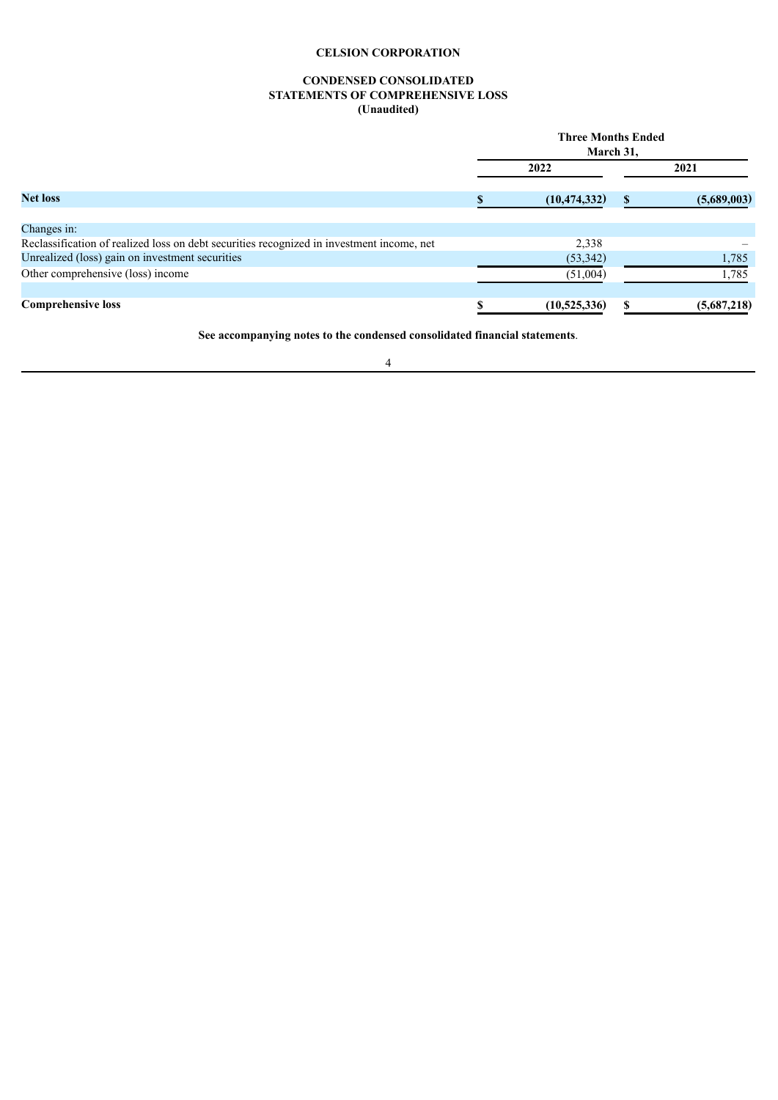# **CONDENSED CONSOLIDATED STATEMENTS OF COMPREHENSIVE LOSS (Unaudited)**

<span id="page-6-0"></span>

|                                                                                           | <b>Three Months Ended</b><br>March 31, |                |               |             |  |  |
|-------------------------------------------------------------------------------------------|----------------------------------------|----------------|---------------|-------------|--|--|
| <b>Net loss</b>                                                                           |                                        | 2022           | 2021          |             |  |  |
|                                                                                           |                                        | (10, 474, 332) | <sup>\$</sup> | (5,689,003) |  |  |
| Changes in:                                                                               |                                        |                |               |             |  |  |
| Reclassification of realized loss on debt securities recognized in investment income, net |                                        | 2,338          |               |             |  |  |
| Unrealized (loss) gain on investment securities                                           |                                        | (53, 342)      |               | 1,785       |  |  |
| Other comprehensive (loss) income                                                         |                                        | (51,004)       |               | 1,785       |  |  |
|                                                                                           |                                        |                |               |             |  |  |
| <b>Comprehensive loss</b>                                                                 |                                        | (10, 525, 336) | \$.           | (5,687,218) |  |  |

**See accompanying notes to the condensed consolidated financial statements**.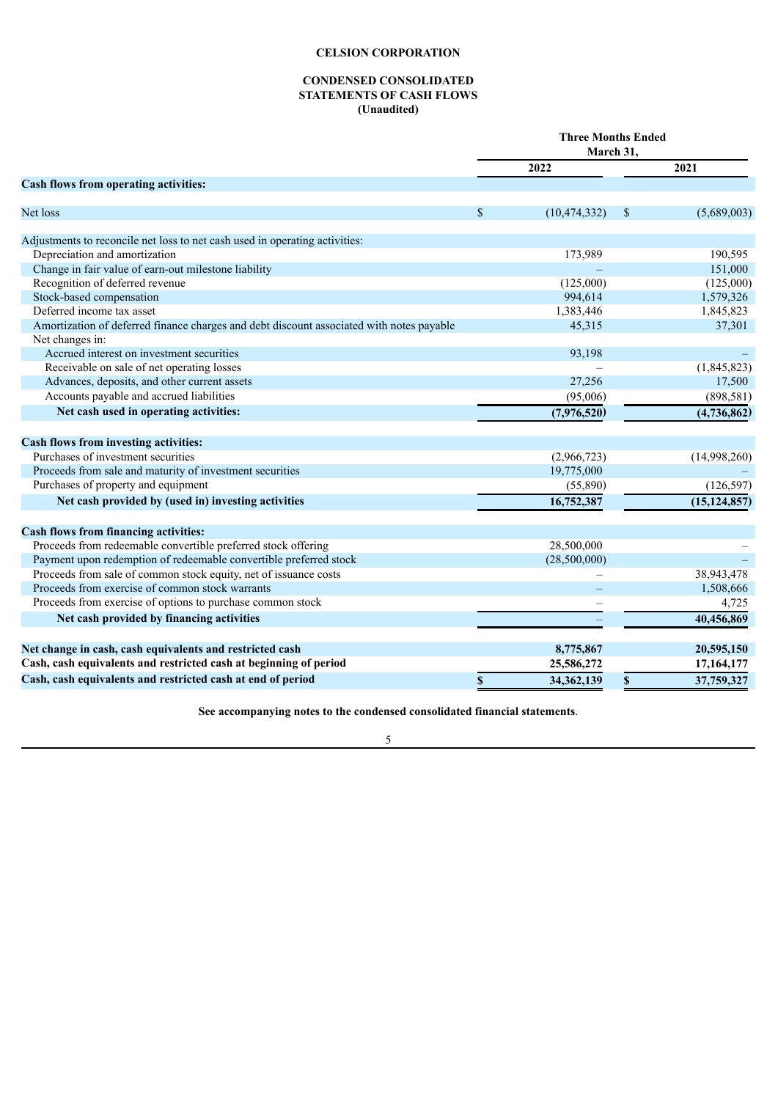#### **CONDENSED CONSOLIDATED STATEMENTS OF CASH FLOWS (Unaudited)**

<span id="page-7-0"></span>

|                                                                                          |             | <b>Three Months Ended</b><br>March 31, |             |                |  |  |
|------------------------------------------------------------------------------------------|-------------|----------------------------------------|-------------|----------------|--|--|
|                                                                                          |             | 2022                                   |             | 2021           |  |  |
| Cash flows from operating activities:                                                    |             |                                        |             |                |  |  |
| Net loss                                                                                 | $\mathbf S$ | (10, 474, 332)                         | \$          | (5,689,003)    |  |  |
| Adjustments to reconcile net loss to net cash used in operating activities:              |             |                                        |             |                |  |  |
| Depreciation and amortization                                                            |             | 173,989                                |             | 190,595        |  |  |
| Change in fair value of earn-out milestone liability                                     |             |                                        |             | 151,000        |  |  |
| Recognition of deferred revenue                                                          |             | (125,000)                              |             | (125,000)      |  |  |
| Stock-based compensation                                                                 |             | 994,614                                |             | 1,579,326      |  |  |
| Deferred income tax asset                                                                |             | 1,383,446                              |             | 1,845,823      |  |  |
| Amortization of deferred finance charges and debt discount associated with notes payable |             | 45,315                                 |             | 37,301         |  |  |
| Net changes in:                                                                          |             |                                        |             |                |  |  |
| Accrued interest on investment securities                                                |             | 93,198                                 |             |                |  |  |
| Receivable on sale of net operating losses                                               |             |                                        |             | (1,845,823)    |  |  |
| Advances, deposits, and other current assets                                             |             | 27,256                                 |             | 17,500         |  |  |
| Accounts payable and accrued liabilities                                                 |             | (95,006)                               |             | (898, 581)     |  |  |
| Net cash used in operating activities:                                                   |             | (7,976,520)                            |             | (4,736,862)    |  |  |
| Cash flows from investing activities:                                                    |             |                                        |             |                |  |  |
| Purchases of investment securities                                                       |             | (2,966,723)                            |             | (14,998,260)   |  |  |
| Proceeds from sale and maturity of investment securities                                 |             | 19,775,000                             |             |                |  |  |
| Purchases of property and equipment                                                      |             | (55,890)                               |             | (126, 597)     |  |  |
| Net cash provided by (used in) investing activities                                      |             | 16,752,387                             |             | (15, 124, 857) |  |  |
| <b>Cash flows from financing activities:</b>                                             |             |                                        |             |                |  |  |
| Proceeds from redeemable convertible preferred stock offering                            |             | 28,500,000                             |             |                |  |  |
| Payment upon redemption of redeemable convertible preferred stock                        |             | (28,500,000)                           |             |                |  |  |
| Proceeds from sale of common stock equity, net of issuance costs                         |             |                                        |             | 38,943,478     |  |  |
| Proceeds from exercise of common stock warrants                                          |             |                                        |             | 1,508,666      |  |  |
| Proceeds from exercise of options to purchase common stock                               |             |                                        |             | 4,725          |  |  |
| Net cash provided by financing activities                                                |             |                                        |             | 40,456,869     |  |  |
| Net change in cash, cash equivalents and restricted cash                                 |             | 8,775,867                              |             | 20,595,150     |  |  |
| Cash, cash equivalents and restricted cash at beginning of period                        |             | 25,586,272                             |             | 17,164,177     |  |  |
| Cash, cash equivalents and restricted cash at end of period                              | $\mathbf S$ | 34,362,139                             | $\mathbf S$ | 37,759,327     |  |  |

**See accompanying notes to the condensed consolidated financial statements**.

5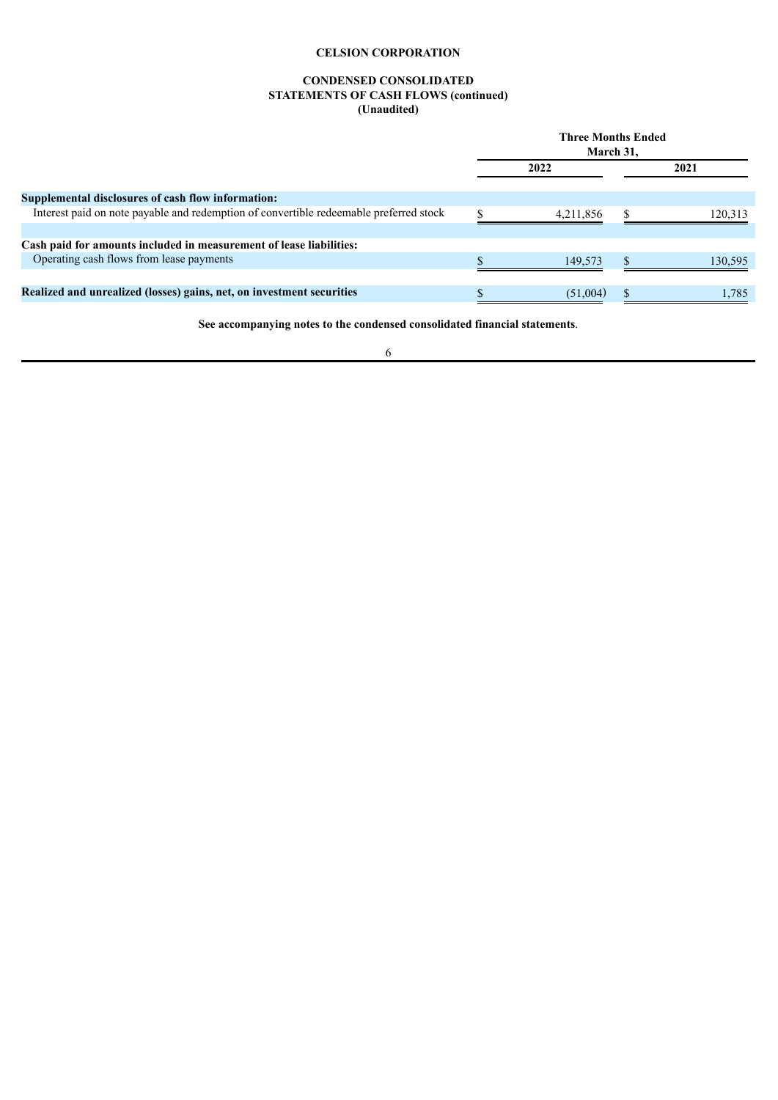## **CONDENSED CONSOLIDATED STATEMENTS OF CASH FLOWS (continued) (Unaudited)**

|                                                                                        | <b>Three Months Ended</b><br>March 31, |           |  |         |  |
|----------------------------------------------------------------------------------------|----------------------------------------|-----------|--|---------|--|
|                                                                                        |                                        | 2022      |  | 2021    |  |
| Supplemental disclosures of cash flow information:                                     |                                        |           |  |         |  |
| Interest paid on note payable and redemption of convertible redeemable preferred stock |                                        | 4,211,856 |  | 120.313 |  |
| Cash paid for amounts included in measurement of lease liabilities:                    |                                        |           |  |         |  |
| Operating cash flows from lease payments                                               |                                        | 149.573   |  | 130,595 |  |
|                                                                                        |                                        |           |  |         |  |
| Realized and unrealized (losses) gains, net, on investment securities                  |                                        | (51,004)  |  | 1.785   |  |

**See accompanying notes to the condensed consolidated financial statements**.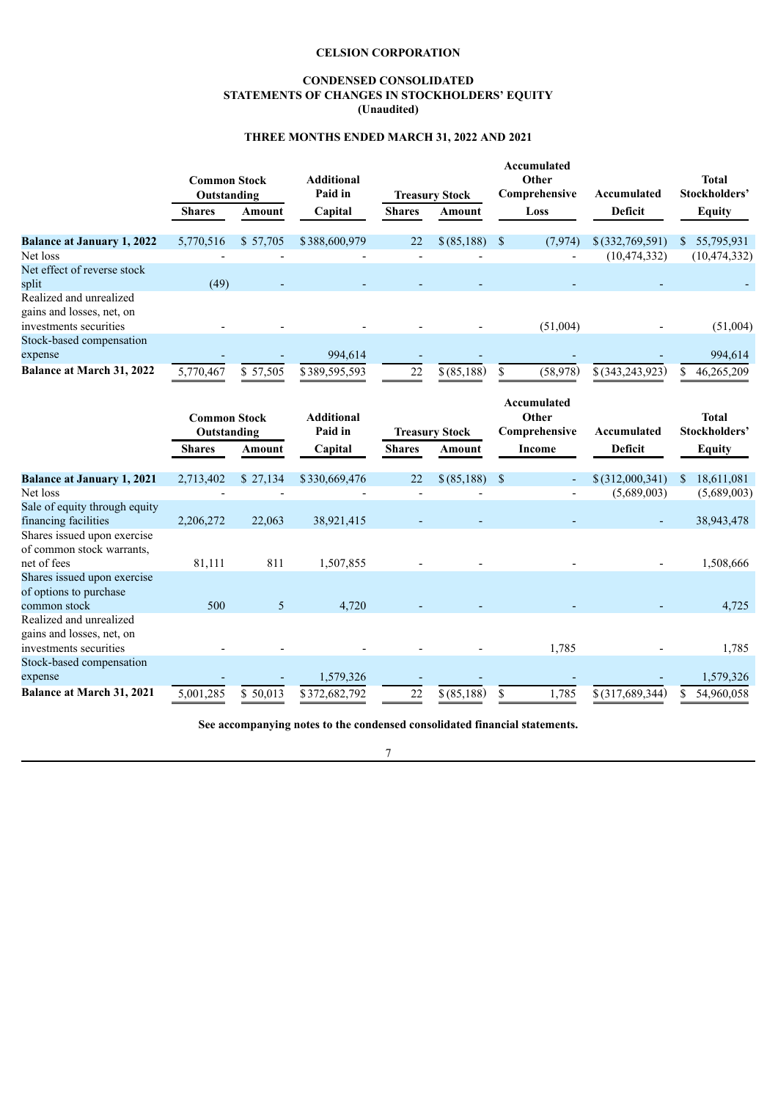## **CONDENSED CONSOLIDATED STATEMENTS OF CHANGES IN STOCKHOLDERS' EQUITY (Unaudited)**

# **THREE MONTHS ENDED MARCH 31, 2022 AND 2021**

<span id="page-9-0"></span>

|                                   | <b>Common Stock</b><br>Outstanding<br><b>Shares</b> |          | <b>Additional</b><br>Paid in |               | <b>Treasury Stock</b> | Accumulated<br>Other<br>Comprehensive<br>Accumulated |                     | <b>Total</b><br>Stockholders' |
|-----------------------------------|-----------------------------------------------------|----------|------------------------------|---------------|-----------------------|------------------------------------------------------|---------------------|-------------------------------|
|                                   |                                                     | Amount   | Capital                      | <b>Shares</b> | <b>Amount</b><br>Loss |                                                      | <b>Deficit</b>      | <b>Equity</b>                 |
| <b>Balance at January 1, 2022</b> | 5,770,516                                           | \$57,705 | \$388,600,979                | 22            | \$ (85,188)           | <sup>\$</sup><br>(7, 974)                            | $$$ $(332,769,591)$ | \$55,795,931                  |
| Net loss                          |                                                     |          |                              |               |                       | $\overline{a}$                                       | (10, 474, 332)      | (10, 474, 332)                |
| Net effect of reverse stock       |                                                     |          |                              |               |                       |                                                      |                     |                               |
| split                             | (49)                                                |          |                              |               |                       |                                                      |                     |                               |
| Realized and unrealized           |                                                     |          |                              |               |                       |                                                      |                     |                               |
| gains and losses, net, on         |                                                     |          |                              |               |                       |                                                      |                     |                               |
| investments securities            |                                                     |          |                              |               |                       | (51,004)                                             |                     | (51,004)                      |
| Stock-based compensation          |                                                     |          |                              |               |                       |                                                      |                     |                               |
| expense                           |                                                     |          | 994,614                      |               |                       |                                                      |                     | 994,614                       |
| Balance at March 31, 2022         | 5,770,467                                           | \$57,505 | \$389,595,593                | 22            | \$ (85,188)           | (58,978)<br>\$                                       | $$$ (343,243,923)   | 46,265,209<br>S               |
|                                   |                                                     |          |                              |               |                       |                                                      |                     |                               |
|                                   |                                                     |          |                              |               |                       | Accumulated                                          |                     |                               |
|                                   | <b>Common Stock</b>                                 |          | <b>Additional</b>            |               |                       | Other                                                |                     | <b>Total</b>                  |
|                                   | Outstanding                                         |          | Paid in                      |               | <b>Treasury Stock</b> | Comprehensive                                        | Accumulated         | Stockholders'                 |
|                                   | <b>Shares</b>                                       | Amount   | Capital                      | <b>Shares</b> | Amount                | <b>Income</b>                                        | Deficit             | <b>Equity</b>                 |
| <b>Balance at January 1, 2021</b> | 2,713,402                                           | \$27,134 | \$330,669,476                | 22            | \$ (85,188)           | $\mathcal{S}$<br>$\overline{\phantom{a}}$            | $$$ $(312,000,341)$ | <sup>\$</sup><br>18,611,081   |
| Net loss                          |                                                     |          |                              |               |                       |                                                      | (5,689,003)         | (5,689,003)                   |
| Sale of equity through equity     |                                                     |          |                              |               |                       |                                                      |                     |                               |
| financing facilities              | 2,206,272                                           | 22,063   | 38,921,415                   |               |                       |                                                      |                     | 38,943,478                    |
| Shares issued upon exercise       |                                                     |          |                              |               |                       |                                                      |                     |                               |
| of common stock warrants,         |                                                     |          |                              |               |                       |                                                      |                     |                               |
| net of fees                       | 81,111                                              | 811      | 1,507,855                    |               |                       |                                                      |                     | 1,508,666                     |
| Shares issued upon exercise       |                                                     |          |                              |               |                       |                                                      |                     |                               |
| of options to purchase            |                                                     |          |                              |               |                       |                                                      |                     |                               |
| common stock                      | 500                                                 | 5        | 4,720                        |               |                       |                                                      |                     | 4,725                         |
| Realized and unrealized           |                                                     |          |                              |               |                       |                                                      |                     |                               |
| gains and losses, net, on         |                                                     |          |                              |               |                       |                                                      |                     |                               |
| investments securities            |                                                     |          |                              |               |                       | 1,785                                                |                     | 1,785                         |
| Stock-based compensation          |                                                     |          |                              |               |                       |                                                      |                     |                               |
| expense                           |                                                     |          | 1,579,326                    |               |                       |                                                      |                     | 1,579,326                     |
| Balance at March 31, 2021         | 5,001,285                                           | \$50,013 | \$372,682,792                | 22            | \$ (85,188)           | 1,785<br>\$                                          | $$$ (317,689,344)   | 54.960.058<br>\$              |

**See accompanying notes to the condensed consolidated financial statements.**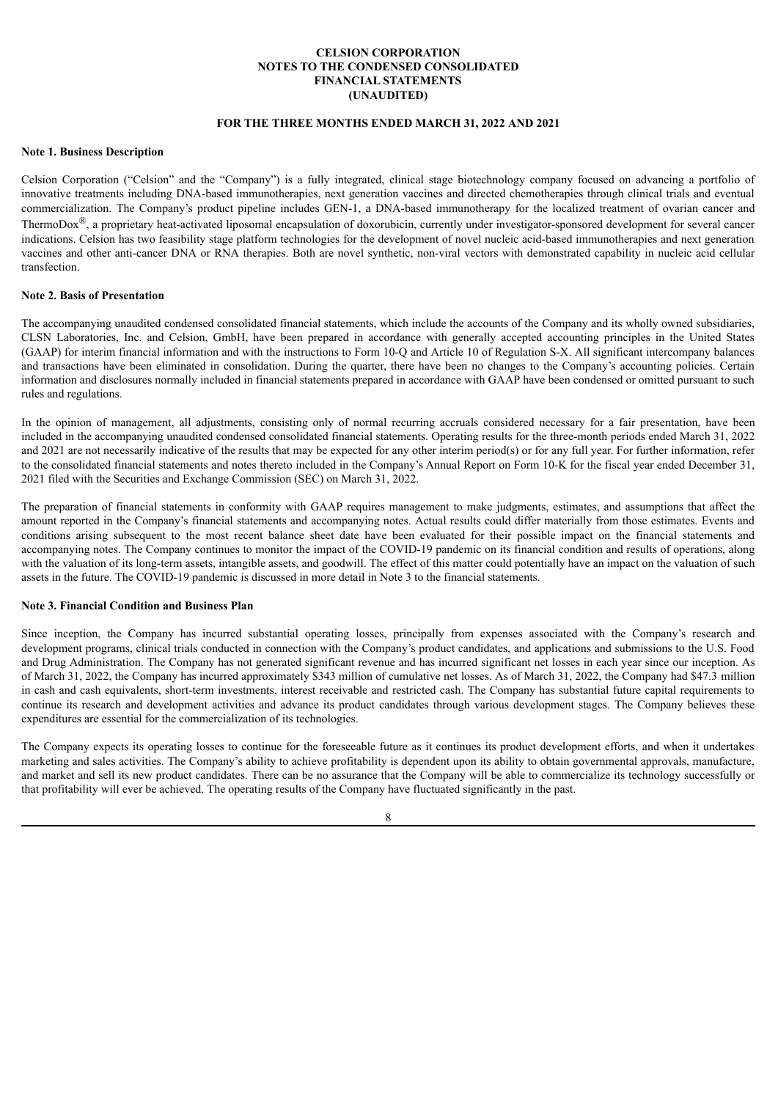# **CELSION CORPORATION NOTES TO THE CONDENSED CONSOLIDATED FINANCIAL STATEMENTS (UNAUDITED)**

#### **FOR THE THREE MONTHS ENDED MARCH 31, 2022 AND 2021**

#### <span id="page-10-0"></span>**Note 1. Business Description**

Celsion Corporation ("Celsion" and the "Company") is a fully integrated, clinical stage biotechnology company focused on advancing a portfolio of innovative treatments including DNA-based immunotherapies, next generation vaccines and directed chemotherapies through clinical trials and eventual commercialization. The Company's product pipeline includes GEN-1, a DNA-based immunotherapy for the localized treatment of ovarian cancer and ThermoDox<sup>®</sup>, a proprietary heat-activated liposomal encapsulation of doxorubicin, currently under investigator-sponsored development for several cancer indications. Celsion has two feasibility stage platform technologies for the development of novel nucleic acid-based immunotherapies and next generation vaccines and other anti-cancer DNA or RNA therapies. Both are novel synthetic, non-viral vectors with demonstrated capability in nucleic acid cellular transfection.

#### **Note 2. Basis of Presentation**

The accompanying unaudited condensed consolidated financial statements, which include the accounts of the Company and its wholly owned subsidiaries, CLSN Laboratories, Inc. and Celsion, GmbH, have been prepared in accordance with generally accepted accounting principles in the United States (GAAP) for interim financial information and with the instructions to Form 10-Q and Article 10 of Regulation S-X. All significant intercompany balances and transactions have been eliminated in consolidation. During the quarter, there have been no changes to the Company's accounting policies. Certain information and disclosures normally included in financial statements prepared in accordance with GAAP have been condensed or omitted pursuant to such rules and regulations.

In the opinion of management, all adjustments, consisting only of normal recurring accruals considered necessary for a fair presentation, have been included in the accompanying unaudited condensed consolidated financial statements. Operating results for the three-month periods ended March 31, 2022 and 2021 are not necessarily indicative of the results that may be expected for any other interim period(s) or for any full year. For further information, refer to the consolidated financial statements and notes thereto included in the Company's Annual Report on Form 10-K for the fiscal year ended December 31, 2021 filed with the Securities and Exchange Commission (SEC) on March 31, 2022.

The preparation of financial statements in conformity with GAAP requires management to make judgments, estimates, and assumptions that affect the amount reported in the Company's financial statements and accompanying notes. Actual results could differ materially from those estimates. Events and conditions arising subsequent to the most recent balance sheet date have been evaluated for their possible impact on the financial statements and accompanying notes. The Company continues to monitor the impact of the COVID-19 pandemic on its financial condition and results of operations, along with the valuation of its long-term assets, intangible assets, and goodwill. The effect of this matter could potentially have an impact on the valuation of such assets in the future. The COVID-19 pandemic is discussed in more detail in Note 3 to the financial statements.

#### **Note 3. Financial Condition and Business Plan**

Since inception, the Company has incurred substantial operating losses, principally from expenses associated with the Company's research and development programs, clinical trials conducted in connection with the Company's product candidates, and applications and submissions to the U.S. Food and Drug Administration. The Company has not generated significant revenue and has incurred significant net losses in each year since our inception. As of March 31, 2022, the Company has incurred approximately \$343 million of cumulative net losses. As of March 31, 2022, the Company had \$47.3 million in cash and cash equivalents, short-term investments, interest receivable and restricted cash. The Company has substantial future capital requirements to continue its research and development activities and advance its product candidates through various development stages. The Company believes these expenditures are essential for the commercialization of its technologies.

The Company expects its operating losses to continue for the foreseeable future as it continues its product development efforts, and when it undertakes marketing and sales activities. The Company's ability to achieve profitability is dependent upon its ability to obtain governmental approvals, manufacture, and market and sell its new product candidates. There can be no assurance that the Company will be able to commercialize its technology successfully or that profitability will ever be achieved. The operating results of the Company have fluctuated significantly in the past.

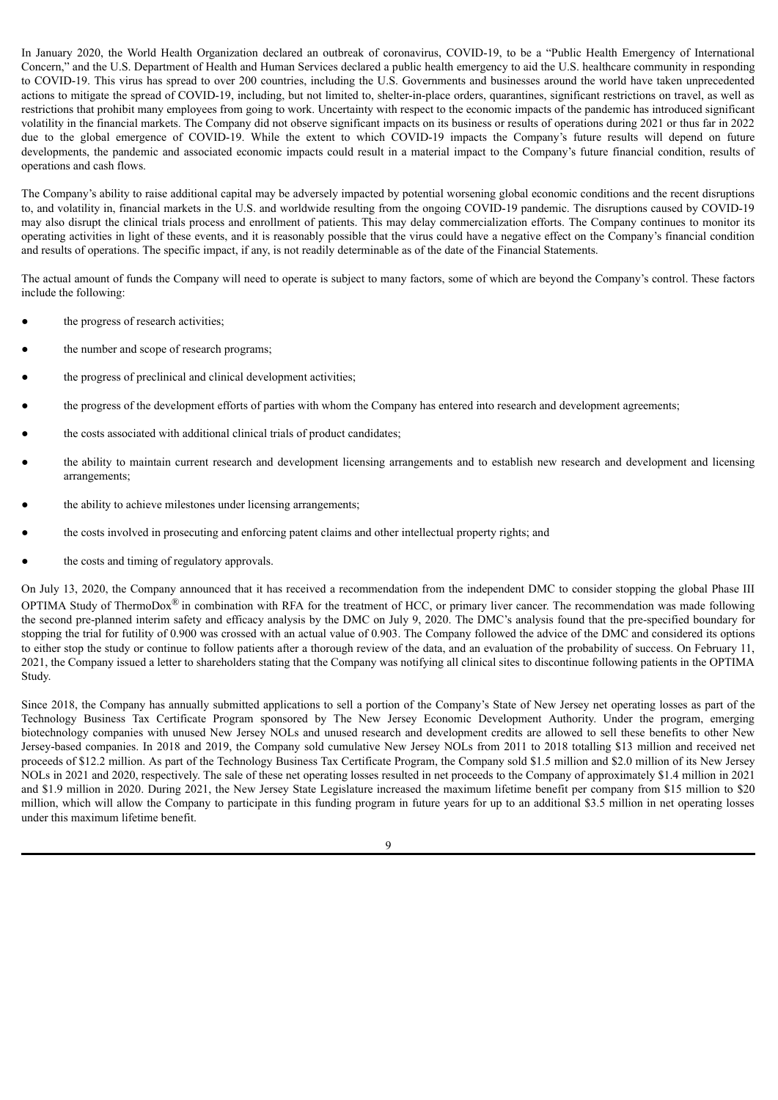In January 2020, the World Health Organization declared an outbreak of coronavirus, COVID-19, to be a "Public Health Emergency of International Concern," and the U.S. Department of Health and Human Services declared a public health emergency to aid the U.S. healthcare community in responding to COVID-19. This virus has spread to over 200 countries, including the U.S. Governments and businesses around the world have taken unprecedented actions to mitigate the spread of COVID-19, including, but not limited to, shelter-in-place orders, quarantines, significant restrictions on travel, as well as restrictions that prohibit many employees from going to work. Uncertainty with respect to the economic impacts of the pandemic has introduced significant volatility in the financial markets. The Company did not observe significant impacts on its business or results of operations during 2021 or thus far in 2022 due to the global emergence of COVID-19. While the extent to which COVID-19 impacts the Company's future results will depend on future developments, the pandemic and associated economic impacts could result in a material impact to the Company's future financial condition, results of operations and cash flows.

The Company's ability to raise additional capital may be adversely impacted by potential worsening global economic conditions and the recent disruptions to, and volatility in, financial markets in the U.S. and worldwide resulting from the ongoing COVID-19 pandemic. The disruptions caused by COVID-19 may also disrupt the clinical trials process and enrollment of patients. This may delay commercialization efforts. The Company continues to monitor its operating activities in light of these events, and it is reasonably possible that the virus could have a negative effect on the Company's financial condition and results of operations. The specific impact, if any, is not readily determinable as of the date of the Financial Statements.

The actual amount of funds the Company will need to operate is subject to many factors, some of which are beyond the Company's control. These factors include the following:

- the progress of research activities;
- the number and scope of research programs;
- the progress of preclinical and clinical development activities;
- the progress of the development efforts of parties with whom the Company has entered into research and development agreements;
- the costs associated with additional clinical trials of product candidates;
- the ability to maintain current research and development licensing arrangements and to establish new research and development and licensing arrangements;
- the ability to achieve milestones under licensing arrangements;
- the costs involved in prosecuting and enforcing patent claims and other intellectual property rights; and
- the costs and timing of regulatory approvals.

On July 13, 2020, the Company announced that it has received a recommendation from the independent DMC to consider stopping the global Phase III OPTIMA Study of ThermoDox<sup>®</sup> in combination with RFA for the treatment of HCC, or primary liver cancer. The recommendation was made following the second pre-planned interim safety and efficacy analysis by the DMC on July 9, 2020. The DMC's analysis found that the pre-specified boundary for stopping the trial for futility of 0.900 was crossed with an actual value of 0.903. The Company followed the advice of the DMC and considered its options to either stop the study or continue to follow patients after a thorough review of the data, and an evaluation of the probability of success. On February 11, 2021, the Company issued a letter to shareholders stating that the Company was notifying all clinical sites to discontinue following patients in the OPTIMA Study.

Since 2018, the Company has annually submitted applications to sell a portion of the Company's State of New Jersey net operating losses as part of the Technology Business Tax Certificate Program sponsored by The New Jersey Economic Development Authority. Under the program, emerging biotechnology companies with unused New Jersey NOLs and unused research and development credits are allowed to sell these benefits to other New Jersey-based companies. In 2018 and 2019, the Company sold cumulative New Jersey NOLs from 2011 to 2018 totalling \$13 million and received net proceeds of \$12.2 million. As part of the Technology Business Tax Certificate Program, the Company sold \$1.5 million and \$2.0 million of its New Jersey NOLs in 2021 and 2020, respectively. The sale of these net operating losses resulted in net proceeds to the Company of approximately \$1.4 million in 2021 and \$1.9 million in 2020. During 2021, the New Jersey State Legislature increased the maximum lifetime benefit per company from \$15 million to \$20 million, which will allow the Company to participate in this funding program in future years for up to an additional \$3.5 million in net operating losses under this maximum lifetime benefit.

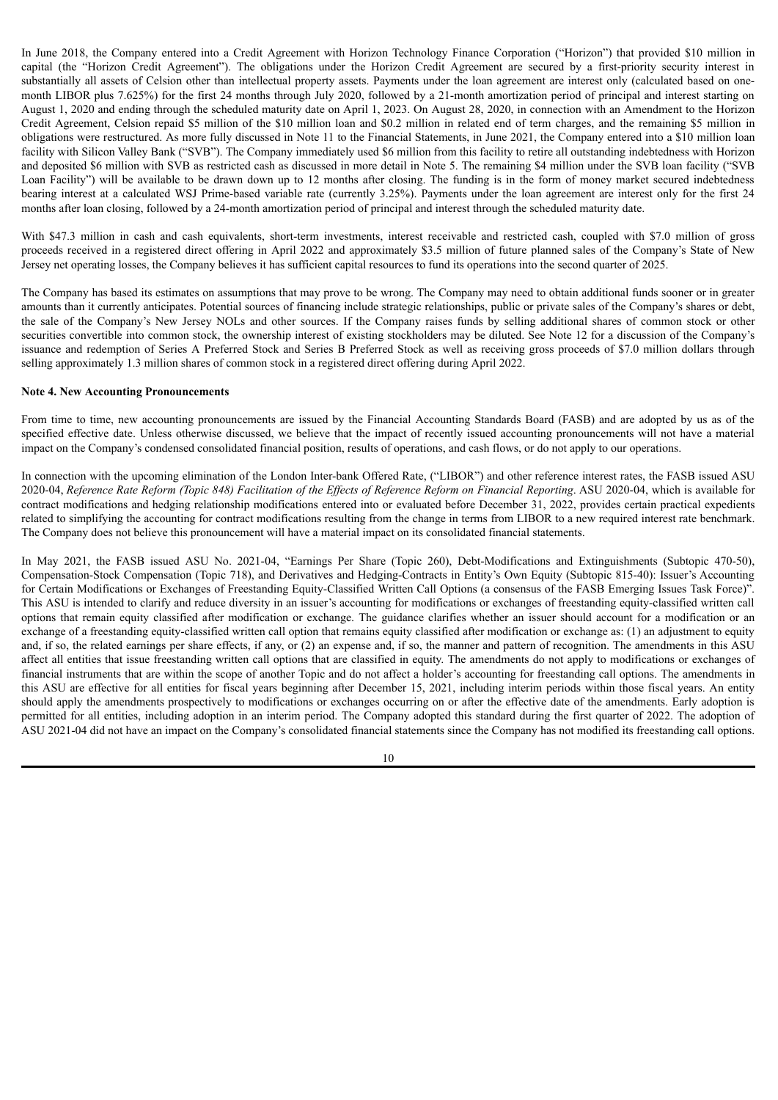In June 2018, the Company entered into a Credit Agreement with Horizon Technology Finance Corporation ("Horizon") that provided \$10 million in capital (the "Horizon Credit Agreement"). The obligations under the Horizon Credit Agreement are secured by a first-priority security interest in substantially all assets of Celsion other than intellectual property assets. Payments under the loan agreement are interest only (calculated based on onemonth LIBOR plus 7.625%) for the first 24 months through July 2020, followed by a 21-month amortization period of principal and interest starting on August 1, 2020 and ending through the scheduled maturity date on April 1, 2023. On August 28, 2020, in connection with an Amendment to the Horizon Credit Agreement, Celsion repaid \$5 million of the \$10 million loan and \$0.2 million in related end of term charges, and the remaining \$5 million in obligations were restructured. As more fully discussed in Note 11 to the Financial Statements, in June 2021, the Company entered into a \$10 million loan facility with Silicon Valley Bank ("SVB"). The Company immediately used \$6 million from this facility to retire all outstanding indebtedness with Horizon and deposited \$6 million with SVB as restricted cash as discussed in more detail in Note 5. The remaining \$4 million under the SVB loan facility ("SVB Loan Facility") will be available to be drawn down up to 12 months after closing. The funding is in the form of money market secured indebtedness bearing interest at a calculated WSJ Prime-based variable rate (currently 3.25%). Payments under the loan agreement are interest only for the first 24 months after loan closing, followed by a 24-month amortization period of principal and interest through the scheduled maturity date.

With \$47.3 million in cash and cash equivalents, short-term investments, interest receivable and restricted cash, coupled with \$7.0 million of gross proceeds received in a registered direct offering in April 2022 and approximately \$3.5 million of future planned sales of the Company's State of New Jersey net operating losses, the Company believes it has sufficient capital resources to fund its operations into the second quarter of 2025.

The Company has based its estimates on assumptions that may prove to be wrong. The Company may need to obtain additional funds sooner or in greater amounts than it currently anticipates. Potential sources of financing include strategic relationships, public or private sales of the Company's shares or debt, the sale of the Company's New Jersey NOLs and other sources. If the Company raises funds by selling additional shares of common stock or other securities convertible into common stock, the ownership interest of existing stockholders may be diluted. See Note 12 for a discussion of the Company's issuance and redemption of Series A Preferred Stock and Series B Preferred Stock as well as receiving gross proceeds of \$7.0 million dollars through selling approximately 1.3 million shares of common stock in a registered direct offering during April 2022.

#### **Note 4. New Accounting Pronouncements**

From time to time, new accounting pronouncements are issued by the Financial Accounting Standards Board (FASB) and are adopted by us as of the specified effective date. Unless otherwise discussed, we believe that the impact of recently issued accounting pronouncements will not have a material impact on the Company's condensed consolidated financial position, results of operations, and cash flows, or do not apply to our operations.

In connection with the upcoming elimination of the London Inter-bank Offered Rate, ("LIBOR") and other reference interest rates, the FASB issued ASU 2020-04, Reference Rate Reform (Topic 848) Facilitation of the Effects of Reference Reform on Financial Reporting. ASU 2020-04, which is available for contract modifications and hedging relationship modifications entered into or evaluated before December 31, 2022, provides certain practical expedients related to simplifying the accounting for contract modifications resulting from the change in terms from LIBOR to a new required interest rate benchmark. The Company does not believe this pronouncement will have a material impact on its consolidated financial statements.

In May 2021, the FASB issued ASU No. 2021-04, "Earnings Per Share (Topic 260), Debt-Modifications and Extinguishments (Subtopic 470-50), Compensation-Stock Compensation (Topic 718), and Derivatives and Hedging-Contracts in Entity's Own Equity (Subtopic 815-40): Issuer's Accounting for Certain Modifications or Exchanges of Freestanding Equity-Classified Written Call Options (a consensus of the FASB Emerging Issues Task Force)". This ASU is intended to clarify and reduce diversity in an issuer's accounting for modifications or exchanges of freestanding equity-classified written call options that remain equity classified after modification or exchange. The guidance clarifies whether an issuer should account for a modification or an exchange of a freestanding equity-classified written call option that remains equity classified after modification or exchange as: (1) an adjustment to equity and, if so, the related earnings per share effects, if any, or (2) an expense and, if so, the manner and pattern of recognition. The amendments in this ASU affect all entities that issue freestanding written call options that are classified in equity. The amendments do not apply to modifications or exchanges of financial instruments that are within the scope of another Topic and do not affect a holder's accounting for freestanding call options. The amendments in this ASU are effective for all entities for fiscal years beginning after December 15, 2021, including interim periods within those fiscal years. An entity should apply the amendments prospectively to modifications or exchanges occurring on or after the effective date of the amendments. Early adoption is permitted for all entities, including adoption in an interim period. The Company adopted this standard during the first quarter of 2022. The adoption of ASU 2021-04 did not have an impact on the Company's consolidated financial statements since the Company has not modified its freestanding call options.

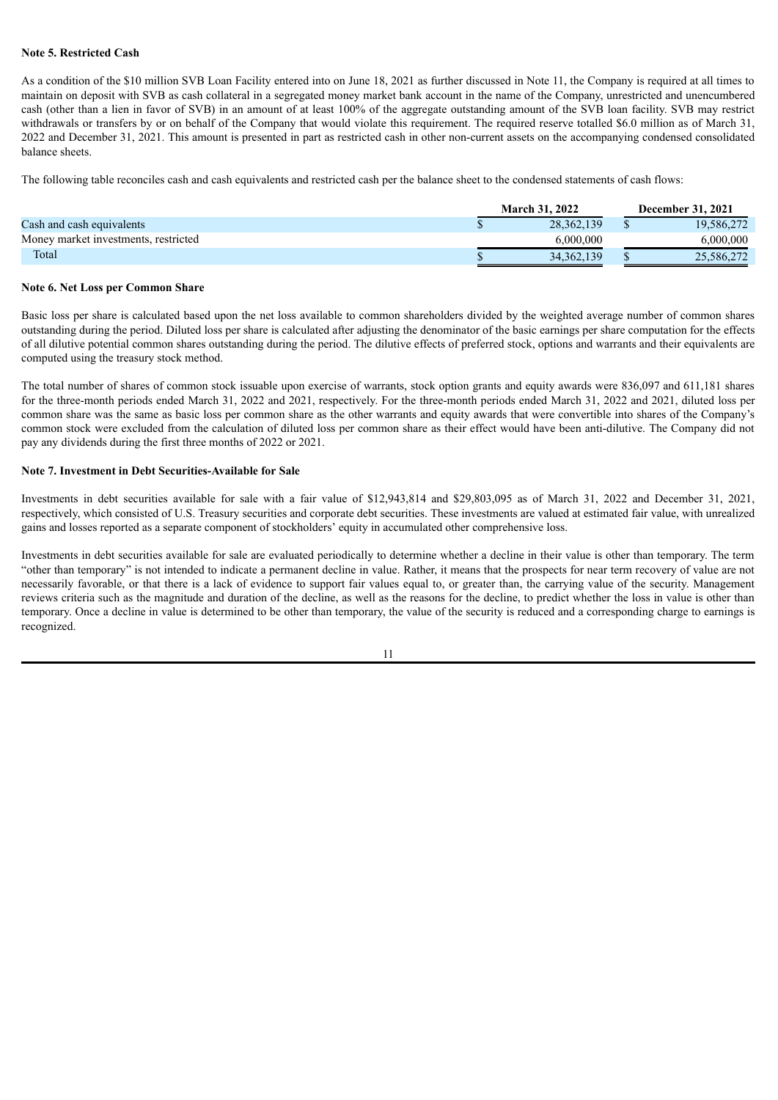# **Note 5. Restricted Cash**

As a condition of the \$10 million SVB Loan Facility entered into on June 18, 2021 as further discussed in Note 11, the Company is required at all times to maintain on deposit with SVB as cash collateral in a segregated money market bank account in the name of the Company, unrestricted and unencumbered cash (other than a lien in favor of SVB) in an amount of at least 100% of the aggregate outstanding amount of the SVB loan facility. SVB may restrict withdrawals or transfers by or on behalf of the Company that would violate this requirement. The required reserve totalled \$6.0 million as of March 31, 2022 and December 31, 2021. This amount is presented in part as restricted cash in other non-current assets on the accompanying condensed consolidated balance sheets.

The following table reconciles cash and cash equivalents and restricted cash per the balance sheet to the condensed statements of cash flows:

|                                      | <b>March 31, 2022</b> | <b>December 31, 2021</b> |
|--------------------------------------|-----------------------|--------------------------|
| Cash and cash equivalents            | 28.362.139            | 19.586.272               |
| Money market investments, restricted | 6.000.000             | 6.000.000                |
| Total                                | 34, 362, 139          | 25,586,272               |

#### **Note 6. Net Loss per Common Share**

Basic loss per share is calculated based upon the net loss available to common shareholders divided by the weighted average number of common shares outstanding during the period. Diluted loss per share is calculated after adjusting the denominator of the basic earnings per share computation for the effects of all dilutive potential common shares outstanding during the period. The dilutive effects of preferred stock, options and warrants and their equivalents are computed using the treasury stock method.

The total number of shares of common stock issuable upon exercise of warrants, stock option grants and equity awards were 836,097 and 611,181 shares for the three-month periods ended March 31, 2022 and 2021, respectively. For the three-month periods ended March 31, 2022 and 2021, diluted loss per common share was the same as basic loss per common share as the other warrants and equity awards that were convertible into shares of the Company's common stock were excluded from the calculation of diluted loss per common share as their effect would have been anti-dilutive. The Company did not pay any dividends during the first three months of 2022 or 2021.

#### **Note 7. Investment in Debt Securities-Available for Sale**

Investments in debt securities available for sale with a fair value of \$12,943,814 and \$29,803,095 as of March 31, 2022 and December 31, 2021, respectively, which consisted of U.S. Treasury securities and corporate debt securities. These investments are valued at estimated fair value, with unrealized gains and losses reported as a separate component of stockholders' equity in accumulated other comprehensive loss.

Investments in debt securities available for sale are evaluated periodically to determine whether a decline in their value is other than temporary. The term "other than temporary" is not intended to indicate a permanent decline in value. Rather, it means that the prospects for near term recovery of value are not necessarily favorable, or that there is a lack of evidence to support fair values equal to, or greater than, the carrying value of the security. Management reviews criteria such as the magnitude and duration of the decline, as well as the reasons for the decline, to predict whether the loss in value is other than temporary. Once a decline in value is determined to be other than temporary, the value of the security is reduced and a corresponding charge to earnings is recognized.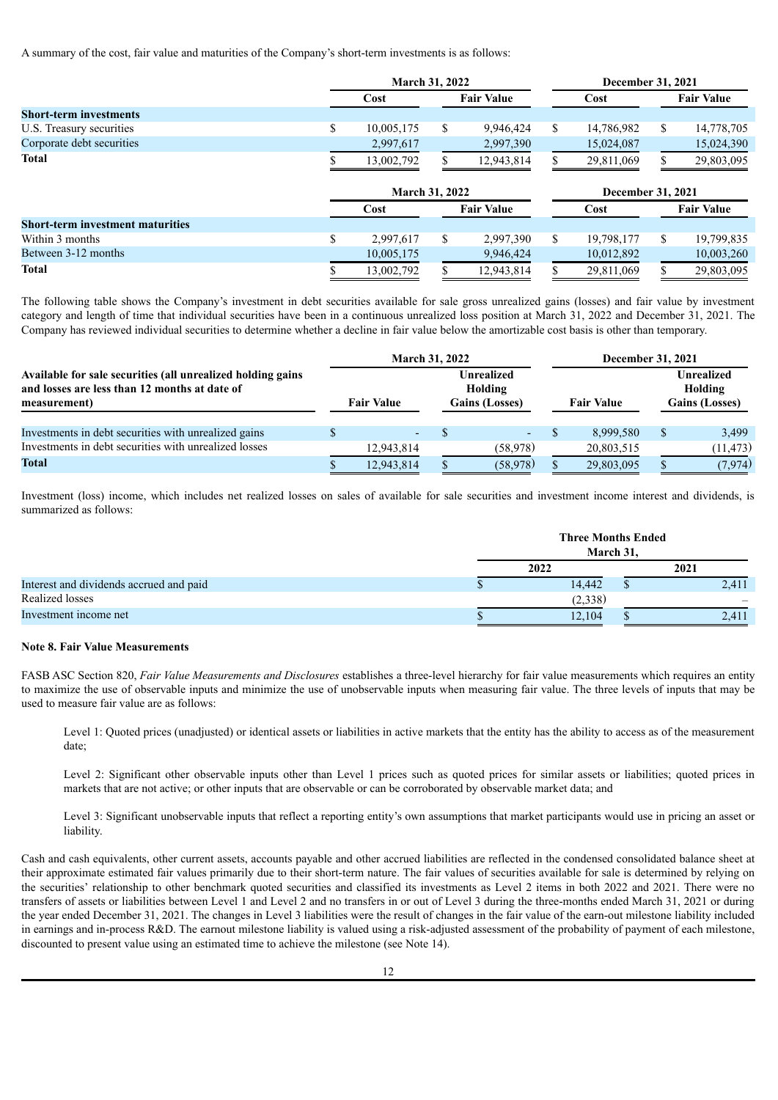A summary of the cost, fair value and maturities of the Company's short-term investments is as follows:

|                                         |                       | March 31, 2022            |                   |            |                   | December 31, 2021 |                   |                   |  |  |
|-----------------------------------------|-----------------------|---------------------------|-------------------|------------|-------------------|-------------------|-------------------|-------------------|--|--|
|                                         |                       | <b>Fair Value</b><br>Cost |                   | Cost       |                   |                   | <b>Fair Value</b> |                   |  |  |
| <b>Short-term investments</b>           |                       |                           |                   |            |                   |                   |                   |                   |  |  |
| U.S. Treasury securities                | \$                    | 10.005.175                | \$                | 9.946.424  | \$                | 14,786,982        | \$                | 14,778,705        |  |  |
| Corporate debt securities               |                       | 2,997,617                 |                   | 2,997,390  |                   | 15,024,087        |                   | 15,024,390        |  |  |
| <b>Total</b>                            |                       | 13,002,792                |                   | 12,943,814 |                   | 29,811,069        |                   | 29,803,095        |  |  |
|                                         | <b>March 31, 2022</b> |                           |                   |            | December 31, 2021 |                   |                   |                   |  |  |
|                                         |                       | Cost                      | <b>Fair Value</b> |            | Cost              |                   |                   | <b>Fair Value</b> |  |  |
| <b>Short-term investment maturities</b> |                       |                           |                   |            |                   |                   |                   |                   |  |  |
| Within 3 months                         | \$                    | 2.997.617                 | \$                | 2,997,390  | \$                | 19,798,177        | \$                | 19,799,835        |  |  |
| Between 3-12 months                     |                       | 10,005,175                |                   | 9,946,424  |                   | 10,012,892        |                   | 10,003,260        |  |  |
| <b>Total</b>                            |                       | 13.002.792                |                   | 12.943.814 |                   | 29.811.069        |                   | 29.803.095        |  |  |

The following table shows the Company's investment in debt securities available for sale gross unrealized gains (losses) and fair value by investment category and length of time that individual securities have been in a continuous unrealized loss position at March 31, 2022 and December 31, 2021. The Company has reviewed individual securities to determine whether a decline in fair value below the amortizable cost basis is other than temporary.

|                                                                                                                              |  | <b>March 31, 2022</b>                                               |  |                | <b>December 31, 2021</b> |            |                                                |           |  |
|------------------------------------------------------------------------------------------------------------------------------|--|---------------------------------------------------------------------|--|----------------|--------------------------|------------|------------------------------------------------|-----------|--|
| Available for sale securities (all unrealized holding gains<br>and losses are less than 12 months at date of<br>measurement) |  | Unrealized<br>Holding<br><b>Gains (Losses)</b><br><b>Fair Value</b> |  |                | <b>Fair Value</b>        |            | Unrealized<br>Holding<br><b>Gains (Losses)</b> |           |  |
| Investments in debt securities with unrealized gains                                                                         |  | $\overline{\phantom{a}}$                                            |  | $\sim$ 10 $\,$ |                          | 8.999.580  | S                                              | 3.499     |  |
| Investments in debt securities with unrealized losses                                                                        |  | 12,943,814                                                          |  | (58, 978)      |                          | 20,803,515 |                                                | (11, 473) |  |
| <b>Total</b>                                                                                                                 |  | 12,943,814                                                          |  | (58, 978)      |                          | 29,803,095 |                                                | (7, 974)  |  |

Investment (loss) income, which includes net realized losses on sales of available for sale securities and investment income interest and dividends, is summarized as follows:

|                                         | <b>Three Months Ended</b><br>March 31, |       |
|-----------------------------------------|----------------------------------------|-------|
|                                         | 2022                                   | 2021  |
| Interest and dividends accrued and paid | 14,442                                 | 2,411 |
| Realized losses                         | (2,338)                                |       |
| Investment income net                   | 12,104                                 | 2,411 |

#### **Note 8. Fair Value Measurements**

FASB ASC Section 820, *Fair Value Measurements and Disclosures* establishes a three-level hierarchy for fair value measurements which requires an entity to maximize the use of observable inputs and minimize the use of unobservable inputs when measuring fair value. The three levels of inputs that may be used to measure fair value are as follows:

Level 1: Quoted prices (unadjusted) or identical assets or liabilities in active markets that the entity has the ability to access as of the measurement date;

Level 2: Significant other observable inputs other than Level 1 prices such as quoted prices for similar assets or liabilities; quoted prices in markets that are not active; or other inputs that are observable or can be corroborated by observable market data; and

Level 3: Significant unobservable inputs that reflect a reporting entity's own assumptions that market participants would use in pricing an asset or liability.

Cash and cash equivalents, other current assets, accounts payable and other accrued liabilities are reflected in the condensed consolidated balance sheet at their approximate estimated fair values primarily due to their short-term nature. The fair values of securities available for sale is determined by relying on the securities' relationship to other benchmark quoted securities and classified its investments as Level 2 items in both 2022 and 2021. There were no transfers of assets or liabilities between Level 1 and Level 2 and no transfers in or out of Level 3 during the three-months ended March 31, 2021 or during the year ended December 31, 2021. The changes in Level 3 liabilities were the result of changes in the fair value of the earn-out milestone liability included in earnings and in-process R&D. The earnout milestone liability is valued using a risk-adjusted assessment of the probability of payment of each milestone, discounted to present value using an estimated time to achieve the milestone (see Note 14).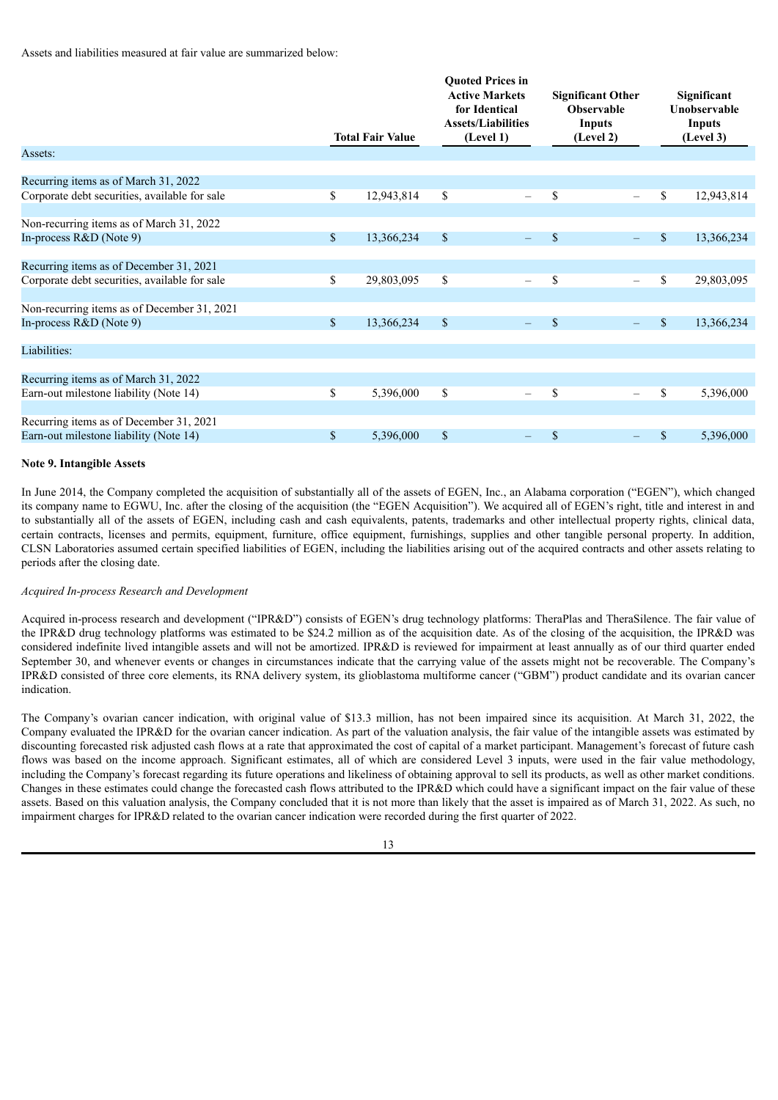Assets and liabilities measured at fair value are summarized below:

|                                               |              | <b>Total Fair Value</b> | <b>Ouoted Prices in</b><br><b>Active Markets</b><br>for Identical<br><b>Assets/Liabilities</b><br>(Level 1) |             | <b>Significant Other</b><br><b>Observable</b><br><b>Inputs</b><br>(Level 2) |              | Significant<br>Unobservable<br><b>Inputs</b><br>(Level 3) |
|-----------------------------------------------|--------------|-------------------------|-------------------------------------------------------------------------------------------------------------|-------------|-----------------------------------------------------------------------------|--------------|-----------------------------------------------------------|
| Assets:                                       |              |                         |                                                                                                             |             |                                                                             |              |                                                           |
| Recurring items as of March 31, 2022          |              |                         |                                                                                                             |             |                                                                             |              |                                                           |
| Corporate debt securities, available for sale | \$           | 12,943,814              | \$<br>$\overline{\phantom{0}}$                                                                              | \$          | $\overline{\phantom{m}}$                                                    | \$           | 12,943,814                                                |
|                                               |              |                         |                                                                                                             |             |                                                                             |              |                                                           |
| Non-recurring items as of March 31, 2022      |              |                         |                                                                                                             |             |                                                                             |              |                                                           |
| In-process $R&D$ (Note 9)                     | $\mathbb{S}$ | 13,366,234              | \$<br>$\equiv$                                                                                              | $\mathbf S$ | $-$                                                                         | $\mathbb{S}$ | 13,366,234                                                |
| Recurring items as of December 31, 2021       |              |                         |                                                                                                             |             |                                                                             |              |                                                           |
| Corporate debt securities, available for sale | \$           | 29,803,095              | \$<br>$\overline{\phantom{0}}$                                                                              | \$          | $\qquad \qquad -$                                                           | \$           | 29,803,095                                                |
| Non-recurring items as of December 31, 2021   |              |                         |                                                                                                             |             |                                                                             |              |                                                           |
| In-process $R&D(Note 9)$                      | $\mathbb{S}$ | 13,366,234              | \$<br>÷                                                                                                     | $\mathbf S$ | $-$                                                                         | $\mathbb{S}$ | 13,366,234                                                |
| Liabilities:                                  |              |                         |                                                                                                             |             |                                                                             |              |                                                           |
| Recurring items as of March 31, 2022          |              |                         |                                                                                                             |             |                                                                             |              |                                                           |
| Earn-out milestone liability (Note 14)        | \$           | 5,396,000               | \$<br>$\overline{\phantom{0}}$                                                                              | \$          | $\overline{\phantom{0}}$                                                    | \$           | 5,396,000                                                 |
| Recurring items as of December 31, 2021       |              |                         |                                                                                                             |             |                                                                             |              |                                                           |
| Earn-out milestone liability (Note 14)        | $\mathbb{S}$ | 5,396,000               | \$<br>$\overline{\phantom{0}}$                                                                              | \$          | $\qquad \qquad -$                                                           | $\mathbb{S}$ | 5,396,000                                                 |
|                                               |              |                         |                                                                                                             |             |                                                                             |              |                                                           |

## **Note 9. Intangible Assets**

In June 2014, the Company completed the acquisition of substantially all of the assets of EGEN, Inc., an Alabama corporation ("EGEN"), which changed its company name to EGWU, Inc. after the closing of the acquisition (the "EGEN Acquisition"). We acquired all of EGEN's right, title and interest in and to substantially all of the assets of EGEN, including cash and cash equivalents, patents, trademarks and other intellectual property rights, clinical data, certain contracts, licenses and permits, equipment, furniture, office equipment, furnishings, supplies and other tangible personal property. In addition, CLSN Laboratories assumed certain specified liabilities of EGEN, including the liabilities arising out of the acquired contracts and other assets relating to periods after the closing date.

## *Acquired In-process Research and Development*

Acquired in-process research and development ("IPR&D") consists of EGEN's drug technology platforms: TheraPlas and TheraSilence. The fair value of the IPR&D drug technology platforms was estimated to be \$24.2 million as of the acquisition date. As of the closing of the acquisition, the IPR&D was considered indefinite lived intangible assets and will not be amortized. IPR&D is reviewed for impairment at least annually as of our third quarter ended September 30, and whenever events or changes in circumstances indicate that the carrying value of the assets might not be recoverable. The Company's IPR&D consisted of three core elements, its RNA delivery system, its glioblastoma multiforme cancer ("GBM") product candidate and its ovarian cancer indication.

The Company's ovarian cancer indication, with original value of \$13.3 million, has not been impaired since its acquisition. At March 31, 2022, the Company evaluated the IPR&D for the ovarian cancer indication. As part of the valuation analysis, the fair value of the intangible assets was estimated by discounting forecasted risk adjusted cash flows at a rate that approximated the cost of capital of a market participant. Management's forecast of future cash flows was based on the income approach. Significant estimates, all of which are considered Level 3 inputs, were used in the fair value methodology, including the Company's forecast regarding its future operations and likeliness of obtaining approval to sell its products, as well as other market conditions. Changes in these estimates could change the forecasted cash flows attributed to the IPR&D which could have a significant impact on the fair value of these assets. Based on this valuation analysis, the Company concluded that it is not more than likely that the asset is impaired as of March 31, 2022. As such, no impairment charges for IPR&D related to the ovarian cancer indication were recorded during the first quarter of 2022.

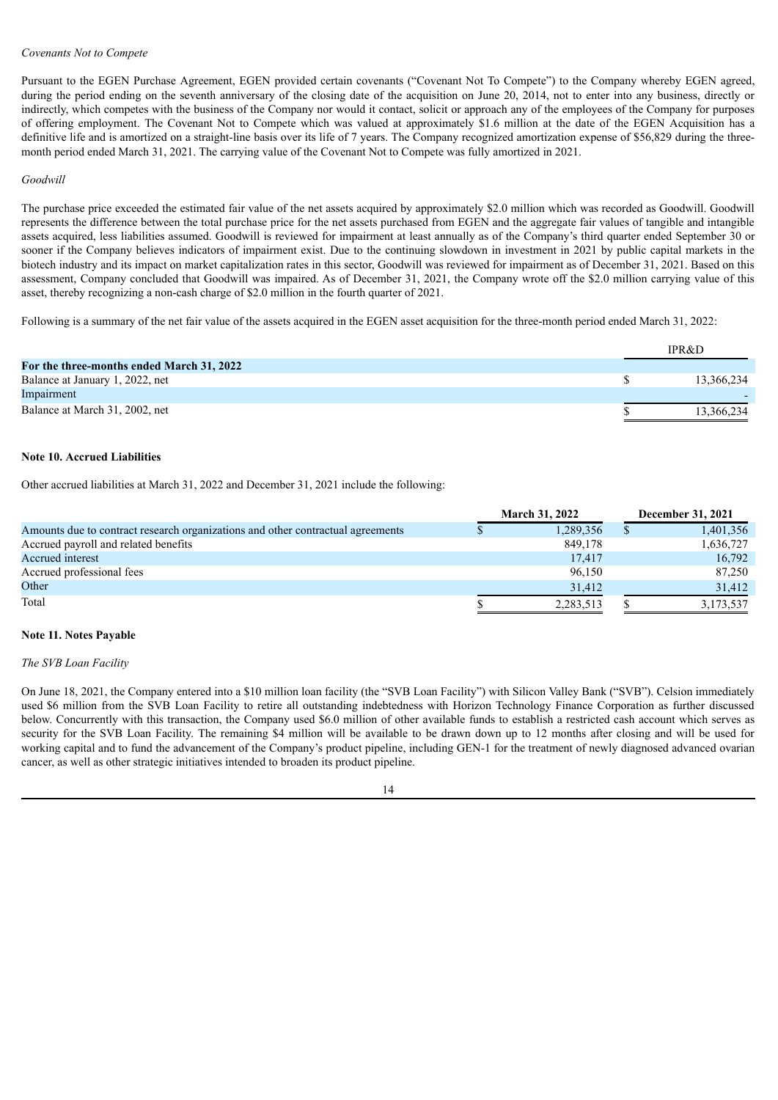#### *Covenants Not to Compete*

Pursuant to the EGEN Purchase Agreement, EGEN provided certain covenants ("Covenant Not To Compete") to the Company whereby EGEN agreed, during the period ending on the seventh anniversary of the closing date of the acquisition on June 20, 2014, not to enter into any business, directly or indirectly, which competes with the business of the Company nor would it contact, solicit or approach any of the employees of the Company for purposes of offering employment. The Covenant Not to Compete which was valued at approximately \$1.6 million at the date of the EGEN Acquisition has a definitive life and is amortized on a straight-line basis over its life of 7 years. The Company recognized amortization expense of \$56,829 during the threemonth period ended March 31, 2021. The carrying value of the Covenant Not to Compete was fully amortized in 2021.

#### *Goodwill*

The purchase price exceeded the estimated fair value of the net assets acquired by approximately \$2.0 million which was recorded as Goodwill. Goodwill represents the difference between the total purchase price for the net assets purchased from EGEN and the aggregate fair values of tangible and intangible assets acquired, less liabilities assumed. Goodwill is reviewed for impairment at least annually as of the Company's third quarter ended September 30 or sooner if the Company believes indicators of impairment exist. Due to the continuing slowdown in investment in 2021 by public capital markets in the biotech industry and its impact on market capitalization rates in this sector, Goodwill was reviewed for impairment as of December 31, 2021. Based on this assessment, Company concluded that Goodwill was impaired. As of December 31, 2021, the Company wrote off the \$2.0 million carrying value of this asset, thereby recognizing a non-cash charge of \$2.0 million in the fourth quarter of 2021.

Following is a summary of the net fair value of the assets acquired in the EGEN asset acquisition for the three-month period ended March 31, 2022:

|                                           | <b>IPR&amp;D</b> |
|-------------------------------------------|------------------|
| For the three-months ended March 31, 2022 |                  |
| Balance at January 1, 2022, net           | 13,366,234       |
| Impairment                                |                  |
| Balance at March 31, 2002, net            | 13,366,234       |

# **Note 10. Accrued Liabilities**

Other accrued liabilities at March 31, 2022 and December 31, 2021 include the following:

|                                                                                 | <b>March 31, 2022</b> | December 31, 2021 |
|---------------------------------------------------------------------------------|-----------------------|-------------------|
| Amounts due to contract research organizations and other contractual agreements | 1,289,356             | 1,401,356         |
| Accrued payroll and related benefits                                            | 849,178               | 1,636,727         |
| Accrued interest                                                                | 17,417                | 16,792            |
| Accrued professional fees                                                       | 96,150                | 87,250            |
| Other                                                                           | 31.412                | 31,412            |
| Total                                                                           | 2,283,513             | 3,173,537         |

#### **Note 11. Notes Payable**

#### *The SVB Loan Facility*

On June 18, 2021, the Company entered into a \$10 million loan facility (the "SVB Loan Facility") with Silicon Valley Bank ("SVB"). Celsion immediately used \$6 million from the SVB Loan Facility to retire all outstanding indebtedness with Horizon Technology Finance Corporation as further discussed below. Concurrently with this transaction, the Company used \$6.0 million of other available funds to establish a restricted cash account which serves as security for the SVB Loan Facility. The remaining \$4 million will be available to be drawn down up to 12 months after closing and will be used for working capital and to fund the advancement of the Company's product pipeline, including GEN-1 for the treatment of newly diagnosed advanced ovarian cancer, as well as other strategic initiatives intended to broaden its product pipeline.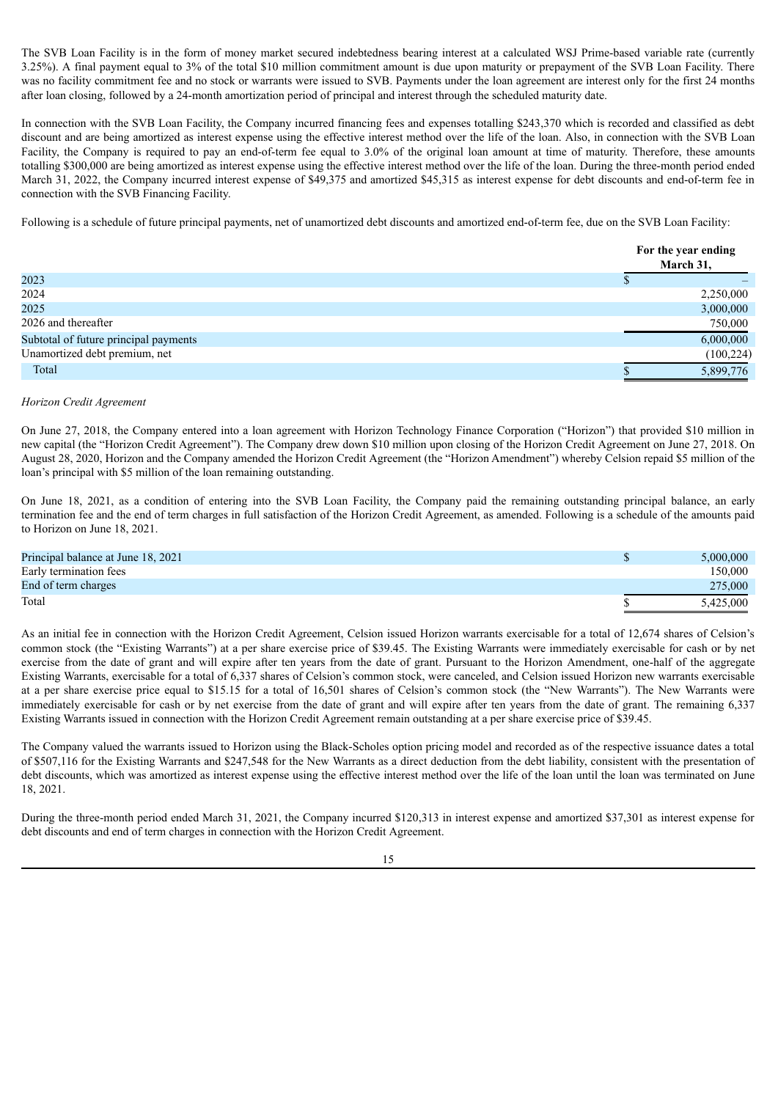The SVB Loan Facility is in the form of money market secured indebtedness bearing interest at a calculated WSJ Prime-based variable rate (currently 3.25%). A final payment equal to 3% of the total \$10 million commitment amount is due upon maturity or prepayment of the SVB Loan Facility. There was no facility commitment fee and no stock or warrants were issued to SVB. Payments under the loan agreement are interest only for the first 24 months after loan closing, followed by a 24-month amortization period of principal and interest through the scheduled maturity date.

In connection with the SVB Loan Facility, the Company incurred financing fees and expenses totalling \$243,370 which is recorded and classified as debt discount and are being amortized as interest expense using the effective interest method over the life of the loan. Also, in connection with the SVB Loan Facility, the Company is required to pay an end-of-term fee equal to 3.0% of the original loan amount at time of maturity. Therefore, these amounts totalling \$300,000 are being amortized as interest expense using the effective interest method over the life of the loan. During the three-month period ended March 31, 2022, the Company incurred interest expense of \$49,375 and amortized \$45,315 as interest expense for debt discounts and end-of-term fee in connection with the SVB Financing Facility.

Following is a schedule of future principal payments, net of unamortized debt discounts and amortized end-of-term fee, due on the SVB Loan Facility:

|                                       | For the year ending<br>March 31, |            |
|---------------------------------------|----------------------------------|------------|
| 2023                                  |                                  |            |
| 2024                                  |                                  | 2,250,000  |
| 2025                                  |                                  | 3,000,000  |
| 2026 and thereafter                   |                                  | 750,000    |
| Subtotal of future principal payments |                                  | 6,000,000  |
| Unamortized debt premium, net         |                                  | (100, 224) |
| Total                                 |                                  | 5,899,776  |

#### *Horizon Credit Agreement*

On June 27, 2018, the Company entered into a loan agreement with Horizon Technology Finance Corporation ("Horizon") that provided \$10 million in new capital (the "Horizon Credit Agreement"). The Company drew down \$10 million upon closing of the Horizon Credit Agreement on June 27, 2018. On August 28, 2020, Horizon and the Company amended the Horizon Credit Agreement (the "Horizon Amendment") whereby Celsion repaid \$5 million of the loan's principal with \$5 million of the loan remaining outstanding.

On June 18, 2021, as a condition of entering into the SVB Loan Facility, the Company paid the remaining outstanding principal balance, an early termination fee and the end of term charges in full satisfaction of the Horizon Credit Agreement, as amended. Following is a schedule of the amounts paid to Horizon on June 18, 2021.

| Principal balance at June 18, 2021 | 5,000,000 |
|------------------------------------|-----------|
| Early termination fees             | 150,000   |
| End of term charges                | 275,000   |
| Total                              | 5,425,000 |

As an initial fee in connection with the Horizon Credit Agreement, Celsion issued Horizon warrants exercisable for a total of 12,674 shares of Celsion's common stock (the "Existing Warrants") at a per share exercise price of \$39.45. The Existing Warrants were immediately exercisable for cash or by net exercise from the date of grant and will expire after ten years from the date of grant. Pursuant to the Horizon Amendment, one-half of the aggregate Existing Warrants, exercisable for a total of 6,337 shares of Celsion's common stock, were canceled, and Celsion issued Horizon new warrants exercisable at a per share exercise price equal to \$15.15 for a total of 16,501 shares of Celsion's common stock (the "New Warrants"). The New Warrants were immediately exercisable for cash or by net exercise from the date of grant and will expire after ten years from the date of grant. The remaining 6,337 Existing Warrants issued in connection with the Horizon Credit Agreement remain outstanding at a per share exercise price of \$39.45.

The Company valued the warrants issued to Horizon using the Black-Scholes option pricing model and recorded as of the respective issuance dates a total of \$507,116 for the Existing Warrants and \$247,548 for the New Warrants as a direct deduction from the debt liability, consistent with the presentation of debt discounts, which was amortized as interest expense using the effective interest method over the life of the loan until the loan was terminated on June 18, 2021.

During the three-month period ended March 31, 2021, the Company incurred \$120,313 in interest expense and amortized \$37,301 as interest expense for debt discounts and end of term charges in connection with the Horizon Credit Agreement.

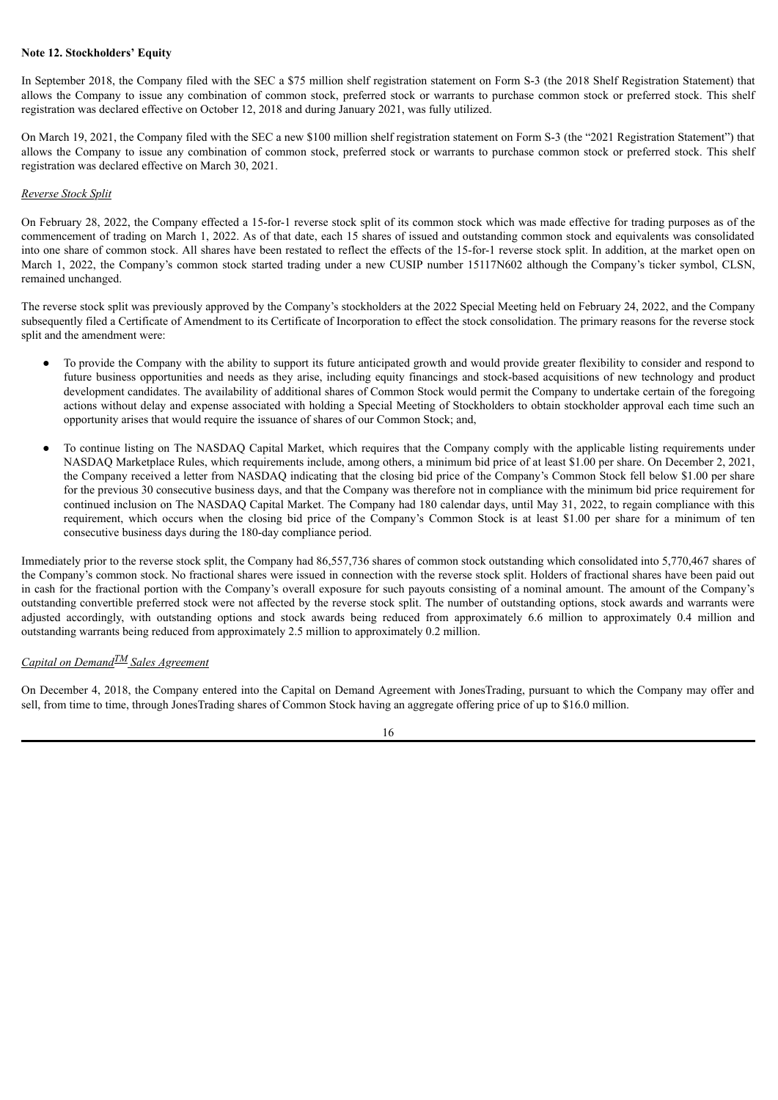## **Note 12. Stockholders' Equity**

In September 2018, the Company filed with the SEC a \$75 million shelf registration statement on Form S-3 (the 2018 Shelf Registration Statement) that allows the Company to issue any combination of common stock, preferred stock or warrants to purchase common stock or preferred stock. This shelf registration was declared effective on October 12, 2018 and during January 2021, was fully utilized.

On March 19, 2021, the Company filed with the SEC a new \$100 million shelf registration statement on Form S-3 (the "2021 Registration Statement") that allows the Company to issue any combination of common stock, preferred stock or warrants to purchase common stock or preferred stock. This shelf registration was declared effective on March 30, 2021.

#### *Reverse Stock Split*

On February 28, 2022, the Company effected a 15-for-1 reverse stock split of its common stock which was made effective for trading purposes as of the commencement of trading on March 1, 2022. As of that date, each 15 shares of issued and outstanding common stock and equivalents was consolidated into one share of common stock. All shares have been restated to reflect the effects of the 15-for-1 reverse stock split. In addition, at the market open on March 1, 2022, the Company's common stock started trading under a new CUSIP number 15117N602 although the Company's ticker symbol, CLSN, remained unchanged.

The reverse stock split was previously approved by the Company's stockholders at the 2022 Special Meeting held on February 24, 2022, and the Company subsequently filed a Certificate of Amendment to its Certificate of Incorporation to effect the stock consolidation. The primary reasons for the reverse stock split and the amendment were:

- To provide the Company with the ability to support its future anticipated growth and would provide greater flexibility to consider and respond to future business opportunities and needs as they arise, including equity financings and stock-based acquisitions of new technology and product development candidates. The availability of additional shares of Common Stock would permit the Company to undertake certain of the foregoing actions without delay and expense associated with holding a Special Meeting of Stockholders to obtain stockholder approval each time such an opportunity arises that would require the issuance of shares of our Common Stock; and,
- To continue listing on The NASDAO Capital Market, which requires that the Company comply with the applicable listing requirements under NASDAQ Marketplace Rules, which requirements include, among others, a minimum bid price of at least \$1.00 per share. On December 2, 2021, the Company received a letter from NASDAQ indicating that the closing bid price of the Company's Common Stock fell below \$1.00 per share for the previous 30 consecutive business days, and that the Company was therefore not in compliance with the minimum bid price requirement for continued inclusion on The NASDAQ Capital Market. The Company had 180 calendar days, until May 31, 2022, to regain compliance with this requirement, which occurs when the closing bid price of the Company's Common Stock is at least \$1.00 per share for a minimum of ten consecutive business days during the 180-day compliance period.

Immediately prior to the reverse stock split, the Company had 86,557,736 shares of common stock outstanding which consolidated into 5,770,467 shares of the Company's common stock. No fractional shares were issued in connection with the reverse stock split. Holders of fractional shares have been paid out in cash for the fractional portion with the Company's overall exposure for such payouts consisting of a nominal amount. The amount of the Company's outstanding convertible preferred stock were not affected by the reverse stock split. The number of outstanding options, stock awards and warrants were adjusted accordingly, with outstanding options and stock awards being reduced from approximately 6.6 million to approximately 0.4 million and outstanding warrants being reduced from approximately 2.5 million to approximately 0.2 million.

# *Capital on Demand TM Sales Agreement*

On December 4, 2018, the Company entered into the Capital on Demand Agreement with JonesTrading, pursuant to which the Company may offer and sell, from time to time, through JonesTrading shares of Common Stock having an aggregate offering price of up to \$16.0 million.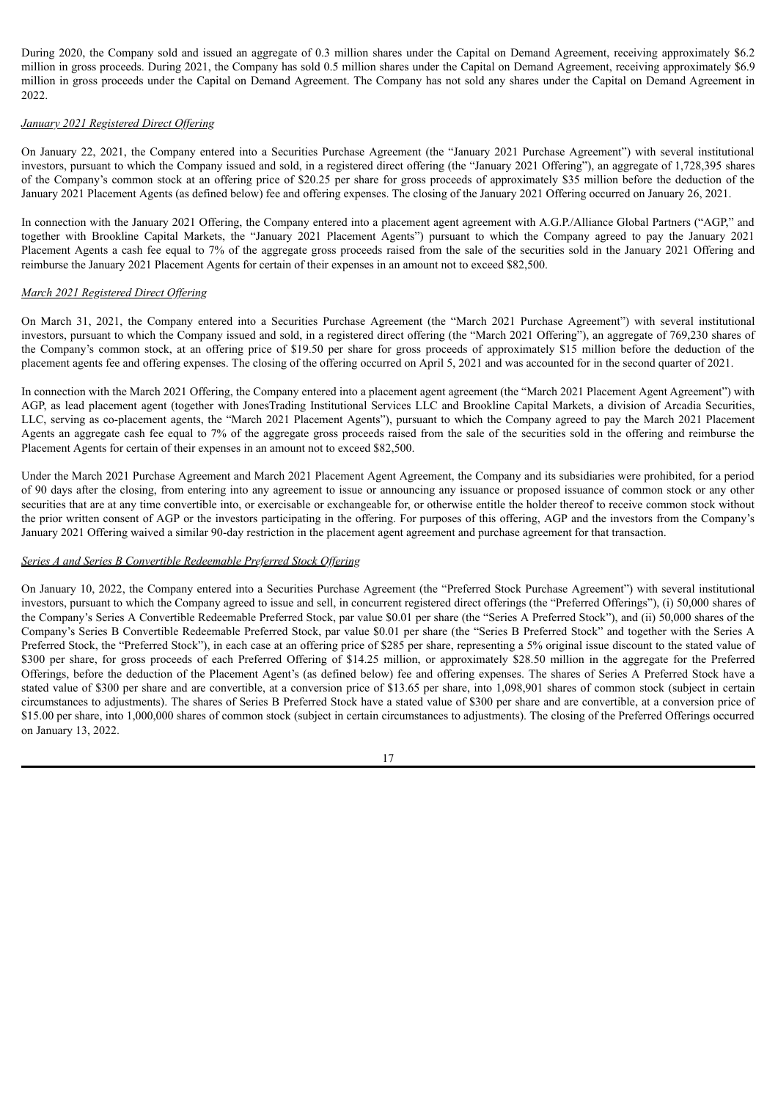During 2020, the Company sold and issued an aggregate of 0.3 million shares under the Capital on Demand Agreement, receiving approximately \$6.2 million in gross proceeds. During 2021, the Company has sold 0.5 million shares under the Capital on Demand Agreement, receiving approximately \$6.9 million in gross proceeds under the Capital on Demand Agreement. The Company has not sold any shares under the Capital on Demand Agreement in 2022.

## *January 2021 Registered Direct Of ering*

On January 22, 2021, the Company entered into a Securities Purchase Agreement (the "January 2021 Purchase Agreement") with several institutional investors, pursuant to which the Company issued and sold, in a registered direct offering (the "January 2021 Offering"), an aggregate of 1,728,395 shares of the Company's common stock at an offering price of \$20.25 per share for gross proceeds of approximately \$35 million before the deduction of the January 2021 Placement Agents (as defined below) fee and offering expenses. The closing of the January 2021 Offering occurred on January 26, 2021.

In connection with the January 2021 Offering, the Company entered into a placement agent agreement with A.G.P./Alliance Global Partners ("AGP," and together with Brookline Capital Markets, the "January 2021 Placement Agents") pursuant to which the Company agreed to pay the January 2021 Placement Agents a cash fee equal to 7% of the aggregate gross proceeds raised from the sale of the securities sold in the January 2021 Offering and reimburse the January 2021 Placement Agents for certain of their expenses in an amount not to exceed \$82,500.

# *March 2021 Registered Direct Of ering*

On March 31, 2021, the Company entered into a Securities Purchase Agreement (the "March 2021 Purchase Agreement") with several institutional investors, pursuant to which the Company issued and sold, in a registered direct offering (the "March 2021 Offering"), an aggregate of 769,230 shares of the Company's common stock, at an offering price of \$19.50 per share for gross proceeds of approximately \$15 million before the deduction of the placement agents fee and offering expenses. The closing of the offering occurred on April 5, 2021 and was accounted for in the second quarter of 2021.

In connection with the March 2021 Offering, the Company entered into a placement agent agreement (the "March 2021 Placement Agent Agreement") with AGP, as lead placement agent (together with JonesTrading Institutional Services LLC and Brookline Capital Markets, a division of Arcadia Securities, LLC, serving as co-placement agents, the "March 2021 Placement Agents"), pursuant to which the Company agreed to pay the March 2021 Placement Agents an aggregate cash fee equal to 7% of the aggregate gross proceeds raised from the sale of the securities sold in the offering and reimburse the Placement Agents for certain of their expenses in an amount not to exceed \$82,500.

Under the March 2021 Purchase Agreement and March 2021 Placement Agent Agreement, the Company and its subsidiaries were prohibited, for a period of 90 days after the closing, from entering into any agreement to issue or announcing any issuance or proposed issuance of common stock or any other securities that are at any time convertible into, or exercisable or exchangeable for, or otherwise entitle the holder thereof to receive common stock without the prior written consent of AGP or the investors participating in the offering. For purposes of this offering, AGP and the investors from the Company's January 2021 Offering waived a similar 90-day restriction in the placement agent agreement and purchase agreement for that transaction.

## *Series A and Series B Convertible Redeemable Preferred Stock Of ering*

On January 10, 2022, the Company entered into a Securities Purchase Agreement (the "Preferred Stock Purchase Agreement") with several institutional investors, pursuant to which the Company agreed to issue and sell, in concurrent registered direct offerings (the "Preferred Offerings"), (i) 50,000 shares of the Company's Series A Convertible Redeemable Preferred Stock, par value \$0.01 per share (the "Series A Preferred Stock"), and (ii) 50,000 shares of the Company's Series B Convertible Redeemable Preferred Stock, par value \$0.01 per share (the "Series B Preferred Stock" and together with the Series A Preferred Stock, the "Preferred Stock"), in each case at an offering price of \$285 per share, representing a 5% original issue discount to the stated value of \$300 per share, for gross proceeds of each Preferred Offering of \$14.25 million, or approximately \$28.50 million in the aggregate for the Preferred Offerings, before the deduction of the Placement Agent's (as defined below) fee and offering expenses. The shares of Series A Preferred Stock have a stated value of \$300 per share and are convertible, at a conversion price of \$13.65 per share, into 1,098,901 shares of common stock (subject in certain circumstances to adjustments). The shares of Series B Preferred Stock have a stated value of \$300 per share and are convertible, at a conversion price of \$15.00 per share, into 1,000,000 shares of common stock (subject in certain circumstances to adjustments). The closing of the Preferred Offerings occurred on January 13, 2022.

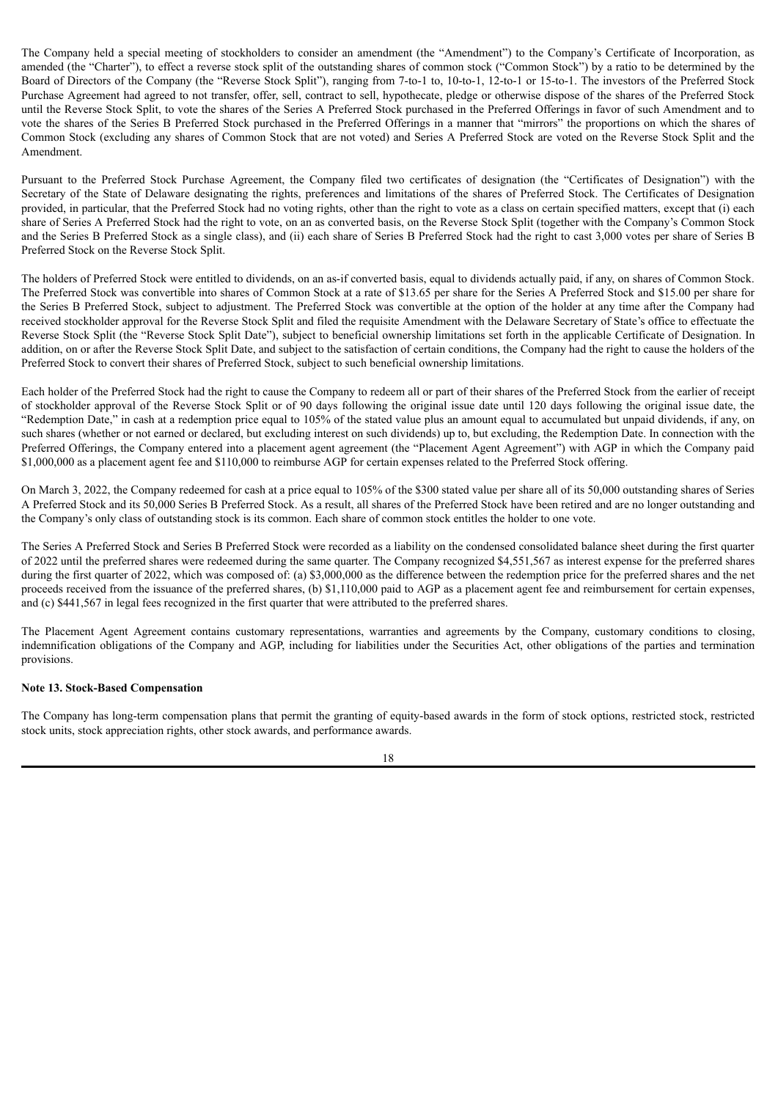The Company held a special meeting of stockholders to consider an amendment (the "Amendment") to the Company's Certificate of Incorporation, as amended (the "Charter"), to effect a reverse stock split of the outstanding shares of common stock ("Common Stock") by a ratio to be determined by the Board of Directors of the Company (the "Reverse Stock Split"), ranging from 7-to-1 to, 10-to-1, 12-to-1 or 15-to-1. The investors of the Preferred Stock Purchase Agreement had agreed to not transfer, offer, sell, contract to sell, hypothecate, pledge or otherwise dispose of the shares of the Preferred Stock until the Reverse Stock Split, to vote the shares of the Series A Preferred Stock purchased in the Preferred Offerings in favor of such Amendment and to vote the shares of the Series B Preferred Stock purchased in the Preferred Offerings in a manner that "mirrors" the proportions on which the shares of Common Stock (excluding any shares of Common Stock that are not voted) and Series A Preferred Stock are voted on the Reverse Stock Split and the Amendment.

Pursuant to the Preferred Stock Purchase Agreement, the Company filed two certificates of designation (the "Certificates of Designation") with the Secretary of the State of Delaware designating the rights, preferences and limitations of the shares of Preferred Stock. The Certificates of Designation provided, in particular, that the Preferred Stock had no voting rights, other than the right to vote as a class on certain specified matters, except that (i) each share of Series A Preferred Stock had the right to vote, on an as converted basis, on the Reverse Stock Split (together with the Company's Common Stock and the Series B Preferred Stock as a single class), and (ii) each share of Series B Preferred Stock had the right to cast 3,000 votes per share of Series B Preferred Stock on the Reverse Stock Split.

The holders of Preferred Stock were entitled to dividends, on an as-if converted basis, equal to dividends actually paid, if any, on shares of Common Stock. The Preferred Stock was convertible into shares of Common Stock at a rate of \$13.65 per share for the Series A Preferred Stock and \$15.00 per share for the Series B Preferred Stock, subject to adjustment. The Preferred Stock was convertible at the option of the holder at any time after the Company had received stockholder approval for the Reverse Stock Split and filed the requisite Amendment with the Delaware Secretary of State's office to effectuate the Reverse Stock Split (the "Reverse Stock Split Date"), subject to beneficial ownership limitations set forth in the applicable Certificate of Designation. In addition, on or after the Reverse Stock Split Date, and subject to the satisfaction of certain conditions, the Company had the right to cause the holders of the Preferred Stock to convert their shares of Preferred Stock, subject to such beneficial ownership limitations.

Each holder of the Preferred Stock had the right to cause the Company to redeem all or part of their shares of the Preferred Stock from the earlier of receipt of stockholder approval of the Reverse Stock Split or of 90 days following the original issue date until 120 days following the original issue date, the "Redemption Date," in cash at a redemption price equal to 105% of the stated value plus an amount equal to accumulated but unpaid dividends, if any, on such shares (whether or not earned or declared, but excluding interest on such dividends) up to, but excluding, the Redemption Date. In connection with the Preferred Offerings, the Company entered into a placement agent agreement (the "Placement Agent Agreement") with AGP in which the Company paid \$1,000,000 as a placement agent fee and \$110,000 to reimburse AGP for certain expenses related to the Preferred Stock offering.

On March 3, 2022, the Company redeemed for cash at a price equal to 105% of the \$300 stated value per share all of its 50,000 outstanding shares of Series A Preferred Stock and its 50,000 Series B Preferred Stock. As a result, all shares of the Preferred Stock have been retired and are no longer outstanding and the Company's only class of outstanding stock is its common. Each share of common stock entitles the holder to one vote.

The Series A Preferred Stock and Series B Preferred Stock were recorded as a liability on the condensed consolidated balance sheet during the first quarter of 2022 until the preferred shares were redeemed during the same quarter. The Company recognized \$4,551,567 as interest expense for the preferred shares during the first quarter of 2022, which was composed of: (a) \$3,000,000 as the difference between the redemption price for the preferred shares and the net proceeds received from the issuance of the preferred shares, (b) \$1,110,000 paid to AGP as a placement agent fee and reimbursement for certain expenses, and (c) \$441,567 in legal fees recognized in the first quarter that were attributed to the preferred shares.

The Placement Agent Agreement contains customary representations, warranties and agreements by the Company, customary conditions to closing, indemnification obligations of the Company and AGP, including for liabilities under the Securities Act, other obligations of the parties and termination provisions.

# **Note 13. Stock-Based Compensation**

The Company has long-term compensation plans that permit the granting of equity-based awards in the form of stock options, restricted stock, restricted stock units, stock appreciation rights, other stock awards, and performance awards.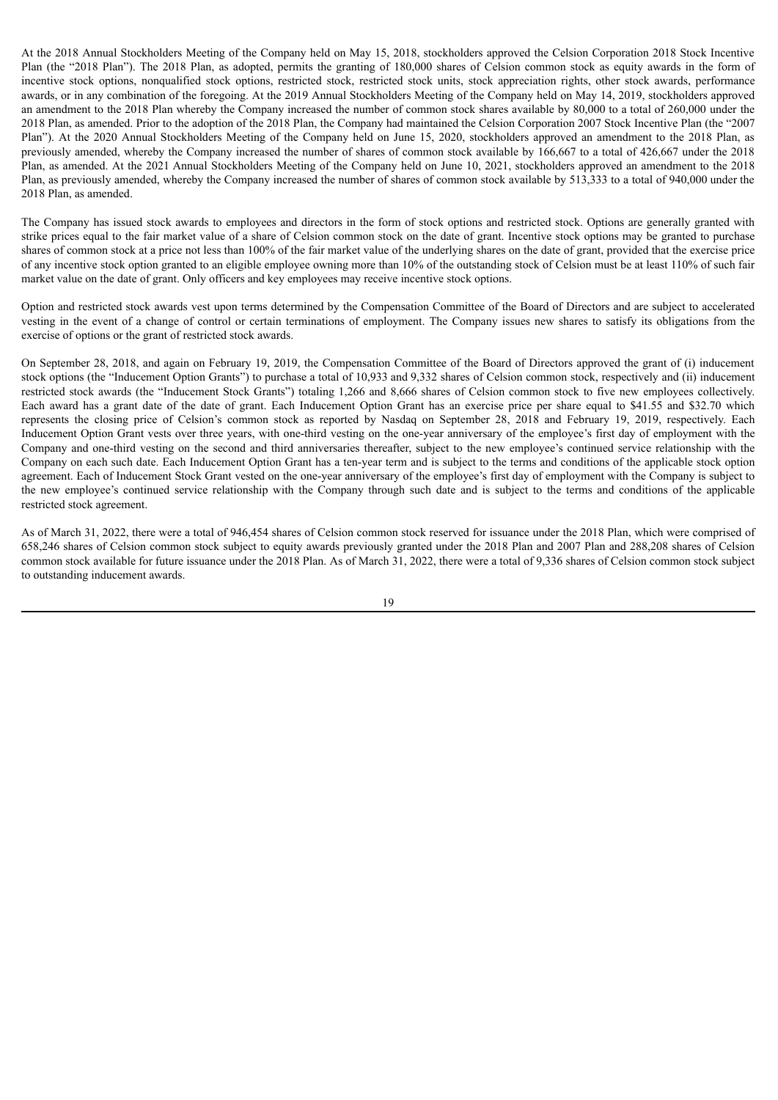At the 2018 Annual Stockholders Meeting of the Company held on May 15, 2018, stockholders approved the Celsion Corporation 2018 Stock Incentive Plan (the "2018 Plan"). The 2018 Plan, as adopted, permits the granting of 180,000 shares of Celsion common stock as equity awards in the form of incentive stock options, nonqualified stock options, restricted stock, restricted stock units, stock appreciation rights, other stock awards, performance awards, or in any combination of the foregoing. At the 2019 Annual Stockholders Meeting of the Company held on May 14, 2019, stockholders approved an amendment to the 2018 Plan whereby the Company increased the number of common stock shares available by 80,000 to a total of 260,000 under the 2018 Plan, as amended. Prior to the adoption of the 2018 Plan, the Company had maintained the Celsion Corporation 2007 Stock Incentive Plan (the "2007 Plan"). At the 2020 Annual Stockholders Meeting of the Company held on June 15, 2020, stockholders approved an amendment to the 2018 Plan, as previously amended, whereby the Company increased the number of shares of common stock available by 166,667 to a total of 426,667 under the 2018 Plan, as amended. At the 2021 Annual Stockholders Meeting of the Company held on June 10, 2021, stockholders approved an amendment to the 2018 Plan, as previously amended, whereby the Company increased the number of shares of common stock available by 513,333 to a total of 940,000 under the 2018 Plan, as amended.

The Company has issued stock awards to employees and directors in the form of stock options and restricted stock. Options are generally granted with strike prices equal to the fair market value of a share of Celsion common stock on the date of grant. Incentive stock options may be granted to purchase shares of common stock at a price not less than 100% of the fair market value of the underlying shares on the date of grant, provided that the exercise price of any incentive stock option granted to an eligible employee owning more than 10% of the outstanding stock of Celsion must be at least 110% of such fair market value on the date of grant. Only officers and key employees may receive incentive stock options.

Option and restricted stock awards vest upon terms determined by the Compensation Committee of the Board of Directors and are subject to accelerated vesting in the event of a change of control or certain terminations of employment. The Company issues new shares to satisfy its obligations from the exercise of options or the grant of restricted stock awards.

On September 28, 2018, and again on February 19, 2019, the Compensation Committee of the Board of Directors approved the grant of (i) inducement stock options (the "Inducement Option Grants") to purchase a total of 10,933 and 9,332 shares of Celsion common stock, respectively and (ii) inducement restricted stock awards (the "Inducement Stock Grants") totaling 1,266 and 8,666 shares of Celsion common stock to five new employees collectively. Each award has a grant date of the date of grant. Each Inducement Option Grant has an exercise price per share equal to \$41.55 and \$32.70 which represents the closing price of Celsion's common stock as reported by Nasdaq on September 28, 2018 and February 19, 2019, respectively. Each Inducement Option Grant vests over three years, with one-third vesting on the one-year anniversary of the employee's first day of employment with the Company and one-third vesting on the second and third anniversaries thereafter, subject to the new employee's continued service relationship with the Company on each such date. Each Inducement Option Grant has a ten-year term and is subject to the terms and conditions of the applicable stock option agreement. Each of Inducement Stock Grant vested on the one-year anniversary of the employee's first day of employment with the Company is subject to the new employee's continued service relationship with the Company through such date and is subject to the terms and conditions of the applicable restricted stock agreement.

As of March 31, 2022, there were a total of 946,454 shares of Celsion common stock reserved for issuance under the 2018 Plan, which were comprised of 658,246 shares of Celsion common stock subject to equity awards previously granted under the 2018 Plan and 2007 Plan and 288,208 shares of Celsion common stock available for future issuance under the 2018 Plan. As of March 31, 2022, there were a total of 9,336 shares of Celsion common stock subject to outstanding inducement awards.

<sup>19</sup>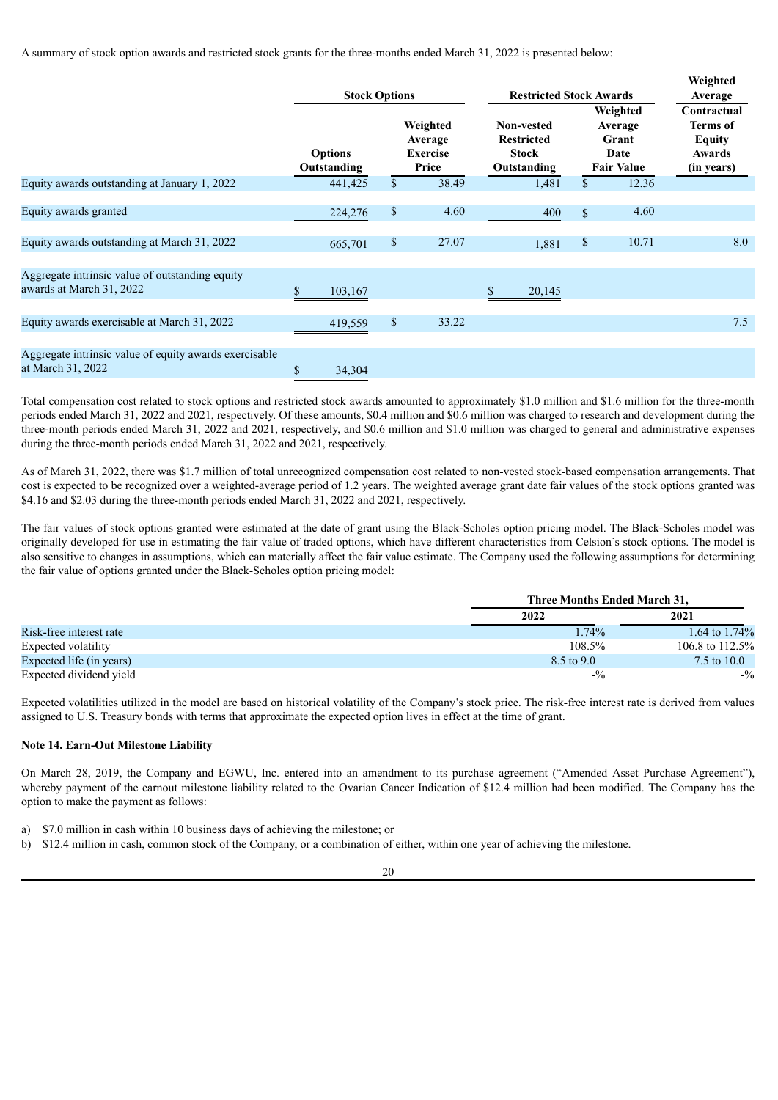A summary of stock option awards and restricted stock grants for the three-months ended March 31, 2022 is presented below:

|                                                                             | <b>Stock Options</b>          |                                                 | <b>Restricted Stock Awards</b>                                 |              |                                                           | Weighted<br>Average                                              |
|-----------------------------------------------------------------------------|-------------------------------|-------------------------------------------------|----------------------------------------------------------------|--------------|-----------------------------------------------------------|------------------------------------------------------------------|
|                                                                             | <b>Options</b><br>Outstanding | Weighted<br>Average<br><b>Exercise</b><br>Price | Non-vested<br><b>Restricted</b><br><b>Stock</b><br>Outstanding |              | Weighted<br>Average<br>Grant<br>Date<br><b>Fair Value</b> | Contractual<br><b>Terms</b> of<br>Equity<br>Awards<br>(in years) |
| Equity awards outstanding at January 1, 2022                                | 441,425                       | \$<br>38.49                                     | 1,481                                                          | \$           | 12.36                                                     |                                                                  |
| Equity awards granted                                                       | 224,276                       | \$<br>4.60                                      | 400                                                            | $\mathbb{S}$ | 4.60                                                      |                                                                  |
| Equity awards outstanding at March 31, 2022                                 | 665,701                       | \$<br>27.07                                     | 1,881                                                          | \$           | 10.71                                                     | 8.0                                                              |
| Aggregate intrinsic value of outstanding equity<br>awards at March 31, 2022 | \$<br>103,167                 |                                                 | 20,145                                                         |              |                                                           |                                                                  |
| Equity awards exercisable at March 31, 2022                                 | 419,559                       | \$<br>33.22                                     |                                                                |              |                                                           | 7.5                                                              |
| Aggregate intrinsic value of equity awards exercisable<br>at March 31, 2022 | \$<br>34,304                  |                                                 |                                                                |              |                                                           |                                                                  |

Total compensation cost related to stock options and restricted stock awards amounted to approximately \$1.0 million and \$1.6 million for the three-month periods ended March 31, 2022 and 2021, respectively. Of these amounts, \$0.4 million and \$0.6 million was charged to research and development during the three-month periods ended March 31, 2022 and 2021, respectively, and \$0.6 million and \$1.0 million was charged to general and administrative expenses during the three-month periods ended March 31, 2022 and 2021, respectively.

As of March 31, 2022, there was \$1.7 million of total unrecognized compensation cost related to non-vested stock-based compensation arrangements. That cost is expected to be recognized over a weighted-average period of 1.2 years. The weighted average grant date fair values of the stock options granted was \$4.16 and \$2.03 during the three-month periods ended March 31, 2022 and 2021, respectively.

The fair values of stock options granted were estimated at the date of grant using the Black-Scholes option pricing model. The Black-Scholes model was originally developed for use in estimating the fair value of traded options, which have different characteristics from Celsion's stock options. The model is also sensitive to changes in assumptions, which can materially affect the fair value estimate. The Company used the following assumptions for determining the fair value of options granted under the Black-Scholes option pricing model:

|                          | Three Months Ended March 31, |                    |
|--------------------------|------------------------------|--------------------|
|                          | 2022                         | 2021               |
| Risk-free interest rate  | 1.74%                        | 1.64 to $1.74\%$   |
| Expected volatility      | $108.5\%$                    | 106.8 to $112.5\%$ |
| Expected life (in years) | 8.5 to 9.0                   | 7.5 to 10.0        |
| Expected dividend yield  | $-1/2$                       | $-1/2$             |

Expected volatilities utilized in the model are based on historical volatility of the Company's stock price. The risk-free interest rate is derived from values assigned to U.S. Treasury bonds with terms that approximate the expected option lives in effect at the time of grant.

#### **Note 14. Earn-Out Milestone Liability**

On March 28, 2019, the Company and EGWU, Inc. entered into an amendment to its purchase agreement ("Amended Asset Purchase Agreement"), whereby payment of the earnout milestone liability related to the Ovarian Cancer Indication of \$12.4 million had been modified. The Company has the option to make the payment as follows:

- a) \$7.0 million in cash within 10 business days of achieving the milestone; or
- b) \$12.4 million in cash, common stock of the Company, or a combination of either, within one year of achieving the milestone.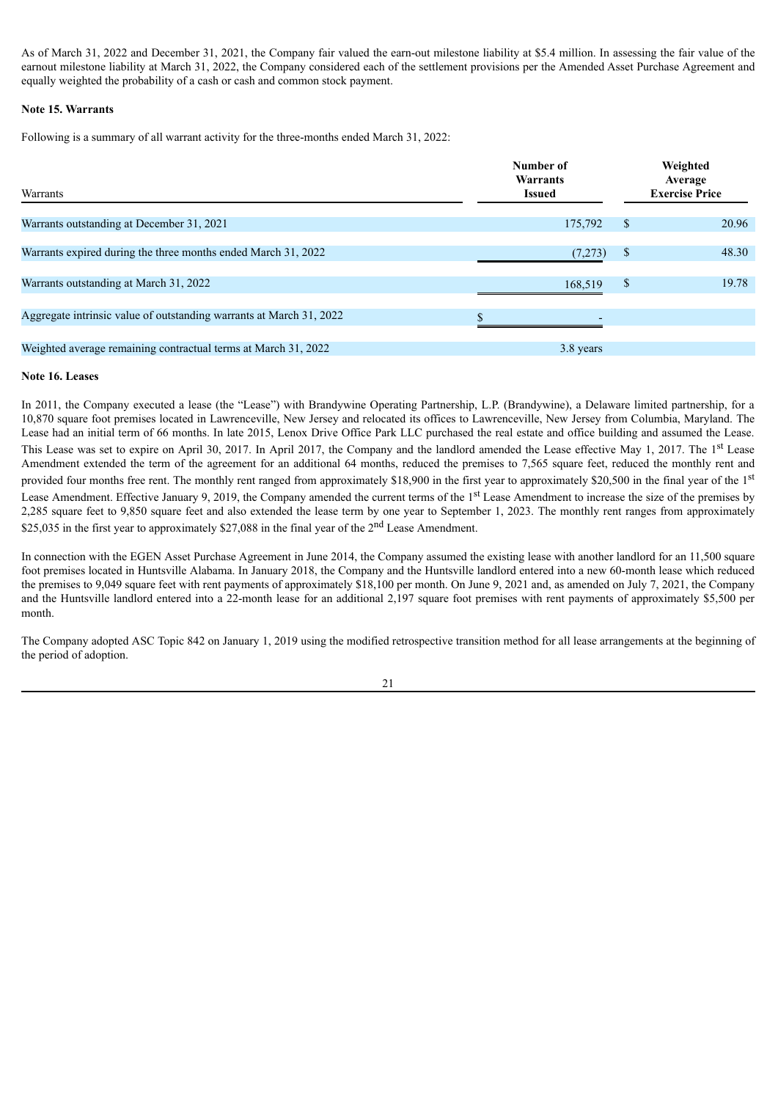As of March 31, 2022 and December 31, 2021, the Company fair valued the earn-out milestone liability at \$5.4 million. In assessing the fair value of the earnout milestone liability at March 31, 2022, the Company considered each of the settlement provisions per the Amended Asset Purchase Agreement and equally weighted the probability of a cash or cash and common stock payment.

## **Note 15. Warrants**

Following is a summary of all warrant activity for the three-months ended March 31, 2022:

| Warrants                                                            | Number of<br>Warrants<br><b>Issued</b> | Weighted<br>Average<br><b>Exercise Price</b> |
|---------------------------------------------------------------------|----------------------------------------|----------------------------------------------|
| Warrants outstanding at December 31, 2021                           | 175,792                                | \$<br>20.96                                  |
| Warrants expired during the three months ended March 31, 2022       | (7,273)                                | \$<br>48.30                                  |
| Warrants outstanding at March 31, 2022                              | 168,519                                | \$<br>19.78                                  |
| Aggregate intrinsic value of outstanding warrants at March 31, 2022 |                                        |                                              |
| Weighted average remaining contractual terms at March 31, 2022      | 3.8 years                              |                                              |

## **Note 16. Leases**

In 2011, the Company executed a lease (the "Lease") with Brandywine Operating Partnership, L.P. (Brandywine), a Delaware limited partnership, for a 10,870 square foot premises located in Lawrenceville, New Jersey and relocated its offices to Lawrenceville, New Jersey from Columbia, Maryland. The Lease had an initial term of 66 months. In late 2015, Lenox Drive Office Park LLC purchased the real estate and office building and assumed the Lease. This Lease was set to expire on April 30, 2017. In April 2017, the Company and the landlord amended the Lease effective May 1, 2017. The 1<sup>st</sup> Lease Amendment extended the term of the agreement for an additional 64 months, reduced the premises to 7,565 square feet, reduced the monthly rent and provided four months free rent. The monthly rent ranged from approximately \$18,900 in the first year to approximately \$20,500 in the final year of the 1<sup>st</sup> Lease Amendment. Effective January 9, 2019, the Company amended the current terms of the 1<sup>st</sup> Lease Amendment to increase the size of the premises by 2,285 square feet to 9,850 square feet and also extended the lease term by one year to September 1, 2023. The monthly rent ranges from approximately \$25,035 in the first year to approximately \$27,088 in the final year of the 2<sup>nd</sup> Lease Amendment.

In connection with the EGEN Asset Purchase Agreement in June 2014, the Company assumed the existing lease with another landlord for an 11,500 square foot premises located in Huntsville Alabama. In January 2018, the Company and the Huntsville landlord entered into a new 60-month lease which reduced the premises to 9,049 square feet with rent payments of approximately \$18,100 per month. On June 9, 2021 and, as amended on July 7, 2021, the Company and the Huntsville landlord entered into a 22-month lease for an additional 2,197 square foot premises with rent payments of approximately \$5,500 per month.

The Company adopted ASC Topic 842 on January 1, 2019 using the modified retrospective transition method for all lease arrangements at the beginning of the period of adoption.

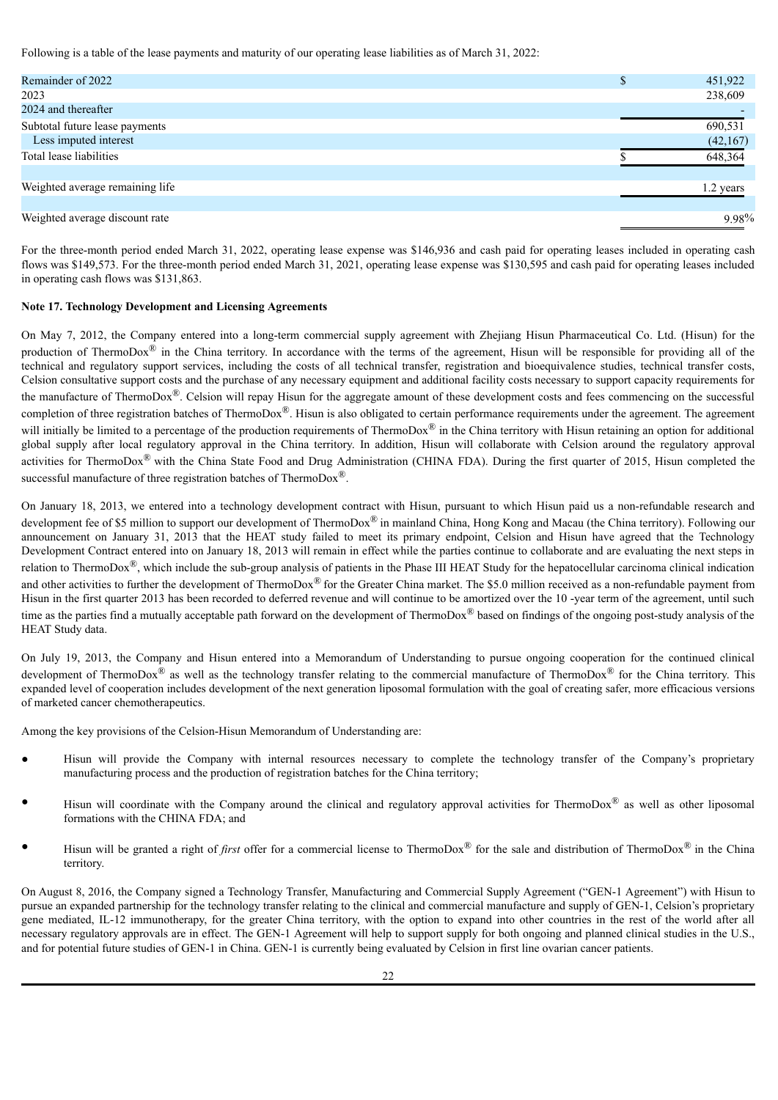Following is a table of the lease payments and maturity of our operating lease liabilities as of March 31, 2022:

| Remainder of 2022               | 451,922   |       |
|---------------------------------|-----------|-------|
| 2023                            | 238,609   |       |
| 2024 and thereafter             |           |       |
| Subtotal future lease payments  | 690,531   |       |
| Less imputed interest           | (42, 167) |       |
| Total lease liabilities         | 648,364   |       |
|                                 |           |       |
| Weighted average remaining life | 1.2 years |       |
|                                 |           |       |
| Weighted average discount rate  |           | 9.98% |
|                                 |           |       |

For the three-month period ended March 31, 2022, operating lease expense was \$146,936 and cash paid for operating leases included in operating cash flows was \$149,573. For the three-month period ended March 31, 2021, operating lease expense was \$130,595 and cash paid for operating leases included in operating cash flows was \$131,863.

## **Note 17. Technology Development and Licensing Agreements**

On May 7, 2012, the Company entered into a long-term commercial supply agreement with Zhejiang Hisun Pharmaceutical Co. Ltd. (Hisun) for the production of ThermoDox<sup>®</sup> in the China territory. In accordance with the terms of the agreement, Hisun will be responsible for providing all of the technical and regulatory support services, including the costs of all technical transfer, registration and bioequivalence studies, technical transfer costs, Celsion consultative support costs and the purchase of any necessary equipment and additional facility costs necessary to support capacity requirements for the manufacture of ThermoDox®. Celsion will repay Hisun for the aggregate amount of these development costs and fees commencing on the successful completion of three registration batches of ThermoDox<sup>®</sup>. Hisun is also obligated to certain performance requirements under the agreement. The agreement will initially be limited to a percentage of the production requirements of ThermoDox<sup>®</sup> in the China territory with Hisun retaining an option for additional global supply after local regulatory approval in the China territory. In addition, Hisun will collaborate with Celsion around the regulatory approval activities for ThermoDox® with the China State Food and Drug Administration (CHINA FDA). During the first quarter of 2015, Hisun completed the successful manufacture of three registration batches of ThermoDox<sup>®</sup>.

On January 18, 2013, we entered into a technology development contract with Hisun, pursuant to which Hisun paid us a non-refundable research and development fee of \$5 million to support our development of ThermoDox<sup>®</sup> in mainland China, Hong Kong and Macau (the China territory). Following our announcement on January 31, 2013 that the HEAT study failed to meet its primary endpoint, Celsion and Hisun have agreed that the Technology Development Contract entered into on January 18, 2013 will remain in effect while the parties continue to collaborate and are evaluating the next steps in relation to ThermoDox<sup>®</sup>, which include the sub-group analysis of patients in the Phase III HEAT Study for the hepatocellular carcinoma clinical indication and other activities to further the development of ThermoDox<sup>®</sup> for the Greater China market. The \$5.0 million received as a non-refundable payment from Hisun in the first quarter 2013 has been recorded to deferred revenue and will continue to be amortized over the 10 -year term of the agreement, until such time as the parties find a mutually acceptable path forward on the development of ThermoDox<sup>®</sup> based on findings of the ongoing post-study analysis of the HEAT Study data.

On July 19, 2013, the Company and Hisun entered into a Memorandum of Understanding to pursue ongoing cooperation for the continued clinical development of ThermoDox<sup>®</sup> as well as the technology transfer relating to the commercial manufacture of ThermoDox<sup>®</sup> for the China territory. This expanded level of cooperation includes development of the next generation liposomal formulation with the goal of creating safer, more efficacious versions of marketed cancer chemotherapeutics.

Among the key provisions of the Celsion-Hisun Memorandum of Understanding are:

- Hisun will provide the Company with internal resources necessary to complete the technology transfer of the Company's proprietary manufacturing process and the production of registration batches for the China territory;
- Hisun will coordinate with the Company around the clinical and regulatory approval activities for ThermoDox<sup>®</sup> as well as other liposomal formations with the CHINA FDA; and
- Hisun will be granted a right of *first* offer for a commercial license to ThermoDox<sup>®</sup> for the sale and distribution of ThermoDox<sup>®</sup> in the China territory.

On August 8, 2016, the Company signed a Technology Transfer, Manufacturing and Commercial Supply Agreement ("GEN-1 Agreement") with Hisun to pursue an expanded partnership for the technology transfer relating to the clinical and commercial manufacture and supply of GEN-1, Celsion's proprietary gene mediated, IL-12 immunotherapy, for the greater China territory, with the option to expand into other countries in the rest of the world after all necessary regulatory approvals are in effect. The GEN-1 Agreement will help to support supply for both ongoing and planned clinical studies in the U.S., and for potential future studies of GEN-1 in China. GEN-1 is currently being evaluated by Celsion in first line ovarian cancer patients.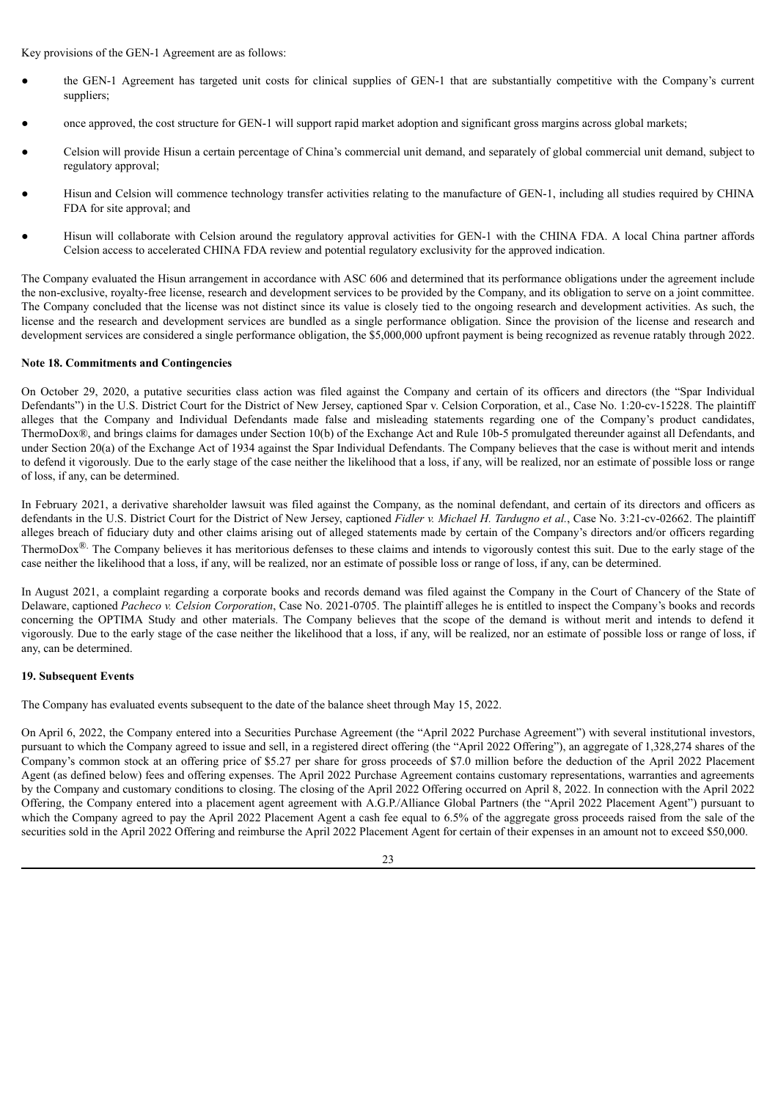Key provisions of the GEN-1 Agreement are as follows:

- **●** the GEN-1 Agreement has targeted unit costs for clinical supplies of GEN-1 that are substantially competitive with the Company's current suppliers;
- **●** once approved, the cost structure for GEN-1 will support rapid market adoption and significant gross margins across global markets;
- **●** Celsion will provide Hisun a certain percentage of China's commercial unit demand, and separately of global commercial unit demand, subject to regulatory approval;
- **●** Hisun and Celsion will commence technology transfer activities relating to the manufacture of GEN-1, including all studies required by CHINA FDA for site approval; and
- **●** Hisun will collaborate with Celsion around the regulatory approval activities for GEN-1 with the CHINA FDA. A local China partner affords Celsion access to accelerated CHINA FDA review and potential regulatory exclusivity for the approved indication.

The Company evaluated the Hisun arrangement in accordance with ASC 606 and determined that its performance obligations under the agreement include the non-exclusive, royalty-free license, research and development services to be provided by the Company, and its obligation to serve on a joint committee. The Company concluded that the license was not distinct since its value is closely tied to the ongoing research and development activities. As such, the license and the research and development services are bundled as a single performance obligation. Since the provision of the license and research and development services are considered a single performance obligation, the \$5,000,000 upfront payment is being recognized as revenue ratably through 2022.

## **Note 18. Commitments and Contingencies**

On October 29, 2020, a putative securities class action was filed against the Company and certain of its officers and directors (the "Spar Individual Defendants") in the U.S. District Court for the District of New Jersey, captioned Spar v. Celsion Corporation, et al., Case No. 1:20-cv-15228. The plaintiff alleges that the Company and Individual Defendants made false and misleading statements regarding one of the Company's product candidates, ThermoDox®, and brings claims for damages under Section 10(b) of the Exchange Act and Rule 10b-5 promulgated thereunder against all Defendants, and under Section 20(a) of the Exchange Act of 1934 against the Spar Individual Defendants. The Company believes that the case is without merit and intends to defend it vigorously. Due to the early stage of the case neither the likelihood that a loss, if any, will be realized, nor an estimate of possible loss or range of loss, if any, can be determined.

In February 2021, a derivative shareholder lawsuit was filed against the Company, as the nominal defendant, and certain of its directors and officers as defendants in the U.S. District Court for the District of New Jersey, captioned *Fidler v. Michael H. Tardugno et al.*, Case No. 3:21-cv-02662. The plaintiff alleges breach of fiduciary duty and other claims arising out of alleged statements made by certain of the Company's directors and/or officers regarding ThermoDox<sup>®.</sup> The Company believes it has meritorious defenses to these claims and intends to vigorously contest this suit. Due to the early stage of the case neither the likelihood that a loss, if any, will be realized, nor an estimate of possible loss or range of loss, if any, can be determined.

In August 2021, a complaint regarding a corporate books and records demand was filed against the Company in the Court of Chancery of the State of Delaware, captioned *Pacheco v. Celsion Corporation*, Case No. 2021-0705. The plaintiff alleges he is entitled to inspect the Company's books and records concerning the OPTIMA Study and other materials. The Company believes that the scope of the demand is without merit and intends to defend it vigorously. Due to the early stage of the case neither the likelihood that a loss, if any, will be realized, nor an estimate of possible loss or range of loss, if any, can be determined.

## **19. Subsequent Events**

The Company has evaluated events subsequent to the date of the balance sheet through May 15, 2022.

On April 6, 2022, the Company entered into a Securities Purchase Agreement (the "April 2022 Purchase Agreement") with several institutional investors, pursuant to which the Company agreed to issue and sell, in a registered direct offering (the "April 2022 Offering"), an aggregate of 1,328,274 shares of the Company's common stock at an offering price of \$5.27 per share for gross proceeds of \$7.0 million before the deduction of the April 2022 Placement Agent (as defined below) fees and offering expenses. The April 2022 Purchase Agreement contains customary representations, warranties and agreements by the Company and customary conditions to closing. The closing of the April 2022 Offering occurred on April 8, 2022. In connection with the April 2022 Offering, the Company entered into a placement agent agreement with A.G.P./Alliance Global Partners (the "April 2022 Placement Agent") pursuant to which the Company agreed to pay the April 2022 Placement Agent a cash fee equal to 6.5% of the aggregate gross proceeds raised from the sale of the securities sold in the April 2022 Offering and reimburse the April 2022 Placement Agent for certain of their expenses in an amount not to exceed \$50,000.

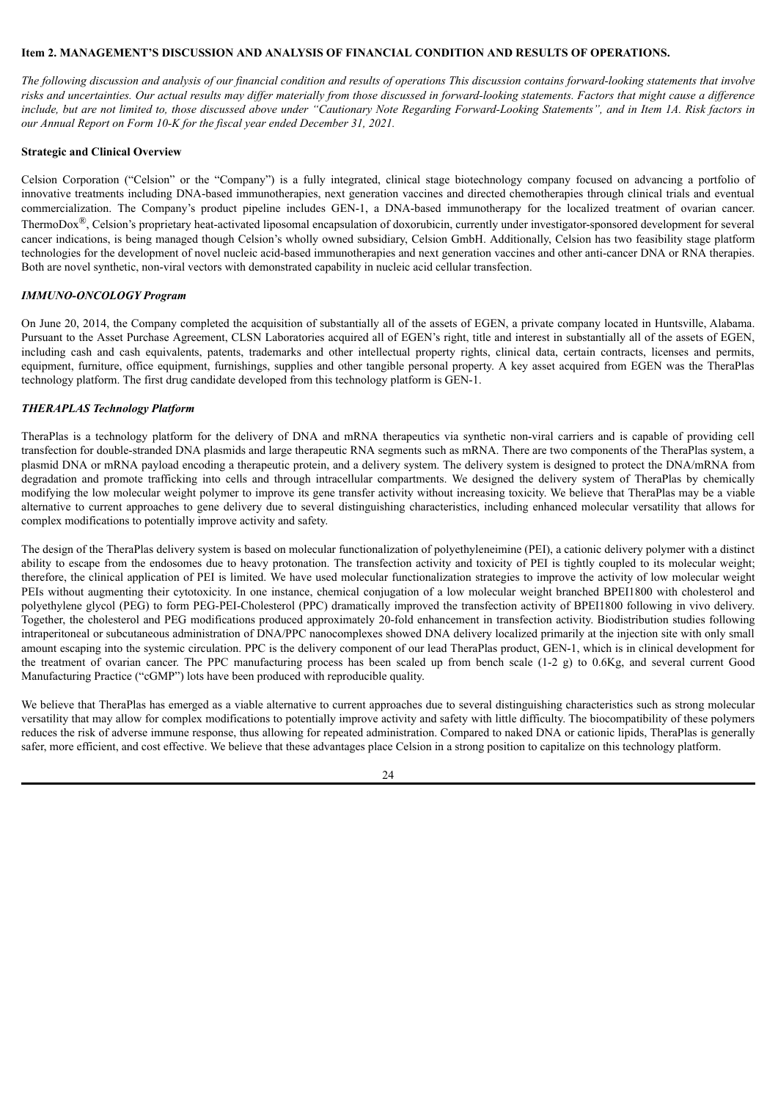## <span id="page-26-0"></span>**Item 2. MANAGEMENT'S DISCUSSION AND ANALYSIS OF FINANCIAL CONDITION AND RESULTS OF OPERATIONS.**

The following discussion and analysis of our financial condition and results of operations This discussion contains forward-looking statements that involve risks and uncertainties. Our actual results may differ materially from those discussed in forward-looking statements. Factors that might cause a difference include, but are not limited to, those discussed above under "Cautionary Note Regarding Forward-Looking Statements", and in Item 1A. Risk factors in *our Annual Report on Form 10-K for the fiscal year ended December 31, 2021.*

#### **Strategic and Clinical Overview**

Celsion Corporation ("Celsion" or the "Company") is a fully integrated, clinical stage biotechnology company focused on advancing a portfolio of innovative treatments including DNA-based immunotherapies, next generation vaccines and directed chemotherapies through clinical trials and eventual commercialization. The Company's product pipeline includes GEN-1, a DNA-based immunotherapy for the localized treatment of ovarian cancer. ThermoDox<sup>®</sup>, Celsion's proprietary heat-activated liposomal encapsulation of doxorubicin, currently under investigator-sponsored development for several cancer indications, is being managed though Celsion's wholly owned subsidiary, Celsion GmbH. Additionally, Celsion has two feasibility stage platform technologies for the development of novel nucleic acid-based immunotherapies and next generation vaccines and other anti-cancer DNA or RNA therapies. Both are novel synthetic, non-viral vectors with demonstrated capability in nucleic acid cellular transfection.

#### *IMMUNO-ONCOLOGY Program*

On June 20, 2014, the Company completed the acquisition of substantially all of the assets of EGEN, a private company located in Huntsville, Alabama. Pursuant to the Asset Purchase Agreement, CLSN Laboratories acquired all of EGEN's right, title and interest in substantially all of the assets of EGEN, including cash and cash equivalents, patents, trademarks and other intellectual property rights, clinical data, certain contracts, licenses and permits, equipment, furniture, office equipment, furnishings, supplies and other tangible personal property. A key asset acquired from EGEN was the TheraPlas technology platform. The first drug candidate developed from this technology platform is GEN-1.

## *THERAPLAS Technology Platform*

TheraPlas is a technology platform for the delivery of DNA and mRNA therapeutics via synthetic non-viral carriers and is capable of providing cell transfection for double-stranded DNA plasmids and large therapeutic RNA segments such as mRNA. There are two components of the TheraPlas system, a plasmid DNA or mRNA payload encoding a therapeutic protein, and a delivery system. The delivery system is designed to protect the DNA/mRNA from degradation and promote trafficking into cells and through intracellular compartments. We designed the delivery system of TheraPlas by chemically modifying the low molecular weight polymer to improve its gene transfer activity without increasing toxicity. We believe that TheraPlas may be a viable alternative to current approaches to gene delivery due to several distinguishing characteristics, including enhanced molecular versatility that allows for complex modifications to potentially improve activity and safety.

The design of the TheraPlas delivery system is based on molecular functionalization of polyethyleneimine (PEI), a cationic delivery polymer with a distinct ability to escape from the endosomes due to heavy protonation. The transfection activity and toxicity of PEI is tightly coupled to its molecular weight; therefore, the clinical application of PEI is limited. We have used molecular functionalization strategies to improve the activity of low molecular weight PEIs without augmenting their cytotoxicity. In one instance, chemical conjugation of a low molecular weight branched BPEI1800 with cholesterol and polyethylene glycol (PEG) to form PEG-PEI-Cholesterol (PPC) dramatically improved the transfection activity of BPEI1800 following in vivo delivery. Together, the cholesterol and PEG modifications produced approximately 20-fold enhancement in transfection activity. Biodistribution studies following intraperitoneal or subcutaneous administration of DNA/PPC nanocomplexes showed DNA delivery localized primarily at the injection site with only small amount escaping into the systemic circulation. PPC is the delivery component of our lead TheraPlas product, GEN-1, which is in clinical development for the treatment of ovarian cancer. The PPC manufacturing process has been scaled up from bench scale (1-2 g) to 0.6Kg, and several current Good Manufacturing Practice ("cGMP") lots have been produced with reproducible quality.

We believe that TheraPlas has emerged as a viable alternative to current approaches due to several distinguishing characteristics such as strong molecular versatility that may allow for complex modifications to potentially improve activity and safety with little difficulty. The biocompatibility of these polymers reduces the risk of adverse immune response, thus allowing for repeated administration. Compared to naked DNA or cationic lipids, TheraPlas is generally safer, more efficient, and cost effective. We believe that these advantages place Celsion in a strong position to capitalize on this technology platform.

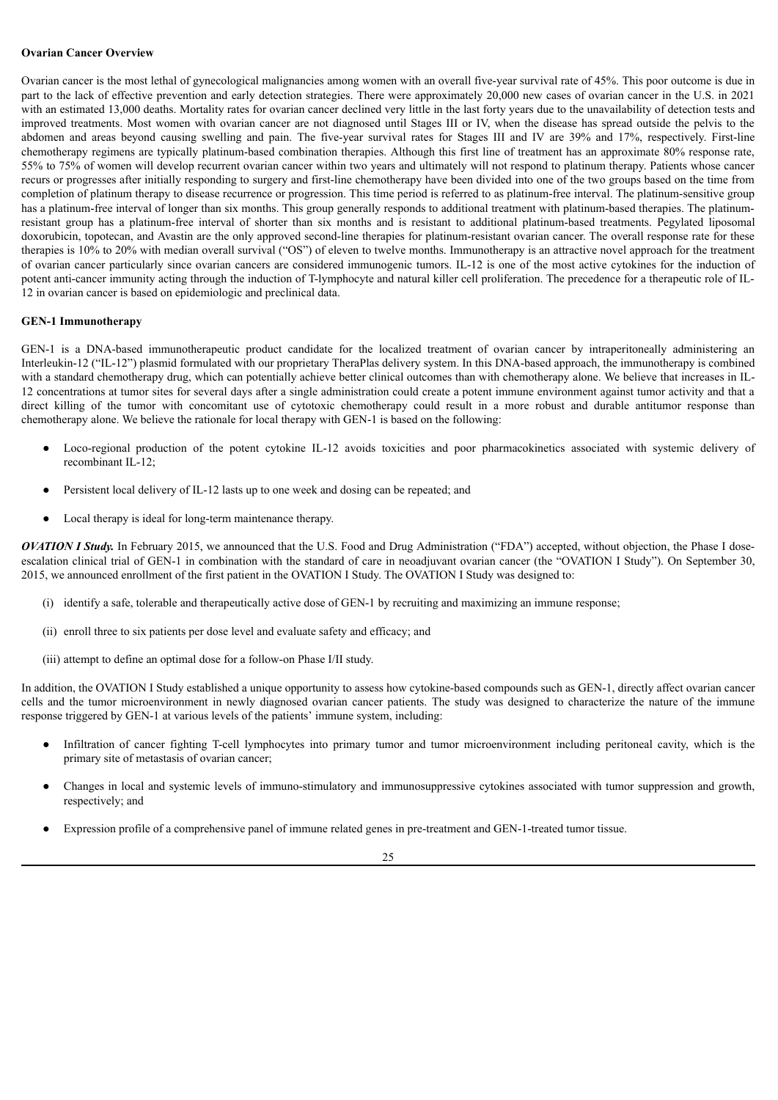## **Ovarian Cancer Overview**

Ovarian cancer is the most lethal of gynecological malignancies among women with an overall five-year survival rate of 45%. This poor outcome is due in part to the lack of effective prevention and early detection strategies. There were approximately 20,000 new cases of ovarian cancer in the U.S. in 2021 with an estimated 13,000 deaths. Mortality rates for ovarian cancer declined very little in the last forty years due to the unavailability of detection tests and improved treatments. Most women with ovarian cancer are not diagnosed until Stages III or IV, when the disease has spread outside the pelvis to the abdomen and areas beyond causing swelling and pain. The five-year survival rates for Stages III and IV are 39% and 17%, respectively. First-line chemotherapy regimens are typically platinum-based combination therapies. Although this first line of treatment has an approximate 80% response rate, 55% to 75% of women will develop recurrent ovarian cancer within two years and ultimately will not respond to platinum therapy. Patients whose cancer recurs or progresses after initially responding to surgery and first-line chemotherapy have been divided into one of the two groups based on the time from completion of platinum therapy to disease recurrence or progression. This time period is referred to as platinum-free interval. The platinum-sensitive group has a platinum-free interval of longer than six months. This group generally responds to additional treatment with platinum-based therapies. The platinumresistant group has a platinum-free interval of shorter than six months and is resistant to additional platinum-based treatments. Pegylated liposomal doxorubicin, topotecan, and Avastin are the only approved second-line therapies for platinum-resistant ovarian cancer. The overall response rate for these therapies is 10% to 20% with median overall survival ("OS") of eleven to twelve months. Immunotherapy is an attractive novel approach for the treatment of ovarian cancer particularly since ovarian cancers are considered immunogenic tumors. IL-12 is one of the most active cytokines for the induction of potent anti-cancer immunity acting through the induction of T-lymphocyte and natural killer cell proliferation. The precedence for a therapeutic role of IL-12 in ovarian cancer is based on epidemiologic and preclinical data.

#### **GEN-1 Immunotherapy**

GEN-1 is a DNA-based immunotherapeutic product candidate for the localized treatment of ovarian cancer by intraperitoneally administering an Interleukin-12 ("IL-12") plasmid formulated with our proprietary TheraPlas delivery system. In this DNA-based approach, the immunotherapy is combined with a standard chemotherapy drug, which can potentially achieve better clinical outcomes than with chemotherapy alone. We believe that increases in IL-12 concentrations at tumor sites for several days after a single administration could create a potent immune environment against tumor activity and that a direct killing of the tumor with concomitant use of cytotoxic chemotherapy could result in a more robust and durable antitumor response than chemotherapy alone. We believe the rationale for local therapy with GEN-1 is based on the following:

- Loco-regional production of the potent cytokine IL-12 avoids toxicities and poor pharmacokinetics associated with systemic delivery of recombinant IL-12;
- Persistent local delivery of IL-12 lasts up to one week and dosing can be repeated; and
- Local therapy is ideal for long-term maintenance therapy.

*OVATION I Study*. In February 2015, we announced that the U.S. Food and Drug Administration ("FDA") accepted, without objection, the Phase I doseescalation clinical trial of GEN-1 in combination with the standard of care in neoadjuvant ovarian cancer (the "OVATION I Study"). On September 30, 2015, we announced enrollment of the first patient in the OVATION I Study. The OVATION I Study was designed to:

- (i) identify a safe, tolerable and therapeutically active dose of GEN-1 by recruiting and maximizing an immune response;
- (ii) enroll three to six patients per dose level and evaluate safety and efficacy; and
- (iii) attempt to define an optimal dose for a follow-on Phase I/II study.

In addition, the OVATION I Study established a unique opportunity to assess how cytokine-based compounds such as GEN-1, directly affect ovarian cancer cells and the tumor microenvironment in newly diagnosed ovarian cancer patients. The study was designed to characterize the nature of the immune response triggered by GEN-1 at various levels of the patients' immune system, including:

- Infiltration of cancer fighting T-cell lymphocytes into primary tumor and tumor microenvironment including peritoneal cavity, which is the primary site of metastasis of ovarian cancer;
- Changes in local and systemic levels of immuno-stimulatory and immunosuppressive cytokines associated with tumor suppression and growth, respectively; and
- Expression profile of a comprehensive panel of immune related genes in pre-treatment and GEN-1-treated tumor tissue.

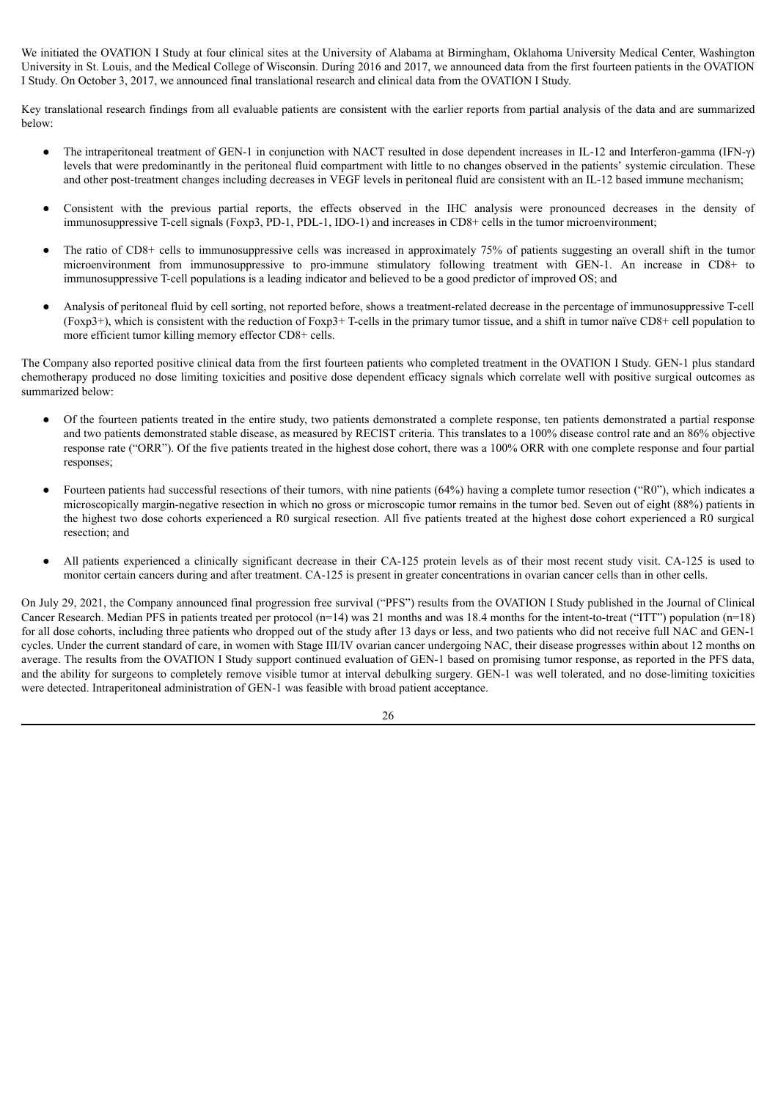We initiated the OVATION I Study at four clinical sites at the University of Alabama at Birmingham, Oklahoma University Medical Center, Washington University in St. Louis, and the Medical College of Wisconsin. During 2016 and 2017, we announced data from the first fourteen patients in the OVATION I Study. On October 3, 2017, we announced final translational research and clinical data from the OVATION I Study.

Key translational research findings from all evaluable patients are consistent with the earlier reports from partial analysis of the data and are summarized below:

- The intraperitoneal treatment of GEN-1 in conjunction with NACT resulted in dose dependent increases in IL-12 and Interferon-gamma (IFN- $\gamma$ ) levels that were predominantly in the peritoneal fluid compartment with little to no changes observed in the patients' systemic circulation. These and other post-treatment changes including decreases in VEGF levels in peritoneal fluid are consistent with an IL-12 based immune mechanism;
- Consistent with the previous partial reports, the effects observed in the IHC analysis were pronounced decreases in the density of immunosuppressive T-cell signals (Foxp3, PD-1, PDL-1, IDO-1) and increases in CD8+ cells in the tumor microenvironment;
- The ratio of CD8+ cells to immunosuppressive cells was increased in approximately 75% of patients suggesting an overall shift in the tumor microenvironment from immunosuppressive to pro-immune stimulatory following treatment with GEN-1. An increase in CD8+ to immunosuppressive T-cell populations is a leading indicator and believed to be a good predictor of improved OS; and
- Analysis of peritoneal fluid by cell sorting, not reported before, shows a treatment-related decrease in the percentage of immunosuppressive T-cell (Foxp3+), which is consistent with the reduction of Foxp3+ T-cells in the primary tumor tissue, and a shift in tumor naïve CD8+ cell population to more efficient tumor killing memory effector CD8+ cells.

The Company also reported positive clinical data from the first fourteen patients who completed treatment in the OVATION I Study. GEN-1 plus standard chemotherapy produced no dose limiting toxicities and positive dose dependent efficacy signals which correlate well with positive surgical outcomes as summarized below:

- Of the fourteen patients treated in the entire study, two patients demonstrated a complete response, ten patients demonstrated a partial response and two patients demonstrated stable disease, as measured by RECIST criteria. This translates to a 100% disease control rate and an 86% objective response rate ("ORR"). Of the five patients treated in the highest dose cohort, there was a 100% ORR with one complete response and four partial responses;
- Fourteen patients had successful resections of their tumors, with nine patients (64%) having a complete tumor resection ("R0"), which indicates a microscopically margin-negative resection in which no gross or microscopic tumor remains in the tumor bed. Seven out of eight (88%) patients in the highest two dose cohorts experienced a R0 surgical resection. All five patients treated at the highest dose cohort experienced a R0 surgical resection; and
- All patients experienced a clinically significant decrease in their CA-125 protein levels as of their most recent study visit. CA-125 is used to monitor certain cancers during and after treatment. CA-125 is present in greater concentrations in ovarian cancer cells than in other cells.

On July 29, 2021, the Company announced final progression free survival ("PFS") results from the OVATION I Study published in the Journal of Clinical Cancer Research. Median PFS in patients treated per protocol (n=14) was 21 months and was 18.4 months for the intent-to-treat ("ITT") population (n=18) for all dose cohorts, including three patients who dropped out of the study after 13 days or less, and two patients who did not receive full NAC and GEN-1 cycles. Under the current standard of care, in women with Stage III/IV ovarian cancer undergoing NAC, their disease progresses within about 12 months on average. The results from the OVATION I Study support continued evaluation of GEN-1 based on promising tumor response, as reported in the PFS data, and the ability for surgeons to completely remove visible tumor at interval debulking surgery. GEN-1 was well tolerated, and no dose-limiting toxicities were detected. Intraperitoneal administration of GEN-1 was feasible with broad patient acceptance.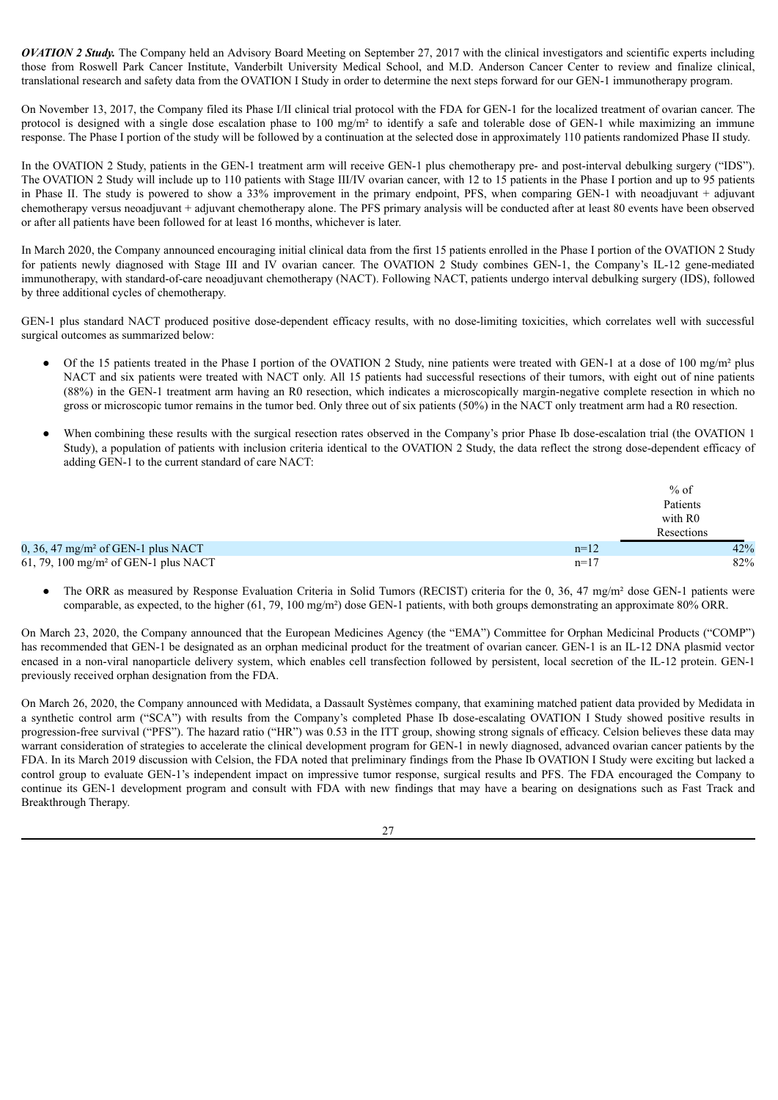*OVATION 2 Study.* The Company held an Advisory Board Meeting on September 27, 2017 with the clinical investigators and scientific experts including those from Roswell Park Cancer Institute, Vanderbilt University Medical School, and M.D. Anderson Cancer Center to review and finalize clinical, translational research and safety data from the OVATION I Study in order to determine the next steps forward for our GEN-1 immunotherapy program.

On November 13, 2017, the Company filed its Phase I/II clinical trial protocol with the FDA for GEN-1 for the localized treatment of ovarian cancer. The protocol is designed with a single dose escalation phase to 100 mg/m² to identify a safe and tolerable dose of GEN-1 while maximizing an immune response. The Phase I portion of the study will be followed by a continuation at the selected dose in approximately 110 patients randomized Phase II study.

In the OVATION 2 Study, patients in the GEN-1 treatment arm will receive GEN-1 plus chemotherapy pre- and post-interval debulking surgery ("IDS"). The OVATION 2 Study will include up to 110 patients with Stage III/IV ovarian cancer, with 12 to 15 patients in the Phase I portion and up to 95 patients in Phase II. The study is powered to show a 33% improvement in the primary endpoint, PFS, when comparing GEN-1 with neoadjuvant + adjuvant chemotherapy versus neoadjuvant + adjuvant chemotherapy alone. The PFS primary analysis will be conducted after at least 80 events have been observed or after all patients have been followed for at least 16 months, whichever is later.

In March 2020, the Company announced encouraging initial clinical data from the first 15 patients enrolled in the Phase I portion of the OVATION 2 Study for patients newly diagnosed with Stage III and IV ovarian cancer. The OVATION 2 Study combines GEN-1, the Company's IL-12 gene-mediated immunotherapy, with standard-of-care neoadjuvant chemotherapy (NACT). Following NACT, patients undergo interval debulking surgery (IDS), followed by three additional cycles of chemotherapy.

GEN-1 plus standard NACT produced positive dose-dependent efficacy results, with no dose-limiting toxicities, which correlates well with successful surgical outcomes as summarized below:

- Of the 15 patients treated in the Phase I portion of the OVATION 2 Study, nine patients were treated with GEN-1 at a dose of 100 mg/m<sup>2</sup> plus NACT and six patients were treated with NACT only. All 15 patients had successful resections of their tumors, with eight out of nine patients (88%) in the GEN-1 treatment arm having an R0 resection, which indicates a microscopically margin-negative complete resection in which no gross or microscopic tumor remains in the tumor bed. Only three out of six patients (50%) in the NACT only treatment arm had a R0 resection.
- When combining these results with the surgical resection rates observed in the Company's prior Phase Ib dose-escalation trial (the OVATION 1) Study), a population of patients with inclusion criteria identical to the OVATION 2 Study, the data reflect the strong dose-dependent efficacy of adding GEN-1 to the current standard of care NACT:

|                                                    |        | $%$ of              |
|----------------------------------------------------|--------|---------------------|
|                                                    |        | Patients            |
|                                                    |        | with R <sub>0</sub> |
|                                                    |        | Resections          |
| $0, 36, 47$ mg/m <sup>2</sup> of GEN-1 plus NACT   | $n=12$ | 42%                 |
| $61, 79, 100$ mg/m <sup>2</sup> of GEN-1 plus NACT | $n=17$ | 82%                 |

The ORR as measured by Response Evaluation Criteria in Solid Tumors (RECIST) criteria for the 0, 36, 47 mg/m<sup>2</sup> dose GEN-1 patients were comparable, as expected, to the higher (61, 79, 100 mg/m²) dose GEN-1 patients, with both groups demonstrating an approximate 80% ORR.

On March 23, 2020, the Company announced that the European Medicines Agency (the "EMA") Committee for Orphan Medicinal Products ("COMP") has recommended that GEN-1 be designated as an orphan medicinal product for the treatment of ovarian cancer. GEN-1 is an IL-12 DNA plasmid vector encased in a non-viral nanoparticle delivery system, which enables cell transfection followed by persistent, local secretion of the IL-12 protein. GEN-1 previously received orphan designation from the FDA.

On March 26, 2020, the Company announced with Medidata, a Dassault Systèmes company, that examining matched patient data provided by Medidata in a synthetic control arm ("SCA") with results from the Company's completed Phase Ib dose-escalating OVATION I Study showed positive results in progression-free survival ("PFS"). The hazard ratio ("HR") was 0.53 in the ITT group, showing strong signals of efficacy. Celsion believes these data may warrant consideration of strategies to accelerate the clinical development program for GEN-1 in newly diagnosed, advanced ovarian cancer patients by the FDA. In its March 2019 discussion with Celsion, the FDA noted that preliminary findings from the Phase Ib OVATION I Study were exciting but lacked a control group to evaluate GEN-1's independent impact on impressive tumor response, surgical results and PFS. The FDA encouraged the Company to continue its GEN-1 development program and consult with FDA with new findings that may have a bearing on designations such as Fast Track and Breakthrough Therapy.

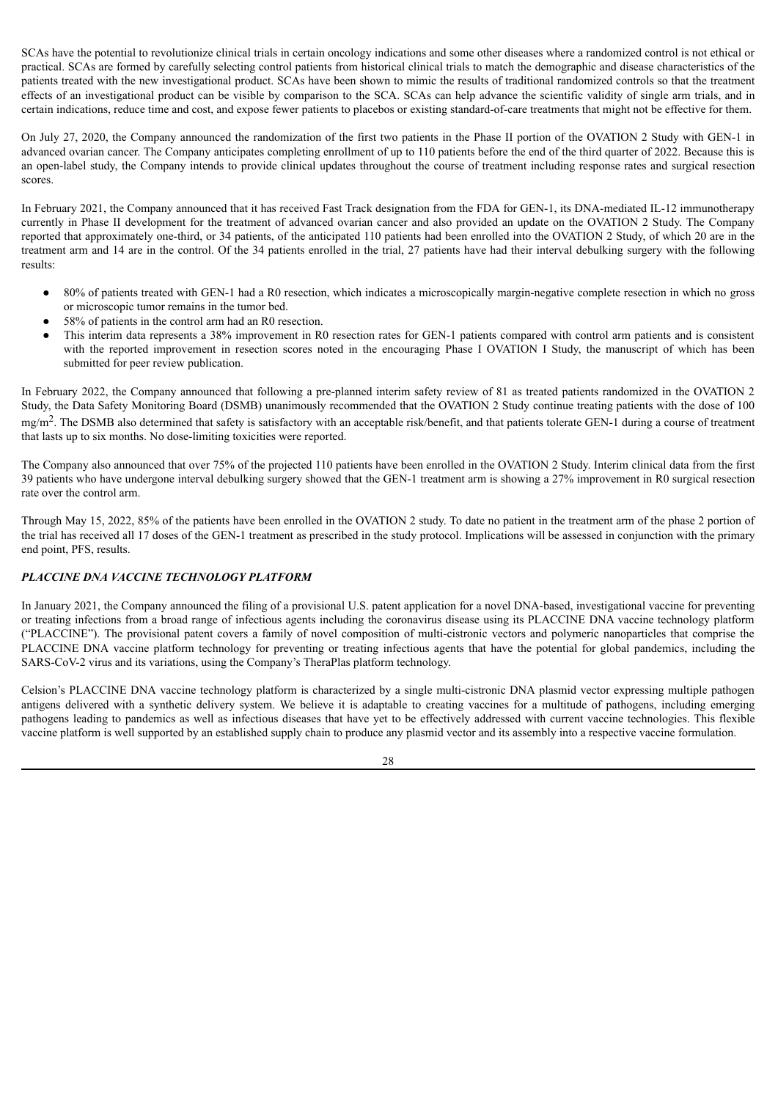SCAs have the potential to revolutionize clinical trials in certain oncology indications and some other diseases where a randomized control is not ethical or practical. SCAs are formed by carefully selecting control patients from historical clinical trials to match the demographic and disease characteristics of the patients treated with the new investigational product. SCAs have been shown to mimic the results of traditional randomized controls so that the treatment effects of an investigational product can be visible by comparison to the SCA. SCAs can help advance the scientific validity of single arm trials, and in certain indications, reduce time and cost, and expose fewer patients to placebos or existing standard-of-care treatments that might not be effective for them.

On July 27, 2020, the Company announced the randomization of the first two patients in the Phase II portion of the OVATION 2 Study with GEN-1 in advanced ovarian cancer. The Company anticipates completing enrollment of up to 110 patients before the end of the third quarter of 2022. Because this is an open-label study, the Company intends to provide clinical updates throughout the course of treatment including response rates and surgical resection scores.

In February 2021, the Company announced that it has received Fast Track designation from the FDA for GEN-1, its DNA-mediated IL-12 immunotherapy currently in Phase II development for the treatment of advanced ovarian cancer and also provided an update on the OVATION 2 Study. The Company reported that approximately one-third, or 34 patients, of the anticipated 110 patients had been enrolled into the OVATION 2 Study, of which 20 are in the treatment arm and 14 are in the control. Of the 34 patients enrolled in the trial, 27 patients have had their interval debulking surgery with the following results:

- 80% of patients treated with GEN-1 had a R0 resection, which indicates a microscopically margin-negative complete resection in which no gross or microscopic tumor remains in the tumor bed.
- 58% of patients in the control arm had an R0 resection.
- This interim data represents a 38% improvement in R0 resection rates for GEN-1 patients compared with control arm patients and is consistent with the reported improvement in resection scores noted in the encouraging Phase I OVATION I Study, the manuscript of which has been submitted for peer review publication.

In February 2022, the Company announced that following a pre-planned interim safety review of 81 as treated patients randomized in the OVATION 2 Study, the Data Safety Monitoring Board (DSMB) unanimously recommended that the OVATION 2 Study continue treating patients with the dose of 100 mg/m<sup>2</sup>. The DSMB also determined that safety is satisfactory with an acceptable risk/benefit, and that patients tolerate GEN-1 during a course of treatment that lasts up to six months. No dose-limiting toxicities were reported.

The Company also announced that over 75% of the projected 110 patients have been enrolled in the OVATION 2 Study. Interim clinical data from the first 39 patients who have undergone interval debulking surgery showed that the GEN-1 treatment arm is showing a 27% improvement in R0 surgical resection rate over the control arm.

Through May 15, 2022, 85% of the patients have been enrolled in the OVATION 2 study. To date no patient in the treatment arm of the phase 2 portion of the trial has received all 17 doses of the GEN-1 treatment as prescribed in the study protocol. Implications will be assessed in conjunction with the primary end point, PFS, results.

# *PLACCINE DNA VACCINE TECHNOLOGY PLATFORM*

In January 2021, the Company announced the filing of a provisional U.S. patent application for a novel DNA-based, investigational vaccine for preventing or treating infections from a broad range of infectious agents including the coronavirus disease using its PLACCINE DNA vaccine technology platform ("PLACCINE"). The provisional patent covers a family of novel composition of multi-cistronic vectors and polymeric nanoparticles that comprise the PLACCINE DNA vaccine platform technology for preventing or treating infectious agents that have the potential for global pandemics, including the SARS-CoV-2 virus and its variations, using the Company's TheraPlas platform technology.

Celsion's PLACCINE DNA vaccine technology platform is characterized by a single multi-cistronic DNA plasmid vector expressing multiple pathogen antigens delivered with a synthetic delivery system. We believe it is adaptable to creating vaccines for a multitude of pathogens, including emerging pathogens leading to pandemics as well as infectious diseases that have yet to be effectively addressed with current vaccine technologies. This flexible vaccine platform is well supported by an established supply chain to produce any plasmid vector and its assembly into a respective vaccine formulation.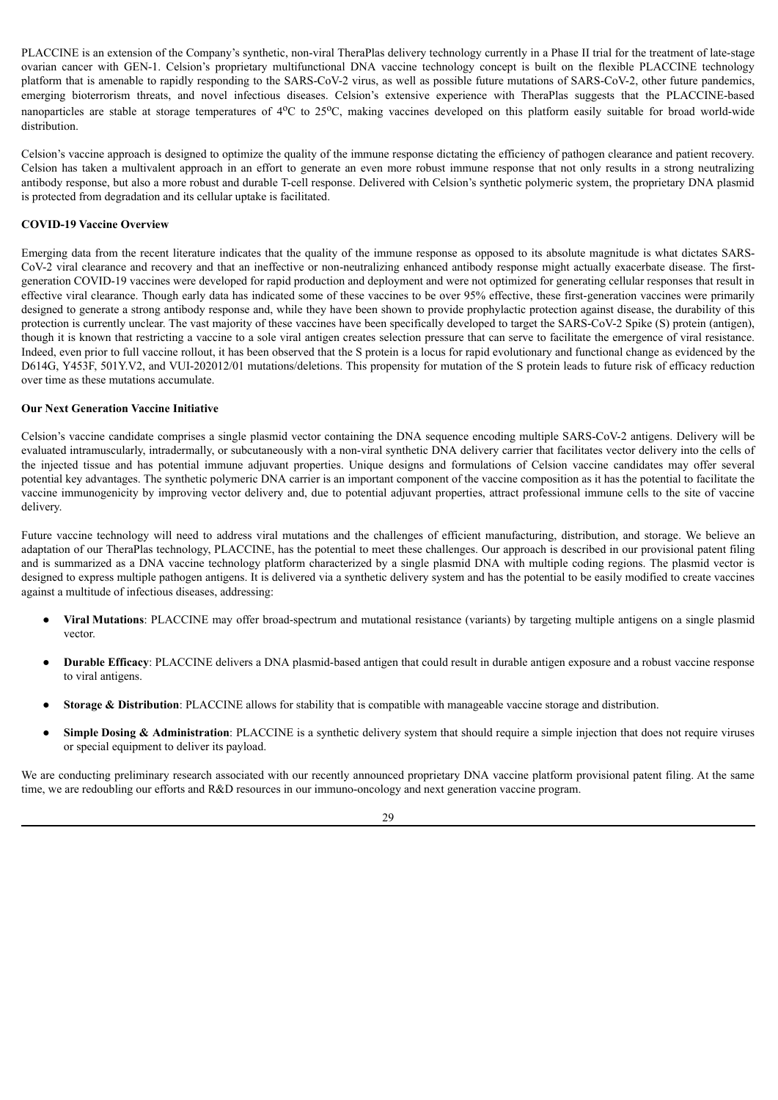PLACCINE is an extension of the Company's synthetic, non-viral TheraPlas delivery technology currently in a Phase II trial for the treatment of late-stage ovarian cancer with GEN-1. Celsion's proprietary multifunctional DNA vaccine technology concept is built on the flexible PLACCINE technology platform that is amenable to rapidly responding to the SARS-CoV-2 virus, as well as possible future mutations of SARS-CoV-2, other future pandemics, emerging bioterrorism threats, and novel infectious diseases. Celsion's extensive experience with TheraPlas suggests that the PLACCINE-based nanoparticles are stable at storage temperatures of 4<sup>o</sup>C to 25<sup>o</sup>C, making vaccines developed on this platform easily suitable for broad world-wide distribution.

Celsion's vaccine approach is designed to optimize the quality of the immune response dictating the efficiency of pathogen clearance and patient recovery. Celsion has taken a multivalent approach in an effort to generate an even more robust immune response that not only results in a strong neutralizing antibody response, but also a more robust and durable T-cell response. Delivered with Celsion's synthetic polymeric system, the proprietary DNA plasmid is protected from degradation and its cellular uptake is facilitated.

## **COVID-19 Vaccine Overview**

Emerging data from the recent literature indicates that the quality of the immune response as opposed to its absolute magnitude is what dictates SARS-CoV-2 viral clearance and recovery and that an ineffective or non-neutralizing enhanced antibody response might actually exacerbate disease. The firstgeneration COVID-19 vaccines were developed for rapid production and deployment and were not optimized for generating cellular responses that result in effective viral clearance. Though early data has indicated some of these vaccines to be over 95% effective, these first-generation vaccines were primarily designed to generate a strong antibody response and, while they have been shown to provide prophylactic protection against disease, the durability of this protection is currently unclear. The vast majority of these vaccines have been specifically developed to target the SARS-CoV-2 Spike (S) protein (antigen), though it is known that restricting a vaccine to a sole viral antigen creates selection pressure that can serve to facilitate the emergence of viral resistance. Indeed, even prior to full vaccine rollout, it has been observed that the S protein is a locus for rapid evolutionary and functional change as evidenced by the D614G, Y453F, 501Y.V2, and VUI-202012/01 mutations/deletions. This propensity for mutation of the S protein leads to future risk of efficacy reduction over time as these mutations accumulate.

## **Our Next Generation Vaccine Initiative**

Celsion's vaccine candidate comprises a single plasmid vector containing the DNA sequence encoding multiple SARS-CoV-2 antigens. Delivery will be evaluated intramuscularly, intradermally, or subcutaneously with a non-viral synthetic DNA delivery carrier that facilitates vector delivery into the cells of the injected tissue and has potential immune adjuvant properties. Unique designs and formulations of Celsion vaccine candidates may offer several potential key advantages. The synthetic polymeric DNA carrier is an important component of the vaccine composition as it has the potential to facilitate the vaccine immunogenicity by improving vector delivery and, due to potential adjuvant properties, attract professional immune cells to the site of vaccine delivery.

Future vaccine technology will need to address viral mutations and the challenges of efficient manufacturing, distribution, and storage. We believe an adaptation of our TheraPlas technology, PLACCINE, has the potential to meet these challenges. Our approach is described in our provisional patent filing and is summarized as a DNA vaccine technology platform characterized by a single plasmid DNA with multiple coding regions. The plasmid vector is designed to express multiple pathogen antigens. It is delivered via a synthetic delivery system and has the potential to be easily modified to create vaccines against a multitude of infectious diseases, addressing:

- **Viral Mutations**: PLACCINE may offer broad-spectrum and mutational resistance (variants) by targeting multiple antigens on a single plasmid vector.
- **Durable Efficacy**: PLACCINE delivers a DNA plasmid-based antigen that could result in durable antigen exposure and a robust vaccine response to viral antigens.
- **Storage & Distribution**: PLACCINE allows for stability that is compatible with manageable vaccine storage and distribution.
- **Simple Dosing & Administration**: PLACCINE is a synthetic delivery system that should require a simple injection that does not require viruses or special equipment to deliver its payload.

We are conducting preliminary research associated with our recently announced proprietary DNA vaccine platform provisional patent filing. At the same time, we are redoubling our efforts and R&D resources in our immuno-oncology and next generation vaccine program.

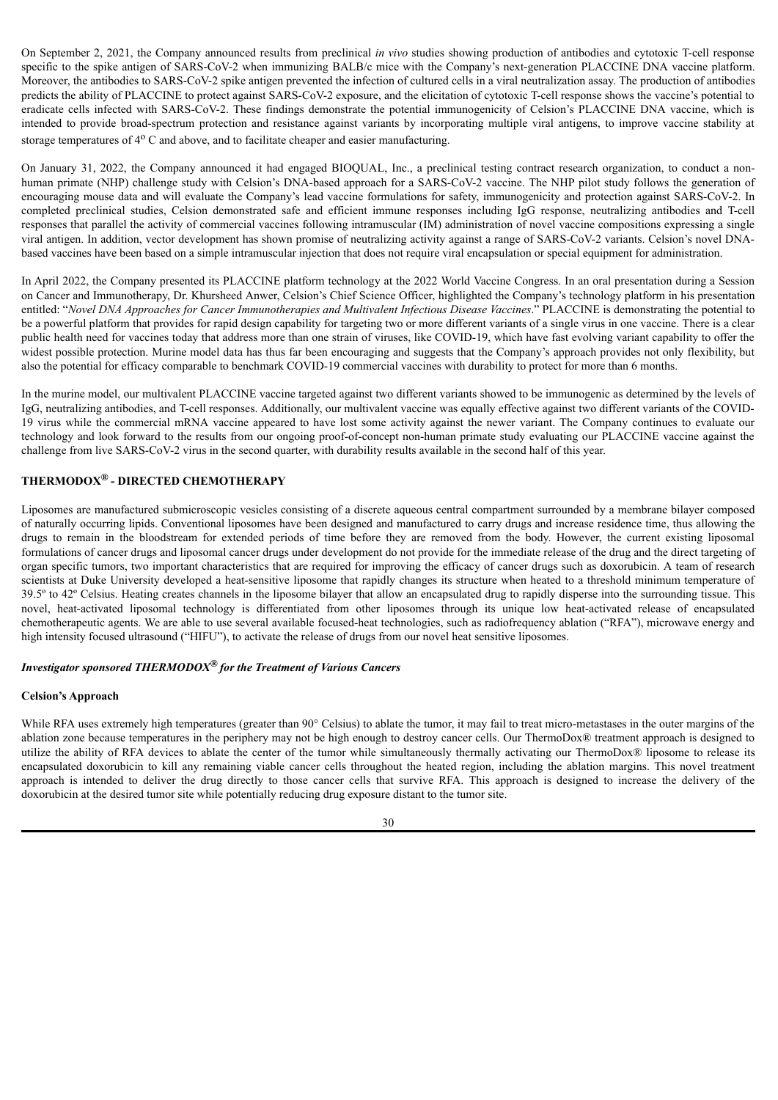On September 2, 2021, the Company announced results from preclinical *in vivo* studies showing production of antibodies and cytotoxic T-cell response specific to the spike antigen of SARS-CoV-2 when immunizing BALB/c mice with the Company's next-generation PLACCINE DNA vaccine platform. Moreover, the antibodies to SARS-CoV-2 spike antigen prevented the infection of cultured cells in a viral neutralization assay. The production of antibodies predicts the ability of PLACCINE to protect against SARS-CoV-2 exposure, and the elicitation of cytotoxic T-cell response shows the vaccine's potential to eradicate cells infected with SARS-CoV-2. These findings demonstrate the potential immunogenicity of Celsion's PLACCINE DNA vaccine, which is intended to provide broad-spectrum protection and resistance against variants by incorporating multiple viral antigens, to improve vaccine stability at storage temperatures of 4<sup>o</sup> C and above, and to facilitate cheaper and easier manufacturing.

On January 31, 2022, the Company announced it had engaged BIOQUAL, Inc., a preclinical testing contract research organization, to conduct a nonhuman primate (NHP) challenge study with Celsion's DNA-based approach for a SARS-CoV-2 vaccine. The NHP pilot study follows the generation of encouraging mouse data and will evaluate the Company's lead vaccine formulations for safety, immunogenicity and protection against SARS-CoV-2. In completed preclinical studies, Celsion demonstrated safe and efficient immune responses including IgG response, neutralizing antibodies and T-cell responses that parallel the activity of commercial vaccines following intramuscular (IM) administration of novel vaccine compositions expressing a single viral antigen. In addition, vector development has shown promise of neutralizing activity against a range of SARS-CoV-2 variants. Celsion's novel DNAbased vaccines have been based on a simple intramuscular injection that does not require viral encapsulation or special equipment for administration.

In April 2022, the Company presented its PLACCINE platform technology at the 2022 World Vaccine Congress. In an oral presentation during a Session on Cancer and Immunotherapy, Dr. Khursheed Anwer, Celsion's Chief Science Officer, highlighted the Company's technology platform in his presentation entitled: "*Novel DNA Approaches for Cancer Immunotherapies and Multivalent Infectious Disease Vaccines*." PLACCINE is demonstrating the potential to be a powerful platform that provides for rapid design capability for targeting two or more different variants of a single virus in one vaccine. There is a clear public health need for vaccines today that address more than one strain of viruses, like COVID-19, which have fast evolving variant capability to offer the widest possible protection. Murine model data has thus far been encouraging and suggests that the Company's approach provides not only flexibility, but also the potential for efficacy comparable to benchmark COVID-19 commercial vaccines with durability to protect for more than 6 months.

In the murine model, our multivalent PLACCINE vaccine targeted against two different variants showed to be immunogenic as determined by the levels of IgG, neutralizing antibodies, and T-cell responses. Additionally, our multivalent vaccine was equally effective against two different variants of the COVID-19 virus while the commercial mRNA vaccine appeared to have lost some activity against the newer variant. The Company continues to evaluate our technology and look forward to the results from our ongoing proof-of-concept non-human primate study evaluating our PLACCINE vaccine against the challenge from live SARS-CoV-2 virus in the second quarter, with durability results available in the second half of this year.

# **THERMODOX ® - DIRECTED CHEMOTHERAPY**

Liposomes are manufactured submicroscopic vesicles consisting of a discrete aqueous central compartment surrounded by a membrane bilayer composed of naturally occurring lipids. Conventional liposomes have been designed and manufactured to carry drugs and increase residence time, thus allowing the drugs to remain in the bloodstream for extended periods of time before they are removed from the body. However, the current existing liposomal formulations of cancer drugs and liposomal cancer drugs under development do not provide for the immediate release of the drug and the direct targeting of organ specific tumors, two important characteristics that are required for improving the efficacy of cancer drugs such as doxorubicin. A team of research scientists at Duke University developed a heat-sensitive liposome that rapidly changes its structure when heated to a threshold minimum temperature of 39.5º to 42º Celsius. Heating creates channels in the liposome bilayer that allow an encapsulated drug to rapidly disperse into the surrounding tissue. This novel, heat-activated liposomal technology is differentiated from other liposomes through its unique low heat-activated release of encapsulated chemotherapeutic agents. We are able to use several available focused-heat technologies, such as radiofrequency ablation ("RFA"), microwave energy and high intensity focused ultrasound ("HIFU"), to activate the release of drugs from our novel heat sensitive liposomes.

# *Investigator sponsored THERMODOX ® for the Treatment of Various Cancers*

## **Celsion's Approach**

While RFA uses extremely high temperatures (greater than 90° Celsius) to ablate the tumor, it may fail to treat micro-metastases in the outer margins of the ablation zone because temperatures in the periphery may not be high enough to destroy cancer cells. Our ThermoDox® treatment approach is designed to utilize the ability of RFA devices to ablate the center of the tumor while simultaneously thermally activating our ThermoDox® liposome to release its encapsulated doxorubicin to kill any remaining viable cancer cells throughout the heated region, including the ablation margins. This novel treatment approach is intended to deliver the drug directly to those cancer cells that survive RFA. This approach is designed to increase the delivery of the doxorubicin at the desired tumor site while potentially reducing drug exposure distant to the tumor site.

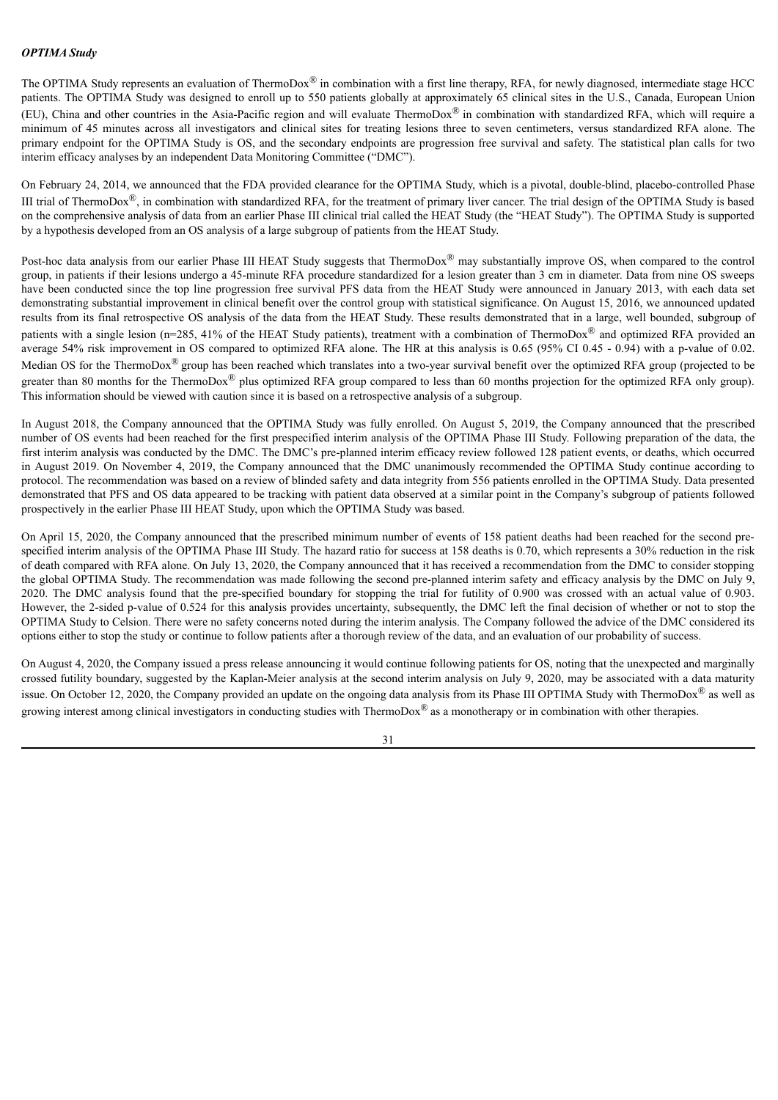## *OPTIMA Study*

The OPTIMA Study represents an evaluation of ThermoDox<sup>®</sup> in combination with a first line therapy, RFA, for newly diagnosed, intermediate stage HCC patients. The OPTIMA Study was designed to enroll up to 550 patients globally at approximately 65 clinical sites in the U.S., Canada, European Union (EU), China and other countries in the Asia-Pacific region and will evaluate ThermoDox® in combination with standardized RFA, which will require a minimum of 45 minutes across all investigators and clinical sites for treating lesions three to seven centimeters, versus standardized RFA alone. The primary endpoint for the OPTIMA Study is OS, and the secondary endpoints are progression free survival and safety. The statistical plan calls for two interim efficacy analyses by an independent Data Monitoring Committee ("DMC").

On February 24, 2014, we announced that the FDA provided clearance for the OPTIMA Study, which is a pivotal, double-blind, placebo-controlled Phase III trial of ThermoDox<sup>®</sup>, in combination with standardized RFA, for the treatment of primary liver cancer. The trial design of the OPTIMA Study is based on the comprehensive analysis of data from an earlier Phase III clinical trial called the HEAT Study (the "HEAT Study"). The OPTIMA Study is supported by a hypothesis developed from an OS analysis of a large subgroup of patients from the HEAT Study.

Post-hoc data analysis from our earlier Phase III HEAT Study suggests that ThermoDox<sup>®</sup> may substantially improve OS, when compared to the control group, in patients if their lesions undergo a 45-minute RFA procedure standardized for a lesion greater than 3 cm in diameter. Data from nine OS sweeps have been conducted since the top line progression free survival PFS data from the HEAT Study were announced in January 2013, with each data set demonstrating substantial improvement in clinical benefit over the control group with statistical significance. On August 15, 2016, we announced updated results from its final retrospective OS analysis of the data from the HEAT Study. These results demonstrated that in a large, well bounded, subgroup of patients with a single lesion (n=285, 41% of the HEAT Study patients), treatment with a combination of ThermoDox® and optimized RFA provided an average 54% risk improvement in OS compared to optimized RFA alone. The HR at this analysis is 0.65 (95% CI 0.45 - 0.94) with a p-value of 0.02. Median OS for the ThermoDox® group has been reached which translates into a two-year survival benefit over the optimized RFA group (projected to be greater than 80 months for the ThermoDox® plus optimized RFA group compared to less than 60 months projection for the optimized RFA only group). This information should be viewed with caution since it is based on a retrospective analysis of a subgroup.

In August 2018, the Company announced that the OPTIMA Study was fully enrolled. On August 5, 2019, the Company announced that the prescribed number of OS events had been reached for the first prespecified interim analysis of the OPTIMA Phase III Study. Following preparation of the data, the first interim analysis was conducted by the DMC. The DMC's pre-planned interim efficacy review followed 128 patient events, or deaths, which occurred in August 2019. On November 4, 2019, the Company announced that the DMC unanimously recommended the OPTIMA Study continue according to protocol. The recommendation was based on a review of blinded safety and data integrity from 556 patients enrolled in the OPTIMA Study. Data presented demonstrated that PFS and OS data appeared to be tracking with patient data observed at a similar point in the Company's subgroup of patients followed prospectively in the earlier Phase III HEAT Study, upon which the OPTIMA Study was based.

On April 15, 2020, the Company announced that the prescribed minimum number of events of 158 patient deaths had been reached for the second prespecified interim analysis of the OPTIMA Phase III Study. The hazard ratio for success at 158 deaths is 0.70, which represents a 30% reduction in the risk of death compared with RFA alone. On July 13, 2020, the Company announced that it has received a recommendation from the DMC to consider stopping the global OPTIMA Study. The recommendation was made following the second pre-planned interim safety and efficacy analysis by the DMC on July 9, 2020. The DMC analysis found that the pre-specified boundary for stopping the trial for futility of 0.900 was crossed with an actual value of 0.903. However, the 2-sided p-value of 0.524 for this analysis provides uncertainty, subsequently, the DMC left the final decision of whether or not to stop the OPTIMA Study to Celsion. There were no safety concerns noted during the interim analysis. The Company followed the advice of the DMC considered its options either to stop the study or continue to follow patients after a thorough review of the data, and an evaluation of our probability of success.

On August 4, 2020, the Company issued a press release announcing it would continue following patients for OS, noting that the unexpected and marginally crossed futility boundary, suggested by the Kaplan-Meier analysis at the second interim analysis on July 9, 2020, may be associated with a data maturity issue. On October 12, 2020, the Company provided an update on the ongoing data analysis from its Phase III OPTIMA Study with ThermoDox<sup>®</sup> as well as growing interest among clinical investigators in conducting studies with ThermoDox<sup>®</sup> as a monotherapy or in combination with other therapies.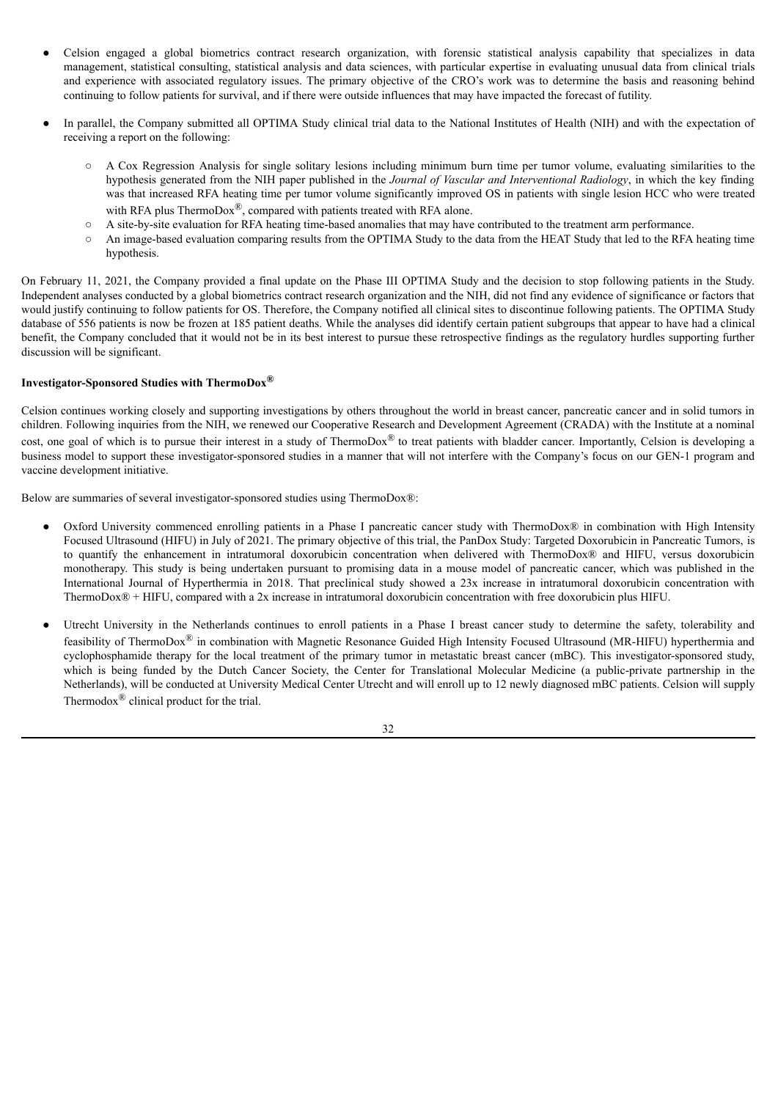- Celsion engaged a global biometrics contract research organization, with forensic statistical analysis capability that specializes in data management, statistical consulting, statistical analysis and data sciences, with particular expertise in evaluating unusual data from clinical trials and experience with associated regulatory issues. The primary objective of the CRO's work was to determine the basis and reasoning behind continuing to follow patients for survival, and if there were outside influences that may have impacted the forecast of futility.
- In parallel, the Company submitted all OPTIMA Study clinical trial data to the National Institutes of Health (NIH) and with the expectation of receiving a report on the following:
	- A Cox Regression Analysis for single solitary lesions including minimum burn time per tumor volume, evaluating similarities to the hypothesis generated from the NIH paper published in the *Journal of Vascular and Interventional Radiology*, in which the key finding was that increased RFA heating time per tumor volume significantly improved OS in patients with single lesion HCC who were treated with RFA plus ThermoDox®, compared with patients treated with RFA alone.
	- A site-by-site evaluation for RFA heating time-based anomalies that may have contributed to the treatment arm performance.
	- An image-based evaluation comparing results from the OPTIMA Study to the data from the HEAT Study that led to the RFA heating time hypothesis.

On February 11, 2021, the Company provided a final update on the Phase III OPTIMA Study and the decision to stop following patients in the Study. Independent analyses conducted by a global biometrics contract research organization and the NIH, did not find any evidence of significance or factors that would justify continuing to follow patients for OS. Therefore, the Company notified all clinical sites to discontinue following patients. The OPTIMA Study database of 556 patients is now be frozen at 185 patient deaths. While the analyses did identify certain patient subgroups that appear to have had a clinical benefit, the Company concluded that it would not be in its best interest to pursue these retrospective findings as the regulatory hurdles supporting further discussion will be significant.

# **Investigator-Sponsored Studies with ThermoDox®**

Celsion continues working closely and supporting investigations by others throughout the world in breast cancer, pancreatic cancer and in solid tumors in children. Following inquiries from the NIH, we renewed our Cooperative Research and Development Agreement (CRADA) with the Institute at a nominal cost, one goal of which is to pursue their interest in a study of ThermoDox<sup>®</sup> to treat patients with bladder cancer. Importantly, Celsion is developing a business model to support these investigator-sponsored studies in a manner that will not interfere with the Company's focus on our GEN-1 program and vaccine development initiative.

Below are summaries of several investigator-sponsored studies using ThermoDox®:

- Oxford University commenced enrolling patients in a Phase I pancreatic cancer study with ThermoDox® in combination with High Intensity Focused Ultrasound (HIFU) in July of 2021. The primary objective of this trial, the PanDox Study: Targeted Doxorubicin in Pancreatic Tumors, is to quantify the enhancement in intratumoral doxorubicin concentration when delivered with ThermoDox® and HIFU, versus doxorubicin monotherapy. This study is being undertaken pursuant to promising data in a mouse model of pancreatic cancer, which was published in the International Journal of Hyperthermia in 2018. That preclinical study showed a 23x increase in intratumoral doxorubicin concentration with ThermoDox® + HIFU, compared with a 2x increase in intratumoral doxorubicin concentration with free doxorubicin plus HIFU.
- Utrecht University in the Netherlands continues to enroll patients in a Phase I breast cancer study to determine the safety, tolerability and feasibility of ThermoDox® in combination with Magnetic Resonance Guided High Intensity Focused Ultrasound (MR-HIFU) hyperthermia and cyclophosphamide therapy for the local treatment of the primary tumor in metastatic breast cancer (mBC). This investigator-sponsored study, which is being funded by the Dutch Cancer Society, the Center for Translational Molecular Medicine (a public-private partnership in the Netherlands), will be conducted at University Medical Center Utrecht and will enroll up to 12 newly diagnosed mBC patients. Celsion will supply Thermodox® clinical product for the trial.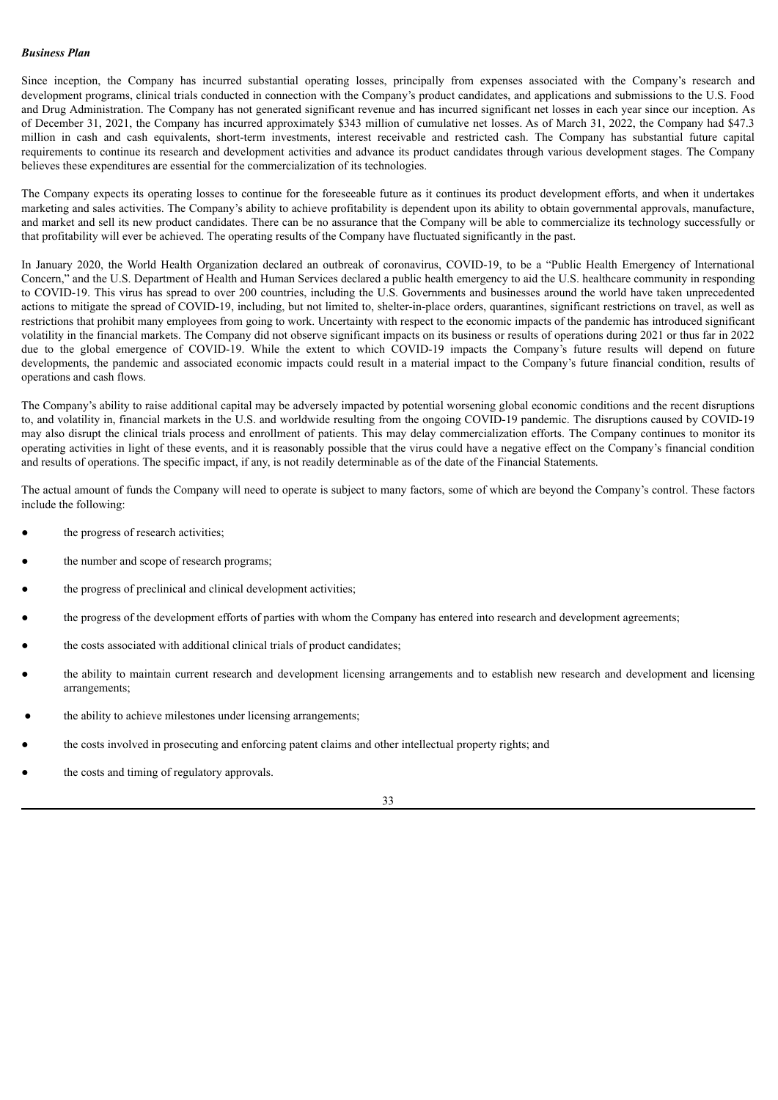## *Business Plan*

Since inception, the Company has incurred substantial operating losses, principally from expenses associated with the Company's research and development programs, clinical trials conducted in connection with the Company's product candidates, and applications and submissions to the U.S. Food and Drug Administration. The Company has not generated significant revenue and has incurred significant net losses in each year since our inception. As of December 31, 2021, the Company has incurred approximately \$343 million of cumulative net losses. As of March 31, 2022, the Company had \$47.3 million in cash and cash equivalents, short-term investments, interest receivable and restricted cash. The Company has substantial future capital requirements to continue its research and development activities and advance its product candidates through various development stages. The Company believes these expenditures are essential for the commercialization of its technologies.

The Company expects its operating losses to continue for the foreseeable future as it continues its product development efforts, and when it undertakes marketing and sales activities. The Company's ability to achieve profitability is dependent upon its ability to obtain governmental approvals, manufacture, and market and sell its new product candidates. There can be no assurance that the Company will be able to commercialize its technology successfully or that profitability will ever be achieved. The operating results of the Company have fluctuated significantly in the past.

In January 2020, the World Health Organization declared an outbreak of coronavirus, COVID-19, to be a "Public Health Emergency of International Concern," and the U.S. Department of Health and Human Services declared a public health emergency to aid the U.S. healthcare community in responding to COVID-19. This virus has spread to over 200 countries, including the U.S. Governments and businesses around the world have taken unprecedented actions to mitigate the spread of COVID-19, including, but not limited to, shelter-in-place orders, quarantines, significant restrictions on travel, as well as restrictions that prohibit many employees from going to work. Uncertainty with respect to the economic impacts of the pandemic has introduced significant volatility in the financial markets. The Company did not observe significant impacts on its business or results of operations during 2021 or thus far in 2022 due to the global emergence of COVID-19. While the extent to which COVID-19 impacts the Company's future results will depend on future developments, the pandemic and associated economic impacts could result in a material impact to the Company's future financial condition, results of operations and cash flows.

The Company's ability to raise additional capital may be adversely impacted by potential worsening global economic conditions and the recent disruptions to, and volatility in, financial markets in the U.S. and worldwide resulting from the ongoing COVID-19 pandemic. The disruptions caused by COVID-19 may also disrupt the clinical trials process and enrollment of patients. This may delay commercialization efforts. The Company continues to monitor its operating activities in light of these events, and it is reasonably possible that the virus could have a negative effect on the Company's financial condition and results of operations. The specific impact, if any, is not readily determinable as of the date of the Financial Statements.

The actual amount of funds the Company will need to operate is subject to many factors, some of which are beyond the Company's control. These factors include the following:

- the progress of research activities;
- the number and scope of research programs;
- the progress of preclinical and clinical development activities;
- the progress of the development efforts of parties with whom the Company has entered into research and development agreements;
- the costs associated with additional clinical trials of product candidates;
- the ability to maintain current research and development licensing arrangements and to establish new research and development and licensing arrangements;
- the ability to achieve milestones under licensing arrangements;
- the costs involved in prosecuting and enforcing patent claims and other intellectual property rights; and
- the costs and timing of regulatory approvals.

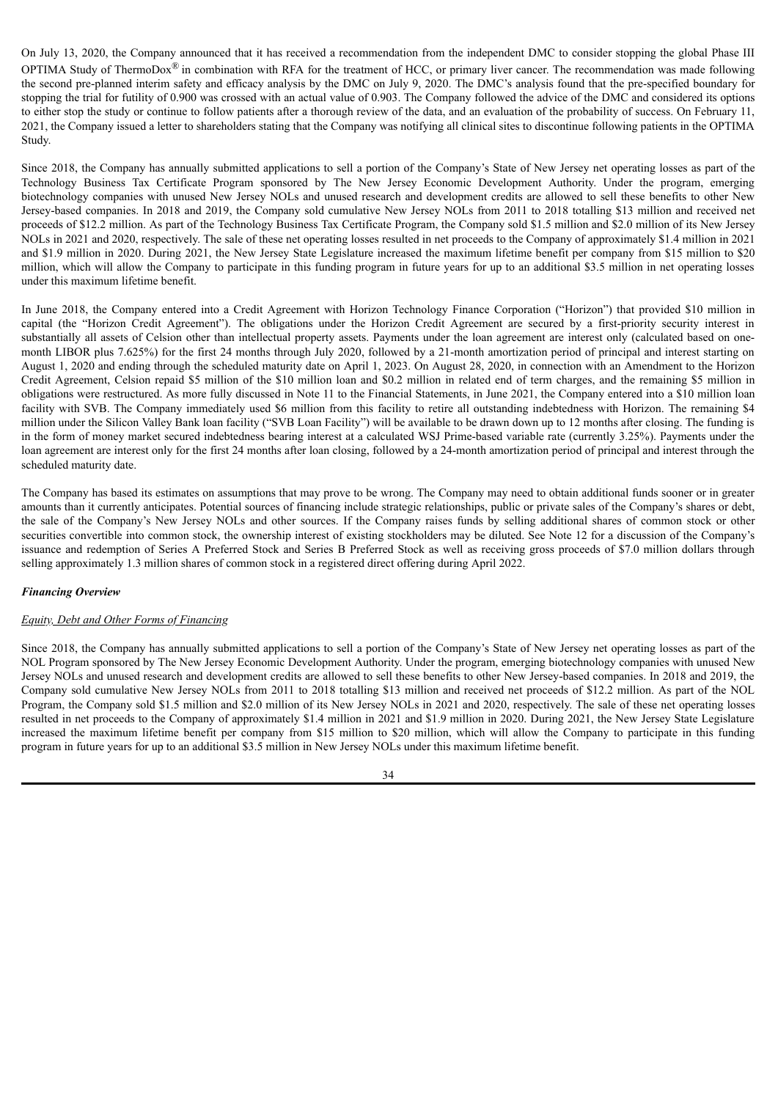On July 13, 2020, the Company announced that it has received a recommendation from the independent DMC to consider stopping the global Phase III OPTIMA Study of ThermoDox<sup>®</sup> in combination with RFA for the treatment of HCC, or primary liver cancer. The recommendation was made following the second pre-planned interim safety and efficacy analysis by the DMC on July 9, 2020. The DMC's analysis found that the pre-specified boundary for stopping the trial for futility of 0.900 was crossed with an actual value of 0.903. The Company followed the advice of the DMC and considered its options to either stop the study or continue to follow patients after a thorough review of the data, and an evaluation of the probability of success. On February 11, 2021, the Company issued a letter to shareholders stating that the Company was notifying all clinical sites to discontinue following patients in the OPTIMA Study.

Since 2018, the Company has annually submitted applications to sell a portion of the Company's State of New Jersey net operating losses as part of the Technology Business Tax Certificate Program sponsored by The New Jersey Economic Development Authority. Under the program, emerging biotechnology companies with unused New Jersey NOLs and unused research and development credits are allowed to sell these benefits to other New Jersey-based companies. In 2018 and 2019, the Company sold cumulative New Jersey NOLs from 2011 to 2018 totalling \$13 million and received net proceeds of \$12.2 million. As part of the Technology Business Tax Certificate Program, the Company sold \$1.5 million and \$2.0 million of its New Jersey NOLs in 2021 and 2020, respectively. The sale of these net operating losses resulted in net proceeds to the Company of approximately \$1.4 million in 2021 and \$1.9 million in 2020. During 2021, the New Jersey State Legislature increased the maximum lifetime benefit per company from \$15 million to \$20 million, which will allow the Company to participate in this funding program in future years for up to an additional \$3.5 million in net operating losses under this maximum lifetime benefit.

In June 2018, the Company entered into a Credit Agreement with Horizon Technology Finance Corporation ("Horizon") that provided \$10 million in capital (the "Horizon Credit Agreement"). The obligations under the Horizon Credit Agreement are secured by a first-priority security interest in substantially all assets of Celsion other than intellectual property assets. Payments under the loan agreement are interest only (calculated based on onemonth LIBOR plus 7.625%) for the first 24 months through July 2020, followed by a 21-month amortization period of principal and interest starting on August 1, 2020 and ending through the scheduled maturity date on April 1, 2023. On August 28, 2020, in connection with an Amendment to the Horizon Credit Agreement, Celsion repaid \$5 million of the \$10 million loan and \$0.2 million in related end of term charges, and the remaining \$5 million in obligations were restructured. As more fully discussed in Note 11 to the Financial Statements, in June 2021, the Company entered into a \$10 million loan facility with SVB. The Company immediately used \$6 million from this facility to retire all outstanding indebtedness with Horizon. The remaining \$4 million under the Silicon Valley Bank loan facility ("SVB Loan Facility") will be available to be drawn down up to 12 months after closing. The funding is in the form of money market secured indebtedness bearing interest at a calculated WSJ Prime-based variable rate (currently 3.25%). Payments under the loan agreement are interest only for the first 24 months after loan closing, followed by a 24-month amortization period of principal and interest through the scheduled maturity date.

The Company has based its estimates on assumptions that may prove to be wrong. The Company may need to obtain additional funds sooner or in greater amounts than it currently anticipates. Potential sources of financing include strategic relationships, public or private sales of the Company's shares or debt, the sale of the Company's New Jersey NOLs and other sources. If the Company raises funds by selling additional shares of common stock or other securities convertible into common stock, the ownership interest of existing stockholders may be diluted. See Note 12 for a discussion of the Company's issuance and redemption of Series A Preferred Stock and Series B Preferred Stock as well as receiving gross proceeds of \$7.0 million dollars through selling approximately 1.3 million shares of common stock in a registered direct offering during April 2022.

## *Financing Overview*

# *Equity, Debt and Other Forms of Financing*

Since 2018, the Company has annually submitted applications to sell a portion of the Company's State of New Jersey net operating losses as part of the NOL Program sponsored by The New Jersey Economic Development Authority. Under the program, emerging biotechnology companies with unused New Jersey NOLs and unused research and development credits are allowed to sell these benefits to other New Jersey-based companies. In 2018 and 2019, the Company sold cumulative New Jersey NOLs from 2011 to 2018 totalling \$13 million and received net proceeds of \$12.2 million. As part of the NOL Program, the Company sold \$1.5 million and \$2.0 million of its New Jersey NOLs in 2021 and 2020, respectively. The sale of these net operating losses resulted in net proceeds to the Company of approximately \$1.4 million in 2021 and \$1.9 million in 2020. During 2021, the New Jersey State Legislature increased the maximum lifetime benefit per company from \$15 million to \$20 million, which will allow the Company to participate in this funding program in future years for up to an additional \$3.5 million in New Jersey NOLs under this maximum lifetime benefit.

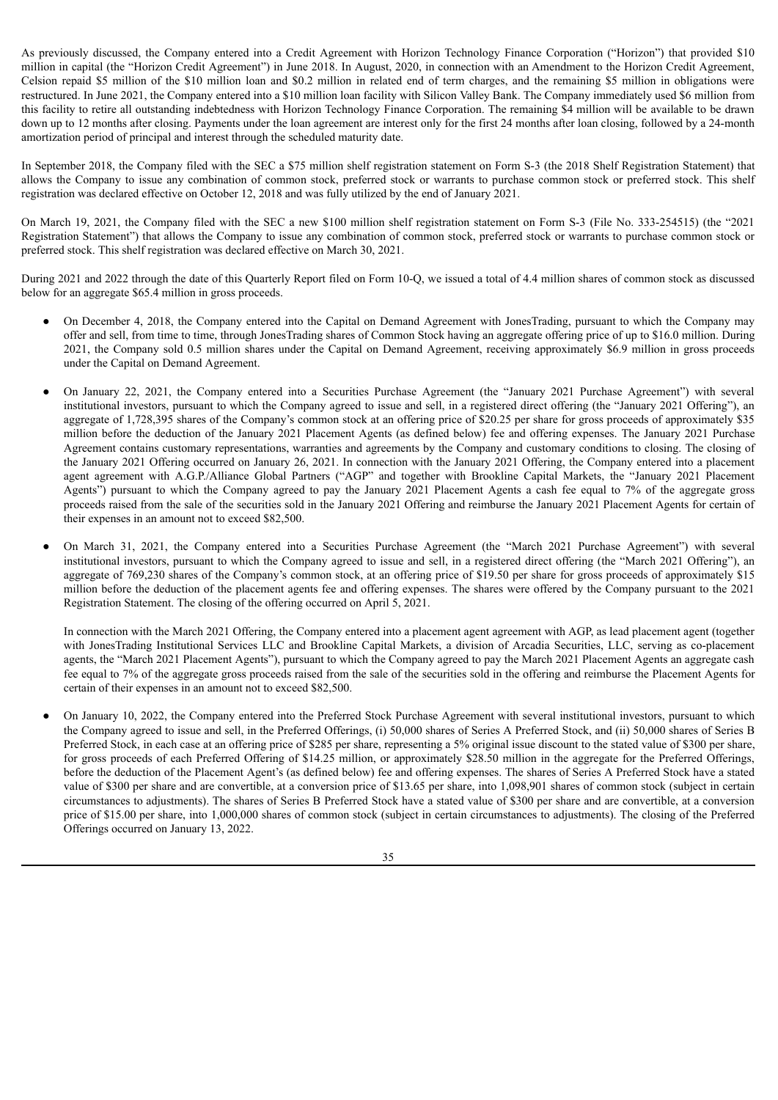As previously discussed, the Company entered into a Credit Agreement with Horizon Technology Finance Corporation ("Horizon") that provided \$10 million in capital (the "Horizon Credit Agreement") in June 2018. In August, 2020, in connection with an Amendment to the Horizon Credit Agreement, Celsion repaid \$5 million of the \$10 million loan and \$0.2 million in related end of term charges, and the remaining \$5 million in obligations were restructured. In June 2021, the Company entered into a \$10 million loan facility with Silicon Valley Bank. The Company immediately used \$6 million from this facility to retire all outstanding indebtedness with Horizon Technology Finance Corporation. The remaining \$4 million will be available to be drawn down up to 12 months after closing. Payments under the loan agreement are interest only for the first 24 months after loan closing, followed by a 24-month amortization period of principal and interest through the scheduled maturity date.

In September 2018, the Company filed with the SEC a \$75 million shelf registration statement on Form S-3 (the 2018 Shelf Registration Statement) that allows the Company to issue any combination of common stock, preferred stock or warrants to purchase common stock or preferred stock. This shelf registration was declared effective on October 12, 2018 and was fully utilized by the end of January 2021.

On March 19, 2021, the Company filed with the SEC a new \$100 million shelf registration statement on Form S-3 (File No. 333-254515) (the "2021 Registration Statement") that allows the Company to issue any combination of common stock, preferred stock or warrants to purchase common stock or preferred stock. This shelf registration was declared effective on March 30, 2021.

During 2021 and 2022 through the date of this Quarterly Report filed on Form 10-Q, we issued a total of 4.4 million shares of common stock as discussed below for an aggregate \$65.4 million in gross proceeds.

- On December 4, 2018, the Company entered into the Capital on Demand Agreement with JonesTrading, pursuant to which the Company may offer and sell, from time to time, through JonesTrading shares of Common Stock having an aggregate offering price of up to \$16.0 million. During 2021, the Company sold 0.5 million shares under the Capital on Demand Agreement, receiving approximately \$6.9 million in gross proceeds under the Capital on Demand Agreement.
- On January 22, 2021, the Company entered into a Securities Purchase Agreement (the "January 2021 Purchase Agreement") with several institutional investors, pursuant to which the Company agreed to issue and sell, in a registered direct offering (the "January 2021 Offering"), an aggregate of 1,728,395 shares of the Company's common stock at an offering price of \$20.25 per share for gross proceeds of approximately \$35 million before the deduction of the January 2021 Placement Agents (as defined below) fee and offering expenses. The January 2021 Purchase Agreement contains customary representations, warranties and agreements by the Company and customary conditions to closing. The closing of the January 2021 Offering occurred on January 26, 2021. In connection with the January 2021 Offering, the Company entered into a placement agent agreement with A.G.P./Alliance Global Partners ("AGP" and together with Brookline Capital Markets, the "January 2021 Placement Agents") pursuant to which the Company agreed to pay the January 2021 Placement Agents a cash fee equal to 7% of the aggregate gross proceeds raised from the sale of the securities sold in the January 2021 Offering and reimburse the January 2021 Placement Agents for certain of their expenses in an amount not to exceed \$82,500.
- On March 31, 2021, the Company entered into a Securities Purchase Agreement (the "March 2021 Purchase Agreement") with several institutional investors, pursuant to which the Company agreed to issue and sell, in a registered direct offering (the "March 2021 Offering"), an aggregate of 769,230 shares of the Company's common stock, at an offering price of \$19.50 per share for gross proceeds of approximately \$15 million before the deduction of the placement agents fee and offering expenses. The shares were offered by the Company pursuant to the 2021 Registration Statement. The closing of the offering occurred on April 5, 2021.

In connection with the March 2021 Offering, the Company entered into a placement agent agreement with AGP, as lead placement agent (together with JonesTrading Institutional Services LLC and Brookline Capital Markets, a division of Arcadia Securities, LLC, serving as co-placement agents, the "March 2021 Placement Agents"), pursuant to which the Company agreed to pay the March 2021 Placement Agents an aggregate cash fee equal to 7% of the aggregate gross proceeds raised from the sale of the securities sold in the offering and reimburse the Placement Agents for certain of their expenses in an amount not to exceed \$82,500.

On January 10, 2022, the Company entered into the Preferred Stock Purchase Agreement with several institutional investors, pursuant to which the Company agreed to issue and sell, in the Preferred Offerings, (i) 50,000 shares of Series A Preferred Stock, and (ii) 50,000 shares of Series B Preferred Stock, in each case at an offering price of \$285 per share, representing a 5% original issue discount to the stated value of \$300 per share, for gross proceeds of each Preferred Offering of \$14.25 million, or approximately \$28.50 million in the aggregate for the Preferred Offerings, before the deduction of the Placement Agent's (as defined below) fee and offering expenses. The shares of Series A Preferred Stock have a stated value of \$300 per share and are convertible, at a conversion price of \$13.65 per share, into 1,098,901 shares of common stock (subject in certain circumstances to adjustments). The shares of Series B Preferred Stock have a stated value of \$300 per share and are convertible, at a conversion price of \$15.00 per share, into 1,000,000 shares of common stock (subject in certain circumstances to adjustments). The closing of the Preferred Offerings occurred on January 13, 2022.

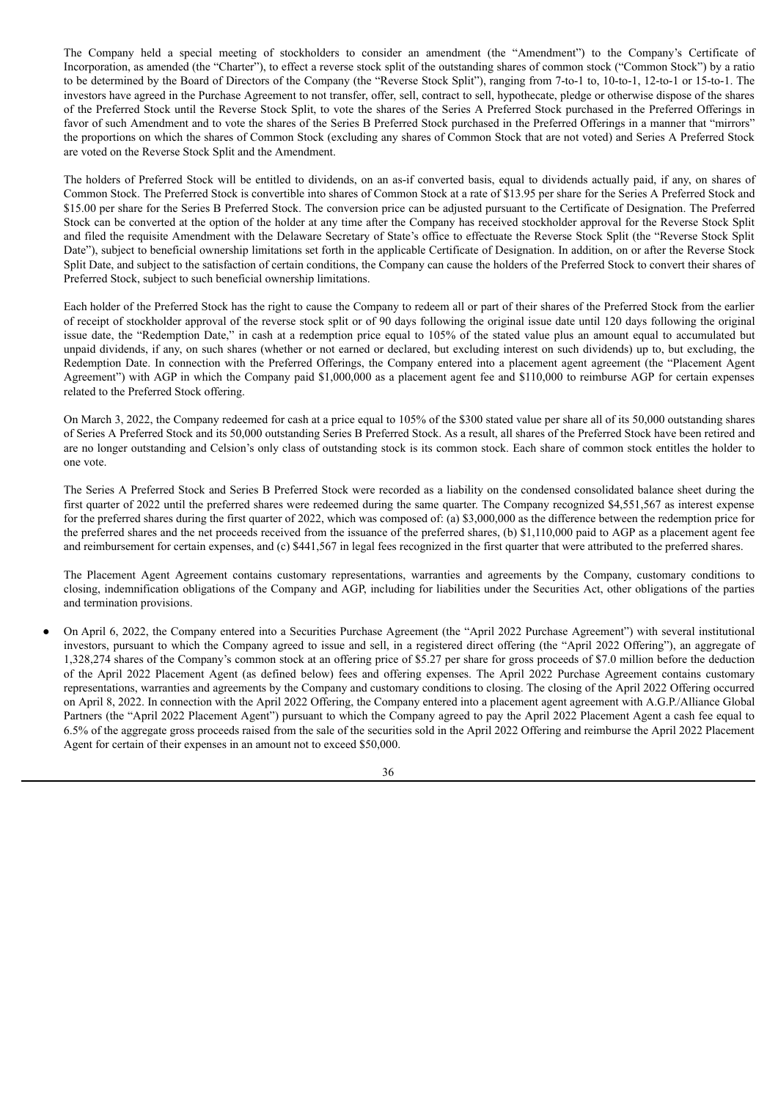The Company held a special meeting of stockholders to consider an amendment (the "Amendment") to the Company's Certificate of Incorporation, as amended (the "Charter"), to effect a reverse stock split of the outstanding shares of common stock ("Common Stock") by a ratio to be determined by the Board of Directors of the Company (the "Reverse Stock Split"), ranging from 7-to-1 to, 10-to-1, 12-to-1 or 15-to-1. The investors have agreed in the Purchase Agreement to not transfer, offer, sell, contract to sell, hypothecate, pledge or otherwise dispose of the shares of the Preferred Stock until the Reverse Stock Split, to vote the shares of the Series A Preferred Stock purchased in the Preferred Offerings in favor of such Amendment and to vote the shares of the Series B Preferred Stock purchased in the Preferred Offerings in a manner that "mirrors" the proportions on which the shares of Common Stock (excluding any shares of Common Stock that are not voted) and Series A Preferred Stock are voted on the Reverse Stock Split and the Amendment.

The holders of Preferred Stock will be entitled to dividends, on an as-if converted basis, equal to dividends actually paid, if any, on shares of Common Stock. The Preferred Stock is convertible into shares of Common Stock at a rate of \$13.95 per share for the Series A Preferred Stock and \$15.00 per share for the Series B Preferred Stock. The conversion price can be adjusted pursuant to the Certificate of Designation. The Preferred Stock can be converted at the option of the holder at any time after the Company has received stockholder approval for the Reverse Stock Split and filed the requisite Amendment with the Delaware Secretary of State's office to effectuate the Reverse Stock Split (the "Reverse Stock Split Date"), subject to beneficial ownership limitations set forth in the applicable Certificate of Designation. In addition, on or after the Reverse Stock Split Date, and subject to the satisfaction of certain conditions, the Company can cause the holders of the Preferred Stock to convert their shares of Preferred Stock, subject to such beneficial ownership limitations.

Each holder of the Preferred Stock has the right to cause the Company to redeem all or part of their shares of the Preferred Stock from the earlier of receipt of stockholder approval of the reverse stock split or of 90 days following the original issue date until 120 days following the original issue date, the "Redemption Date," in cash at a redemption price equal to 105% of the stated value plus an amount equal to accumulated but unpaid dividends, if any, on such shares (whether or not earned or declared, but excluding interest on such dividends) up to, but excluding, the Redemption Date. In connection with the Preferred Offerings, the Company entered into a placement agent agreement (the "Placement Agent Agreement") with AGP in which the Company paid \$1,000,000 as a placement agent fee and \$110,000 to reimburse AGP for certain expenses related to the Preferred Stock offering.

On March 3, 2022, the Company redeemed for cash at a price equal to 105% of the \$300 stated value per share all of its 50,000 outstanding shares of Series A Preferred Stock and its 50,000 outstanding Series B Preferred Stock. As a result, all shares of the Preferred Stock have been retired and are no longer outstanding and Celsion's only class of outstanding stock is its common stock. Each share of common stock entitles the holder to one vote.

The Series A Preferred Stock and Series B Preferred Stock were recorded as a liability on the condensed consolidated balance sheet during the first quarter of 2022 until the preferred shares were redeemed during the same quarter. The Company recognized \$4,551,567 as interest expense for the preferred shares during the first quarter of 2022, which was composed of: (a) \$3,000,000 as the difference between the redemption price for the preferred shares and the net proceeds received from the issuance of the preferred shares, (b) \$1,110,000 paid to AGP as a placement agent fee and reimbursement for certain expenses, and (c) \$441,567 in legal fees recognized in the first quarter that were attributed to the preferred shares.

The Placement Agent Agreement contains customary representations, warranties and agreements by the Company, customary conditions to closing, indemnification obligations of the Company and AGP, including for liabilities under the Securities Act, other obligations of the parties and termination provisions.

On April 6, 2022, the Company entered into a Securities Purchase Agreement (the "April 2022 Purchase Agreement") with several institutional investors, pursuant to which the Company agreed to issue and sell, in a registered direct offering (the "April 2022 Offering"), an aggregate of 1,328,274 shares of the Company's common stock at an offering price of \$5.27 per share for gross proceeds of \$7.0 million before the deduction of the April 2022 Placement Agent (as defined below) fees and offering expenses. The April 2022 Purchase Agreement contains customary representations, warranties and agreements by the Company and customary conditions to closing. The closing of the April 2022 Offering occurred on April 8, 2022. In connection with the April 2022 Offering, the Company entered into a placement agent agreement with A.G.P./Alliance Global Partners (the "April 2022 Placement Agent") pursuant to which the Company agreed to pay the April 2022 Placement Agent a cash fee equal to 6.5% of the aggregate gross proceeds raised from the sale of the securities sold in the April 2022 Offering and reimburse the April 2022 Placement Agent for certain of their expenses in an amount not to exceed \$50,000.

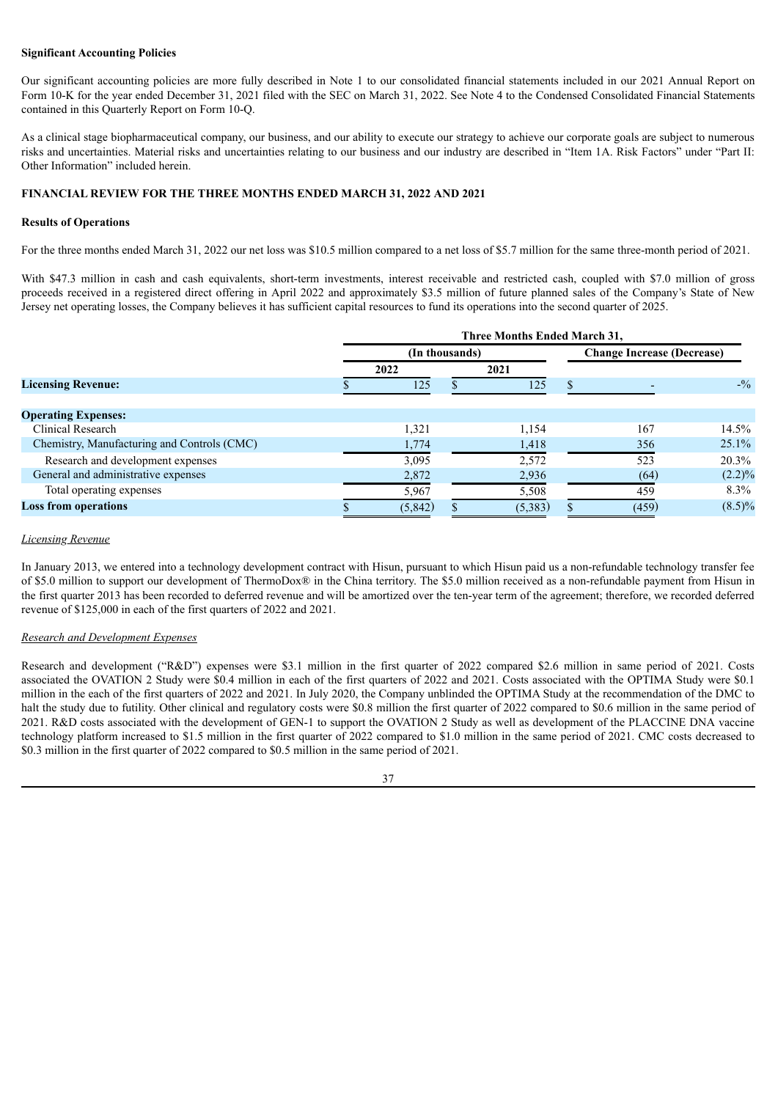## **Significant Accounting Policies**

Our significant accounting policies are more fully described in Note 1 to our consolidated financial statements included in our 2021 Annual Report on Form 10-K for the year ended December 31, 2021 filed with the SEC on March 31, 2022. See Note 4 to the Condensed Consolidated Financial Statements contained in this Quarterly Report on Form 10-Q.

As a clinical stage biopharmaceutical company, our business, and our ability to execute our strategy to achieve our corporate goals are subject to numerous risks and uncertainties. Material risks and uncertainties relating to our business and our industry are described in "Item 1A. Risk Factors" under "Part II: Other Information" included herein.

# **FINANCIAL REVIEW FOR THE THREE MONTHS ENDED MARCH 31, 2022 AND 2021**

#### **Results of Operations**

For the three months ended March 31, 2022 our net loss was \$10.5 million compared to a net loss of \$5.7 million for the same three-month period of 2021.

With \$47.3 million in cash and cash equivalents, short-term investments, interest receivable and restricted cash, coupled with \$7.0 million of gross proceeds received in a registered direct offering in April 2022 and approximately \$3.5 million of future planned sales of the Company's State of New Jersey net operating losses, the Company believes it has sufficient capital resources to fund its operations into the second quarter of 2025.

|                                             | Three Months Ended March 31, |         |      |         |                                   |       |                 |
|---------------------------------------------|------------------------------|---------|------|---------|-----------------------------------|-------|-----------------|
|                                             | (In thousands)               |         |      |         | <b>Change Increase (Decrease)</b> |       |                 |
|                                             | 2022                         |         | 2021 |         |                                   |       |                 |
| <b>Licensing Revenue:</b>                   |                              | 125     |      | 125     |                                   |       | $- \frac{0}{2}$ |
|                                             |                              |         |      |         |                                   |       |                 |
| <b>Operating Expenses:</b>                  |                              |         |      |         |                                   |       |                 |
| <b>Clinical Research</b>                    |                              | 1,321   |      | 1,154   |                                   | 167   | 14.5%           |
| Chemistry, Manufacturing and Controls (CMC) |                              | 1,774   |      | 1,418   |                                   | 356   | 25.1%           |
| Research and development expenses           |                              | 3,095   |      | 2,572   |                                   | 523   | 20.3%           |
| General and administrative expenses         |                              | 2,872   |      | 2,936   |                                   | (64)  | $(2.2)\%$       |
| Total operating expenses                    |                              | 5,967   |      | 5,508   |                                   | 459   | 8.3%            |
| <b>Loss from operations</b>                 |                              | (5,842) |      | (5,383) |                                   | (459) | $(8.5)\%$       |

#### *Licensing Revenue*

In January 2013, we entered into a technology development contract with Hisun, pursuant to which Hisun paid us a non-refundable technology transfer fee of \$5.0 million to support our development of ThermoDox® in the China territory. The \$5.0 million received as a non-refundable payment from Hisun in the first quarter 2013 has been recorded to deferred revenue and will be amortized over the ten-year term of the agreement; therefore, we recorded deferred revenue of \$125,000 in each of the first quarters of 2022 and 2021.

#### *Research and Development Expenses*

Research and development ("R&D") expenses were \$3.1 million in the first quarter of 2022 compared \$2.6 million in same period of 2021. Costs associated the OVATION 2 Study were \$0.4 million in each of the first quarters of 2022 and 2021. Costs associated with the OPTIMA Study were \$0.1 million in the each of the first quarters of 2022 and 2021. In July 2020, the Company unblinded the OPTIMA Study at the recommendation of the DMC to halt the study due to futility. Other clinical and regulatory costs were \$0.8 million the first quarter of 2022 compared to \$0.6 million in the same period of 2021. R&D costs associated with the development of GEN-1 to support the OVATION 2 Study as well as development of the PLACCINE DNA vaccine technology platform increased to \$1.5 million in the first quarter of 2022 compared to \$1.0 million in the same period of 2021. CMC costs decreased to \$0.3 million in the first quarter of 2022 compared to \$0.5 million in the same period of 2021.

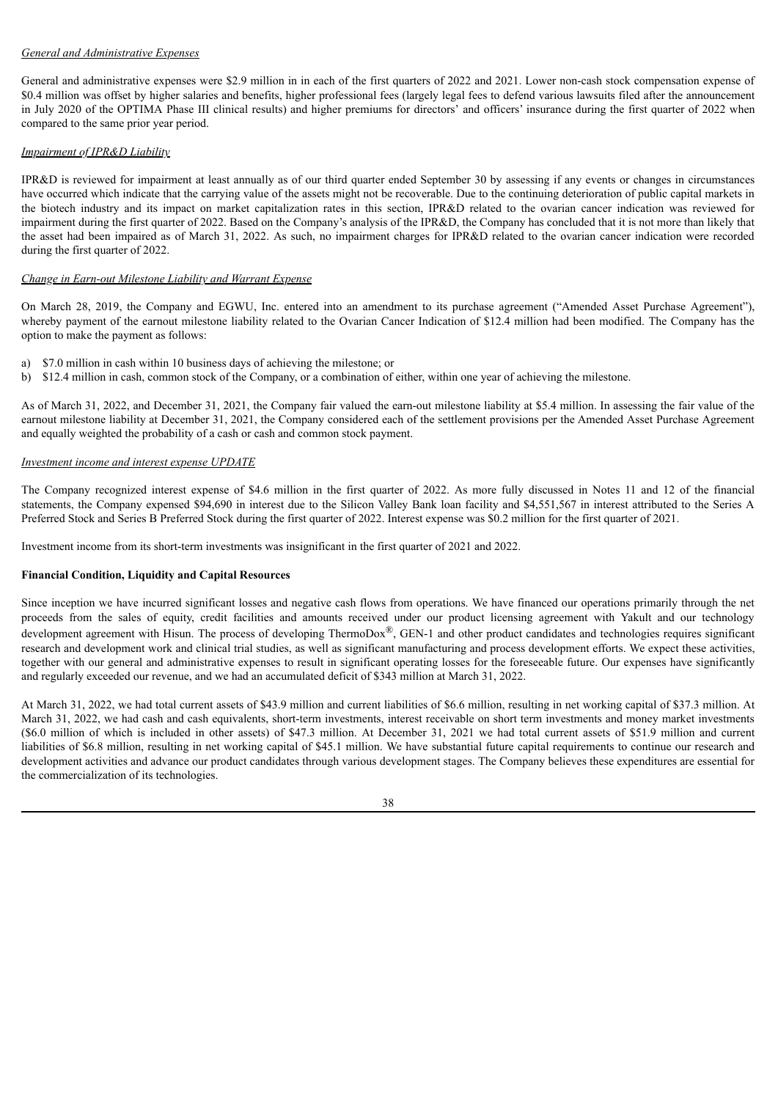## *General and Administrative Expenses*

General and administrative expenses were \$2.9 million in in each of the first quarters of 2022 and 2021. Lower non-cash stock compensation expense of \$0.4 million was offset by higher salaries and benefits, higher professional fees (largely legal fees to defend various lawsuits filed after the announcement in July 2020 of the OPTIMA Phase III clinical results) and higher premiums for directors' and officers' insurance during the first quarter of 2022 when compared to the same prior year period.

# *Impairment of IPR&D Liability*

IPR&D is reviewed for impairment at least annually as of our third quarter ended September 30 by assessing if any events or changes in circumstances have occurred which indicate that the carrying value of the assets might not be recoverable. Due to the continuing deterioration of public capital markets in the biotech industry and its impact on market capitalization rates in this section, IPR&D related to the ovarian cancer indication was reviewed for impairment during the first quarter of 2022. Based on the Company's analysis of the IPR&D, the Company has concluded that it is not more than likely that the asset had been impaired as of March 31, 2022. As such, no impairment charges for IPR&D related to the ovarian cancer indication were recorded during the first quarter of 2022.

## *Change in Earn-out Milestone Liability and Warrant Expense*

On March 28, 2019, the Company and EGWU, Inc. entered into an amendment to its purchase agreement ("Amended Asset Purchase Agreement"), whereby payment of the earnout milestone liability related to the Ovarian Cancer Indication of \$12.4 million had been modified. The Company has the option to make the payment as follows:

- a) \$7.0 million in cash within 10 business days of achieving the milestone; or
- b) \$12.4 million in cash, common stock of the Company, or a combination of either, within one year of achieving the milestone.

As of March 31, 2022, and December 31, 2021, the Company fair valued the earn-out milestone liability at \$5.4 million. In assessing the fair value of the earnout milestone liability at December 31, 2021, the Company considered each of the settlement provisions per the Amended Asset Purchase Agreement and equally weighted the probability of a cash or cash and common stock payment.

# *Investment income and interest expense UPDATE*

The Company recognized interest expense of \$4.6 million in the first quarter of 2022. As more fully discussed in Notes 11 and 12 of the financial statements, the Company expensed \$94,690 in interest due to the Silicon Valley Bank loan facility and \$4,551,567 in interest attributed to the Series A Preferred Stock and Series B Preferred Stock during the first quarter of 2022. Interest expense was \$0.2 million for the first quarter of 2021.

Investment income from its short-term investments was insignificant in the first quarter of 2021 and 2022.

## **Financial Condition, Liquidity and Capital Resources**

Since inception we have incurred significant losses and negative cash flows from operations. We have financed our operations primarily through the net proceeds from the sales of equity, credit facilities and amounts received under our product licensing agreement with Yakult and our technology development agreement with Hisun. The process of developing ThermoDox<sup>®</sup>, GEN-1 and other product candidates and technologies requires significant research and development work and clinical trial studies, as well as significant manufacturing and process development efforts. We expect these activities, together with our general and administrative expenses to result in significant operating losses for the foreseeable future. Our expenses have significantly and regularly exceeded our revenue, and we had an accumulated deficit of \$343 million at March 31, 2022.

At March 31, 2022, we had total current assets of \$43.9 million and current liabilities of \$6.6 million, resulting in net working capital of \$37.3 million. At March 31, 2022, we had cash and cash equivalents, short-term investments, interest receivable on short term investments and money market investments (\$6.0 million of which is included in other assets) of \$47.3 million. At December 31, 2021 we had total current assets of \$51.9 million and current liabilities of \$6.8 million, resulting in net working capital of \$45.1 million. We have substantial future capital requirements to continue our research and development activities and advance our product candidates through various development stages. The Company believes these expenditures are essential for the commercialization of its technologies.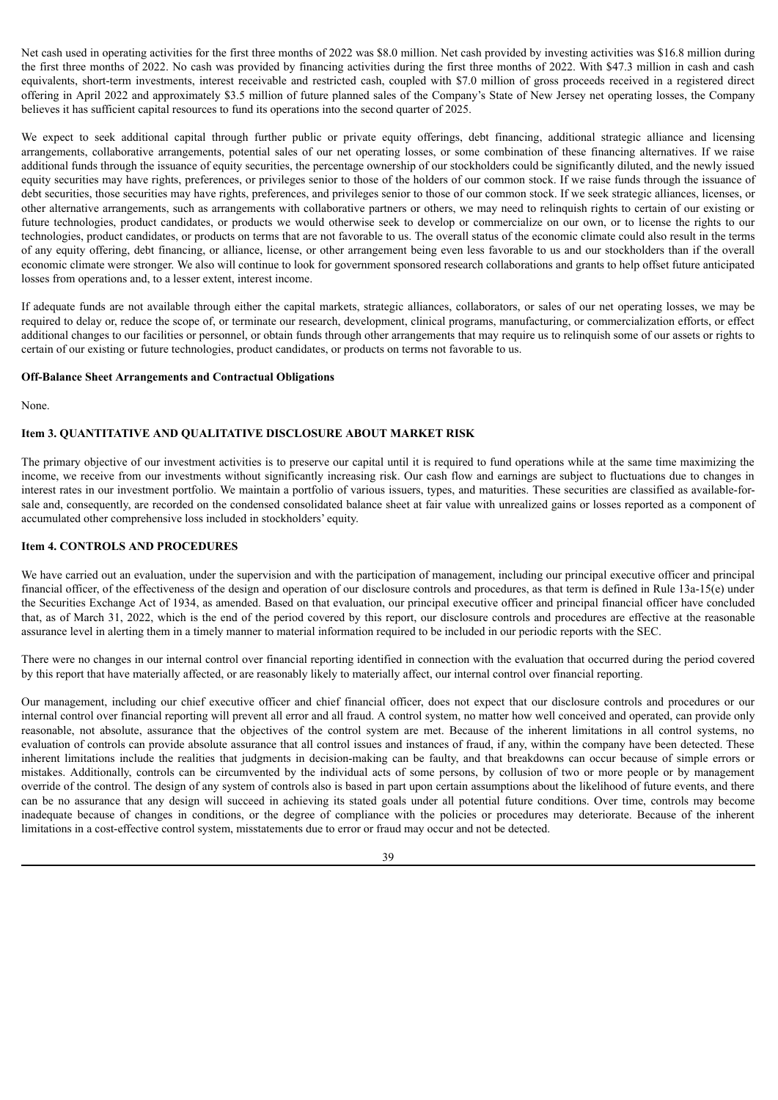Net cash used in operating activities for the first three months of 2022 was \$8.0 million. Net cash provided by investing activities was \$16.8 million during the first three months of 2022. No cash was provided by financing activities during the first three months of 2022. With \$47.3 million in cash and cash equivalents, short-term investments, interest receivable and restricted cash, coupled with \$7.0 million of gross proceeds received in a registered direct offering in April 2022 and approximately \$3.5 million of future planned sales of the Company's State of New Jersey net operating losses, the Company believes it has sufficient capital resources to fund its operations into the second quarter of 2025.

We expect to seek additional capital through further public or private equity offerings, debt financing, additional strategic alliance and licensing arrangements, collaborative arrangements, potential sales of our net operating losses, or some combination of these financing alternatives. If we raise additional funds through the issuance of equity securities, the percentage ownership of our stockholders could be significantly diluted, and the newly issued equity securities may have rights, preferences, or privileges senior to those of the holders of our common stock. If we raise funds through the issuance of debt securities, those securities may have rights, preferences, and privileges senior to those of our common stock. If we seek strategic alliances, licenses, or other alternative arrangements, such as arrangements with collaborative partners or others, we may need to relinquish rights to certain of our existing or future technologies, product candidates, or products we would otherwise seek to develop or commercialize on our own, or to license the rights to our technologies, product candidates, or products on terms that are not favorable to us. The overall status of the economic climate could also result in the terms of any equity offering, debt financing, or alliance, license, or other arrangement being even less favorable to us and our stockholders than if the overall economic climate were stronger. We also will continue to look for government sponsored research collaborations and grants to help offset future anticipated losses from operations and, to a lesser extent, interest income.

If adequate funds are not available through either the capital markets, strategic alliances, collaborators, or sales of our net operating losses, we may be required to delay or, reduce the scope of, or terminate our research, development, clinical programs, manufacturing, or commercialization efforts, or effect additional changes to our facilities or personnel, or obtain funds through other arrangements that may require us to relinquish some of our assets or rights to certain of our existing or future technologies, product candidates, or products on terms not favorable to us.

#### **Off-Balance Sheet Arrangements and Contractual Obligations**

None.

# <span id="page-41-0"></span>**Item 3. QUANTITATIVE AND QUALITATIVE DISCLOSURE ABOUT MARKET RISK**

The primary objective of our investment activities is to preserve our capital until it is required to fund operations while at the same time maximizing the income, we receive from our investments without significantly increasing risk. Our cash flow and earnings are subject to fluctuations due to changes in interest rates in our investment portfolio. We maintain a portfolio of various issuers, types, and maturities. These securities are classified as available-forsale and, consequently, are recorded on the condensed consolidated balance sheet at fair value with unrealized gains or losses reported as a component of accumulated other comprehensive loss included in stockholders' equity.

#### <span id="page-41-1"></span>**Item 4. CONTROLS AND PROCEDURES**

We have carried out an evaluation, under the supervision and with the participation of management, including our principal executive officer and principal financial officer, of the effectiveness of the design and operation of our disclosure controls and procedures, as that term is defined in Rule 13a-15(e) under the Securities Exchange Act of 1934, as amended. Based on that evaluation, our principal executive officer and principal financial officer have concluded that, as of March 31, 2022, which is the end of the period covered by this report, our disclosure controls and procedures are effective at the reasonable assurance level in alerting them in a timely manner to material information required to be included in our periodic reports with the SEC.

There were no changes in our internal control over financial reporting identified in connection with the evaluation that occurred during the period covered by this report that have materially affected, or are reasonably likely to materially affect, our internal control over financial reporting.

Our management, including our chief executive officer and chief financial officer, does not expect that our disclosure controls and procedures or our internal control over financial reporting will prevent all error and all fraud. A control system, no matter how well conceived and operated, can provide only reasonable, not absolute, assurance that the objectives of the control system are met. Because of the inherent limitations in all control systems, no evaluation of controls can provide absolute assurance that all control issues and instances of fraud, if any, within the company have been detected. These inherent limitations include the realities that judgments in decision-making can be faulty, and that breakdowns can occur because of simple errors or mistakes. Additionally, controls can be circumvented by the individual acts of some persons, by collusion of two or more people or by management override of the control. The design of any system of controls also is based in part upon certain assumptions about the likelihood of future events, and there can be no assurance that any design will succeed in achieving its stated goals under all potential future conditions. Over time, controls may become inadequate because of changes in conditions, or the degree of compliance with the policies or procedures may deteriorate. Because of the inherent limitations in a cost-effective control system, misstatements due to error or fraud may occur and not be detected.

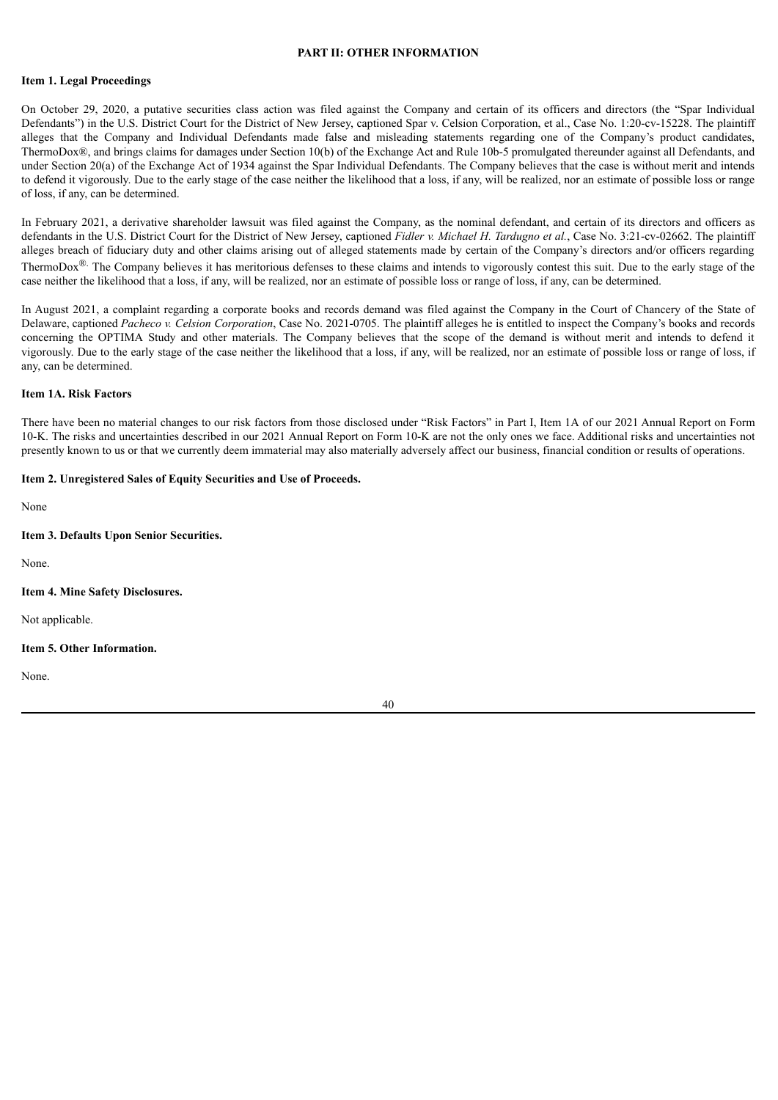# **PART II: OTHER INFORMATION**

#### <span id="page-42-1"></span><span id="page-42-0"></span>**Item 1. Legal Proceedings**

On October 29, 2020, a putative securities class action was filed against the Company and certain of its officers and directors (the "Spar Individual Defendants") in the U.S. District Court for the District of New Jersey, captioned Spar v. Celsion Corporation, et al., Case No. 1:20-cv-15228. The plaintiff alleges that the Company and Individual Defendants made false and misleading statements regarding one of the Company's product candidates, ThermoDox®, and brings claims for damages under Section 10(b) of the Exchange Act and Rule 10b-5 promulgated thereunder against all Defendants, and under Section 20(a) of the Exchange Act of 1934 against the Spar Individual Defendants. The Company believes that the case is without merit and intends to defend it vigorously. Due to the early stage of the case neither the likelihood that a loss, if any, will be realized, nor an estimate of possible loss or range of loss, if any, can be determined.

In February 2021, a derivative shareholder lawsuit was filed against the Company, as the nominal defendant, and certain of its directors and officers as defendants in the U.S. District Court for the District of New Jersey, captioned *Fidler v. Michael H. Tardugno et al.*, Case No. 3:21-cv-02662. The plaintiff alleges breach of fiduciary duty and other claims arising out of alleged statements made by certain of the Company's directors and/or officers regarding ThermoDox<sup>®.</sup> The Company believes it has meritorious defenses to these claims and intends to vigorously contest this suit. Due to the early stage of the case neither the likelihood that a loss, if any, will be realized, nor an estimate of possible loss or range of loss, if any, can be determined.

In August 2021, a complaint regarding a corporate books and records demand was filed against the Company in the Court of Chancery of the State of Delaware, captioned *Pacheco v. Celsion Corporation*, Case No. 2021-0705. The plaintiff alleges he is entitled to inspect the Company's books and records concerning the OPTIMA Study and other materials. The Company believes that the scope of the demand is without merit and intends to defend it vigorously. Due to the early stage of the case neither the likelihood that a loss, if any, will be realized, nor an estimate of possible loss or range of loss, if any, can be determined.

## <span id="page-42-2"></span>**Item 1A. Risk Factors**

There have been no material changes to our risk factors from those disclosed under "Risk Factors" in Part I, Item 1A of our 2021 Annual Report on Form 10-K. The risks and uncertainties described in our 2021 Annual Report on Form 10-K are not the only ones we face. Additional risks and uncertainties not presently known to us or that we currently deem immaterial may also materially adversely affect our business, financial condition or results of operations.

#### <span id="page-42-3"></span>**Item 2. Unregistered Sales of Equity Securities and Use of Proceeds.**

None

#### <span id="page-42-4"></span>**Item 3. Defaults Upon Senior Securities.**

None.

#### <span id="page-42-5"></span>**Item 4. Mine Safety Disclosures.**

Not applicable.

#### <span id="page-42-6"></span>**Item 5. Other Information.**

None.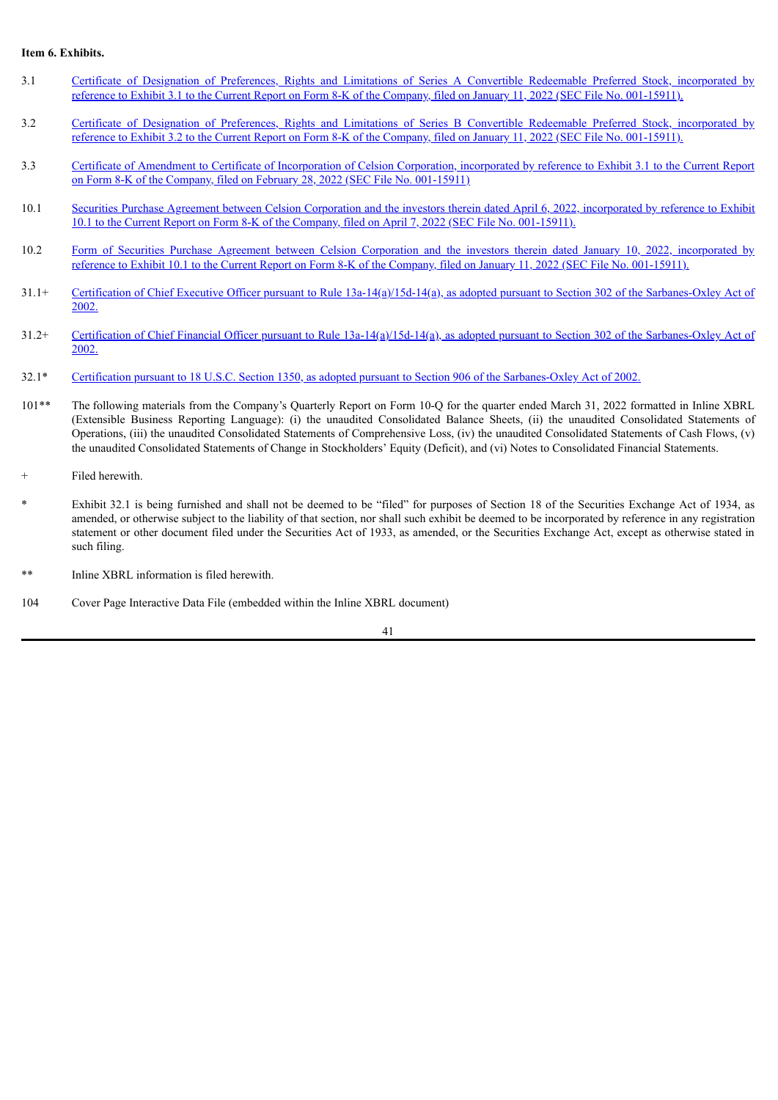## <span id="page-43-0"></span>**Item 6. Exhibits.**

- 3.1 Certificate of Designation of Preferences, Rights and Limitations of Series A Convertible Redeemable Preferred Stock, [incorporated](https://www.sec.gov/Archives/edgar/data/749647/000149315222000935/ex3-1.htm) by reference to Exhibit 3.1 to the Current Report on Form 8-K of the Company, filed on January 11, 2022 (SEC File No. 001-15911).
- 3.2 Certificate of Designation of Preferences, Rights and Limitations of Series B Convertible Redeemable Preferred Stock, [incorporated](https://www.sec.gov/Archives/edgar/data/749647/000149315222000935/ex3-2.htm) by reference to Exhibit 3.2 to the Current Report on Form 8-K of the Company, filed on January 11, 2022 (SEC File No. 001-15911).
- 3.3 Certificate of Amendment to Certificate of [Incorporation](https://www.sec.gov/Archives/edgar/data/749647/000149315222005561/ex3-1.htm) of Celsion Corporation, incorporated by reference to Exhibit 3.1 to the Current Report on Form 8-K of the Company, filed on February 28, 2022 (SEC File No. 001-15911)
- 10.1 Securities Purchase Agreement between Celsion Corporation and the investors therein dated April 6, 2022, [incorporated](https://www.sec.gov/Archives/edgar/data/749647/000149315222009363/ex10-1.htm) by reference to Exhibit 10.1 to the Current Report on Form 8-K of the Company, filed on April 7, 2022 (SEC File No. 001-15911).
- 10.2 Form of Securities Purchase Agreement between Celsion Corporation and the investors therein dated January 10, 2022, [incorporated](https://www.sec.gov/Archives/edgar/data/749647/000149315222000935/ex10-1.htm) by reference to Exhibit 10.1 to the Current Report on Form 8-K of the Company, filed on January 11, 2022 (SEC File No. 001-15911).
- 31.1+ Certification of Chief Executive Officer pursuant to Rule [13a-14\(a\)/15d-14\(a\),](#page-45-0) as adopted pursuant to Section 302 of the Sarbanes-Oxley Act of 2002.
- 31.2+ Certification of Chief Financial Officer pursuant to Rule [13a-14\(a\)/15d-14\(a\),](#page-46-0) as adopted pursuant to Section 302 of the Sarbanes-Oxley Act of 2002.
- 32.1\* Certification pursuant to 18 U.S.C. Section 1350, as adopted pursuant to Section 906 of the [Sarbanes-Oxley](#page-47-0) Act of 2002.
- 101\*\* The following materials from the Company's Quarterly Report on Form 10-Q for the quarter ended March 31, 2022 formatted in Inline XBRL (Extensible Business Reporting Language): (i) the unaudited Consolidated Balance Sheets, (ii) the unaudited Consolidated Statements of Operations, (iii) the unaudited Consolidated Statements of Comprehensive Loss, (iv) the unaudited Consolidated Statements of Cash Flows, (v) the unaudited Consolidated Statements of Change in Stockholders' Equity (Deficit), and (vi) Notes to Consolidated Financial Statements.
- Filed herewith.
- Exhibit 32.1 is being furnished and shall not be deemed to be "filed" for purposes of Section 18 of the Securities Exchange Act of 1934, as amended, or otherwise subject to the liability of that section, nor shall such exhibit be deemed to be incorporated by reference in any registration statement or other document filed under the Securities Act of 1933, as amended, or the Securities Exchange Act, except as otherwise stated in such filing.
- \*\* Inline XBRL information is filed herewith.
- 104 Cover Page Interactive Data File (embedded within the Inline XBRL document)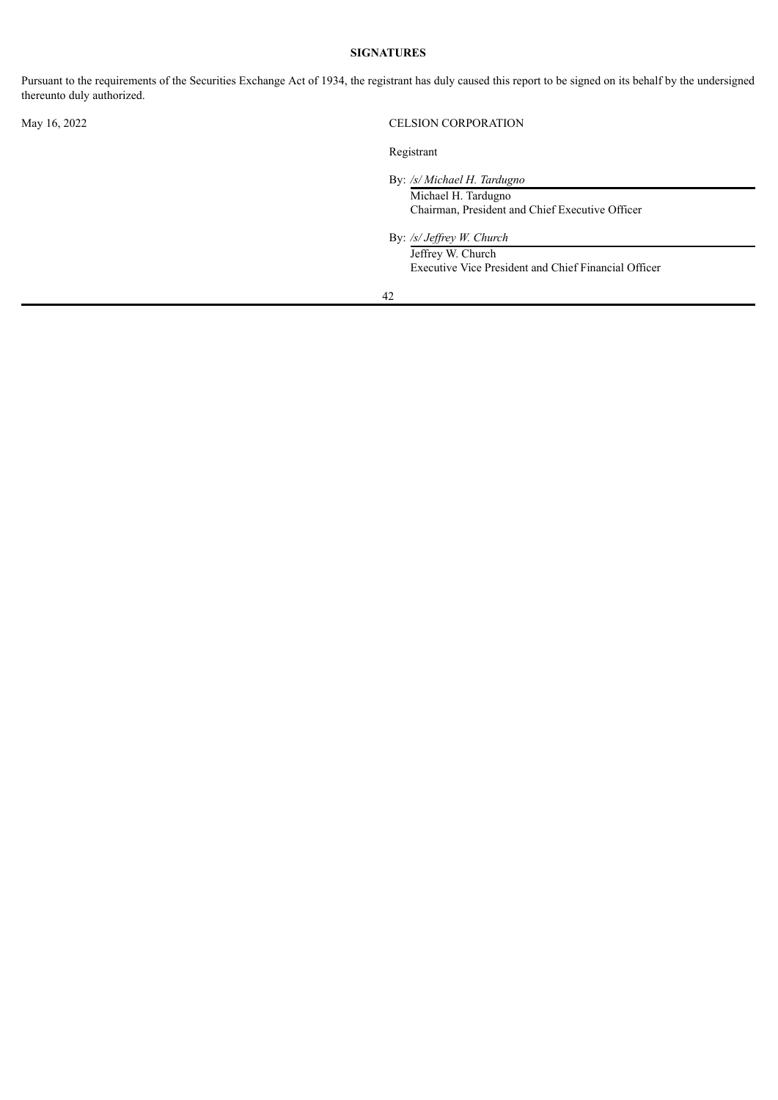# **SIGNATURES**

<span id="page-44-0"></span>Pursuant to the requirements of the Securities Exchange Act of 1934, the registrant has duly caused this report to be signed on its behalf by the undersigned thereunto duly authorized.

# May 16, 2022 CELSION CORPORATION

Registrant

By: */s/ Michael H. Tardugno* Michael H. Tardugno

Chairman, President and Chief Executive Officer

By: */s/ Jef rey W. Church*

Jeffrey W. Church Executive Vice President and Chief Financial Officer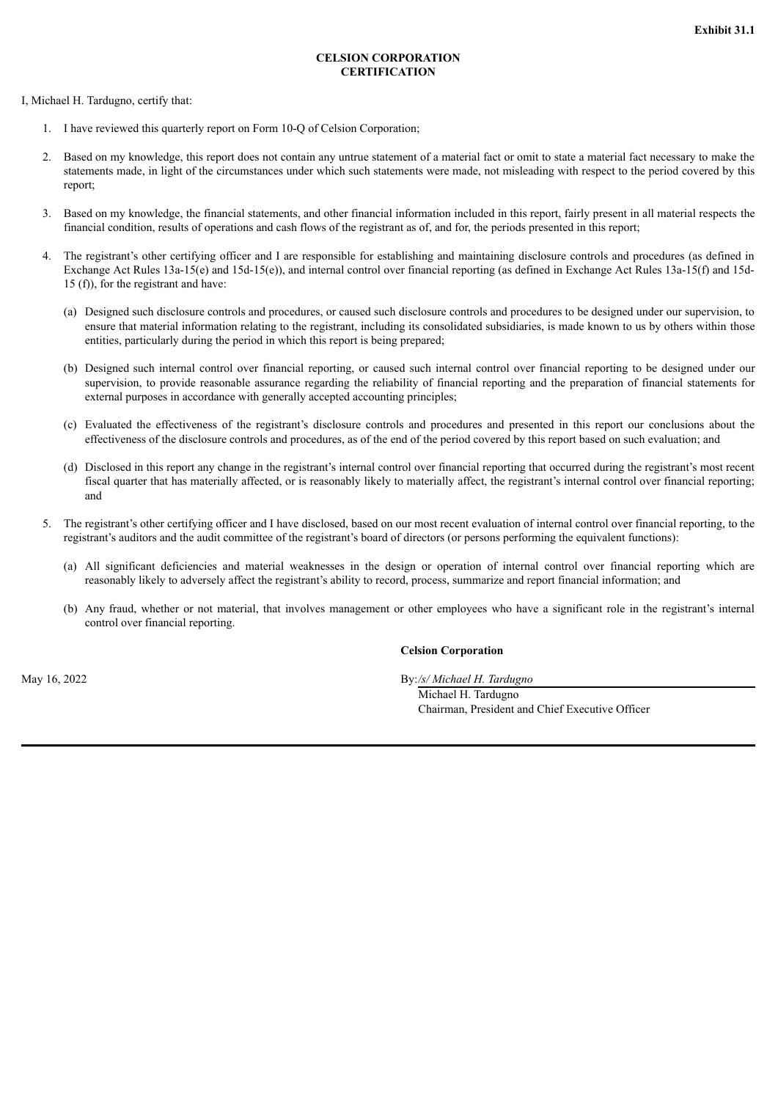## **CELSION CORPORATION CERTIFICATION**

<span id="page-45-0"></span>I, Michael H. Tardugno, certify that:

- 1. I have reviewed this quarterly report on Form 10-Q of Celsion Corporation;
- 2. Based on my knowledge, this report does not contain any untrue statement of a material fact or omit to state a material fact necessary to make the statements made, in light of the circumstances under which such statements were made, not misleading with respect to the period covered by this report;
- 3. Based on my knowledge, the financial statements, and other financial information included in this report, fairly present in all material respects the financial condition, results of operations and cash flows of the registrant as of, and for, the periods presented in this report;
- 4. The registrant's other certifying officer and I are responsible for establishing and maintaining disclosure controls and procedures (as defined in Exchange Act Rules 13a-15(e) and 15d-15(e)), and internal control over financial reporting (as defined in Exchange Act Rules 13a-15(f) and 15d-15 (f)), for the registrant and have:
	- (a) Designed such disclosure controls and procedures, or caused such disclosure controls and procedures to be designed under our supervision, to ensure that material information relating to the registrant, including its consolidated subsidiaries, is made known to us by others within those entities, particularly during the period in which this report is being prepared;
	- (b) Designed such internal control over financial reporting, or caused such internal control over financial reporting to be designed under our supervision, to provide reasonable assurance regarding the reliability of financial reporting and the preparation of financial statements for external purposes in accordance with generally accepted accounting principles;
	- (c) Evaluated the effectiveness of the registrant's disclosure controls and procedures and presented in this report our conclusions about the effectiveness of the disclosure controls and procedures, as of the end of the period covered by this report based on such evaluation; and
	- (d) Disclosed in this report any change in the registrant's internal control over financial reporting that occurred during the registrant's most recent fiscal quarter that has materially affected, or is reasonably likely to materially affect, the registrant's internal control over financial reporting; and
- The registrant's other certifying officer and I have disclosed, based on our most recent evaluation of internal control over financial reporting, to the registrant's auditors and the audit committee of the registrant's board of directors (or persons performing the equivalent functions):
	- (a) All significant deficiencies and material weaknesses in the design or operation of internal control over financial reporting which are reasonably likely to adversely affect the registrant's ability to record, process, summarize and report financial information; and
	- (b) Any fraud, whether or not material, that involves management or other employees who have a significant role in the registrant's internal control over financial reporting.

# **Celsion Corporation**

May 16, 2022 By:*/s/ Michael H. Tardugno*

Michael H. Tardugno Chairman, President and Chief Executive Officer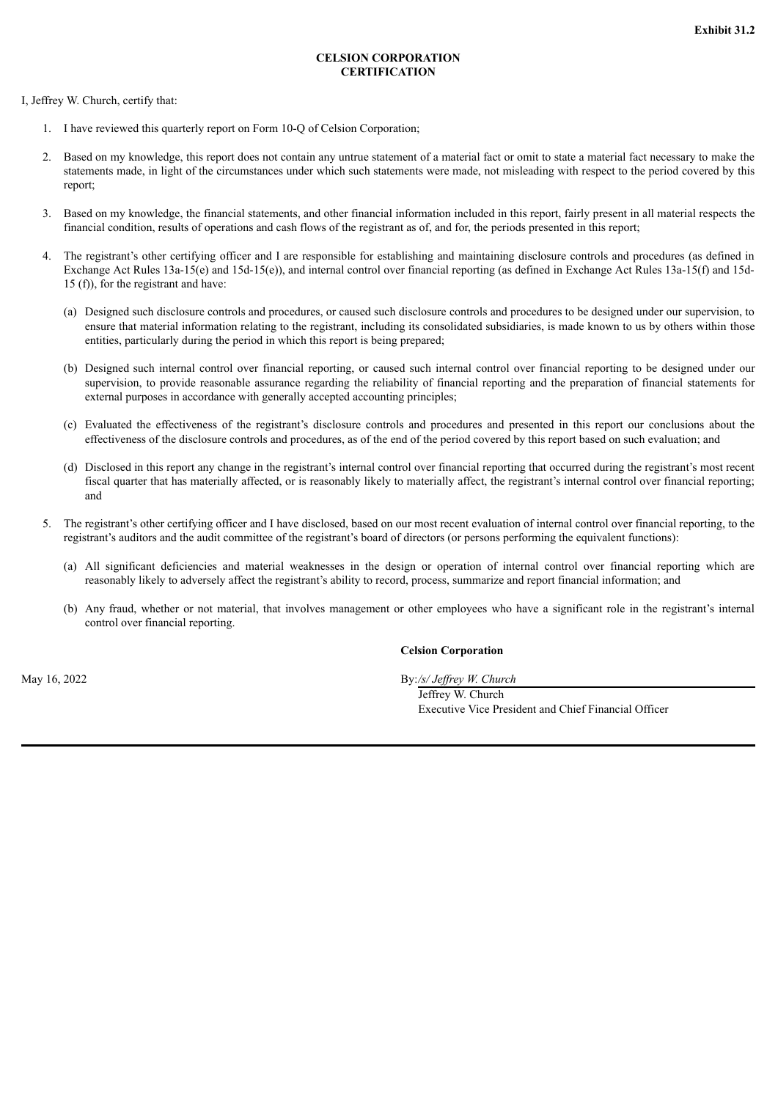## **CELSION CORPORATION CERTIFICATION**

<span id="page-46-0"></span>I, Jeffrey W. Church, certify that:

- 1. I have reviewed this quarterly report on Form 10-Q of Celsion Corporation;
- 2. Based on my knowledge, this report does not contain any untrue statement of a material fact or omit to state a material fact necessary to make the statements made, in light of the circumstances under which such statements were made, not misleading with respect to the period covered by this report;
- 3. Based on my knowledge, the financial statements, and other financial information included in this report, fairly present in all material respects the financial condition, results of operations and cash flows of the registrant as of, and for, the periods presented in this report;
- 4. The registrant's other certifying officer and I are responsible for establishing and maintaining disclosure controls and procedures (as defined in Exchange Act Rules 13a-15(e) and 15d-15(e)), and internal control over financial reporting (as defined in Exchange Act Rules 13a-15(f) and 15d-15 (f)), for the registrant and have:
	- (a) Designed such disclosure controls and procedures, or caused such disclosure controls and procedures to be designed under our supervision, to ensure that material information relating to the registrant, including its consolidated subsidiaries, is made known to us by others within those entities, particularly during the period in which this report is being prepared;
	- (b) Designed such internal control over financial reporting, or caused such internal control over financial reporting to be designed under our supervision, to provide reasonable assurance regarding the reliability of financial reporting and the preparation of financial statements for external purposes in accordance with generally accepted accounting principles;
	- (c) Evaluated the effectiveness of the registrant's disclosure controls and procedures and presented in this report our conclusions about the effectiveness of the disclosure controls and procedures, as of the end of the period covered by this report based on such evaluation; and
	- (d) Disclosed in this report any change in the registrant's internal control over financial reporting that occurred during the registrant's most recent fiscal quarter that has materially affected, or is reasonably likely to materially affect, the registrant's internal control over financial reporting; and
- The registrant's other certifying officer and I have disclosed, based on our most recent evaluation of internal control over financial reporting, to the registrant's auditors and the audit committee of the registrant's board of directors (or persons performing the equivalent functions):
	- (a) All significant deficiencies and material weaknesses in the design or operation of internal control over financial reporting which are reasonably likely to adversely affect the registrant's ability to record, process, summarize and report financial information; and
	- (b) Any fraud, whether or not material, that involves management or other employees who have a significant role in the registrant's internal control over financial reporting.

# **Celsion Corporation**

May 16, 2022 By:*/s/ Jef rey W. Church*

Jeffrey W. Church Executive Vice President and Chief Financial Officer